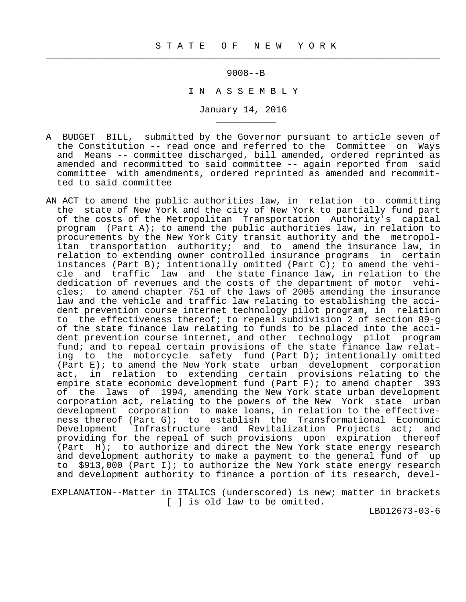$\frac{1}{2}$  , and the contribution of the contribution of the contribution of the contribution of the contribution of the contribution of the contribution of the contribution of the contribution of the contribution of the c

\_\_\_\_\_\_\_\_\_\_\_

9008--B

I N A S S E M B L Y

January 14, 2016

- A BUDGET BILL, submitted by the Governor pursuant to article seven of the Constitution -- read once and referred to the Committee on Ways and Means -- committee discharged, bill amended, ordered reprinted as amended and recommitted to said committee -- again reported from said committee with amendments, ordered reprinted as amended and recommit ted to said committee
- AN ACT to amend the public authorities law, in relation to committing the state of New York and the city of New York to partially fund part of the costs of the Metropolitan Transportation Authority's capital program (Part A); to amend the public authorities law, in relation to procurements by the New York City transit authority and the metropol itan transportation authority; and to amend the insurance law, in relation to extending owner controlled insurance programs in certain instances (Part B); intentionally omitted (Part C); to amend the vehi cle and traffic law and the state finance law, in relation to the dedication of revenues and the costs of the department of motor vehi cles; to amend chapter 751 of the laws of 2005 amending the insurance law and the vehicle and traffic law relating to establishing the acci dent prevention course internet technology pilot program, in relation to the effectiveness thereof; to repeal subdivision 2 of section 89-g of the state finance law relating to funds to be placed into the acci dent prevention course internet, and other technology pilot program fund; and to repeal certain provisions of the state finance law relat ing to the motorcycle safety fund (Part D); intentionally omitted (Part E); to amend the New York state urban development corporation act, in relation to extending certain provisions relating to the empire state economic development fund (Part F); to amend chapter 393 of the laws of 1994, amending the New York state urban development corporation act, relating to the powers of the New York state urban development corporation to make loans, in relation to the effective ness thereof (Part G); to establish the Transformational Economic Development Infrastructure and Revitalization Projects act; and providing for the repeal of such provisions upon expiration thereof (Part H); to authorize and direct the New York state energy research and development authority to make a payment to the general fund of up to \$913,000 (Part I); to authorize the New York state energy research and development authority to finance a portion of its research, devel-

 EXPLANATION--Matter in ITALICS (underscored) is new; matter in brackets [ ] is old law to be omitted.

LBD12673-03-6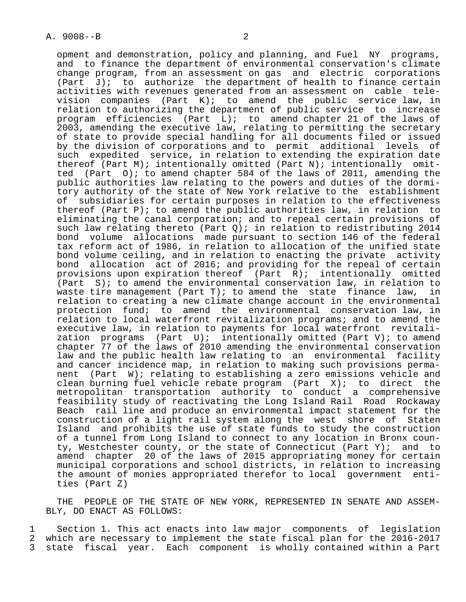opment and demonstration, policy and planning, and Fuel NY programs, and to finance the department of environmental conservation's climate change program, from an assessment on gas and electric corporations (Part  $J$ ); to authorize the department of health to finance certain activities with revenues generated from an assessment on cable tele vision companies (Part K); to amend the public service law, in relation to authorizing the department of public service to increase program efficiencies (Part L); to amend chapter 21 of the laws of 2003, amending the executive law, relating to permitting the secretary of state to provide special handling for all documents filed or issued by the division of corporations and to permit additional levels of such expedited service, in relation to extending the expiration date thereof (Part M); intentionally omitted (Part N); intentionally omit ted (Part O); to amend chapter 584 of the laws of 2011, amending the public authorities law relating to the powers and duties of the dormi tory authority of the state of New York relative to the establishment of subsidiaries for certain purposes in relation to the effectiveness thereof (Part P); to amend the public authorities law, in relation to eliminating the canal corporation; and to repeal certain provisions of such law relating thereto (Part Q); in relation to redistributing 2014 bond volume allocations made pursuant to section 146 of the federal tax reform act of 1986, in relation to allocation of the unified state bond volume ceiling, and in relation to enacting the private activity bond allocation act of 2016; and providing for the repeal of certain provisions upon expiration thereof (Part R); intentionally omitted (Part S); to amend the environmental conservation law, in relation to waste tire management (Part T); to amend the state finance law, in relation to creating a new climate change account in the environmental protection fund; to amend the environmental conservation law, in relation to local waterfront revitalization programs; and to amend the executive law, in relation to payments for local waterfront revitali zation programs (Part U); intentionally omitted (Part V); to amend chapter 77 of the laws of 2010 amending the environmental conservation law and the public health law relating to an environmental facility and cancer incidence map, in relation to making such provisions perma nent (Part W); relating to establishing a zero emissions vehicle and clean burning fuel vehicle rebate program (Part X); to direct the metropolitan transportation authority to conduct a comprehensive feasibility study of reactivating the Long Island Rail Road Rockaway Beach rail line and produce an environmental impact statement for the construction of a light rail system along the west shore of Staten Island and prohibits the use of state funds to study the construction of a tunnel from Long Island to connect to any location in Bronx coun-

ty, Westchester county, or the state of Connecticut (Part Y); and to amend chapter 20 of the laws of 2015 appropriating money for certain municipal corporations and school districts, in relation to increasing the amount of monies appropriated therefor to local government enti ties (Part Z)

 THE PEOPLE OF THE STATE OF NEW YORK, REPRESENTED IN SENATE AND ASSEM- BLY, DO ENACT AS FOLLOWS:

1 Section 1. This act enacts into law major components of legislation<br>2 which are necessary to implement the state fiscal plan for the 2016-2017 2 which are necessary to implement the state fiscal plan for the 2016-2017<br>3 state fiscal year, Each component is wholly contained within a Part state fiscal year. Each component is wholly contained within a Part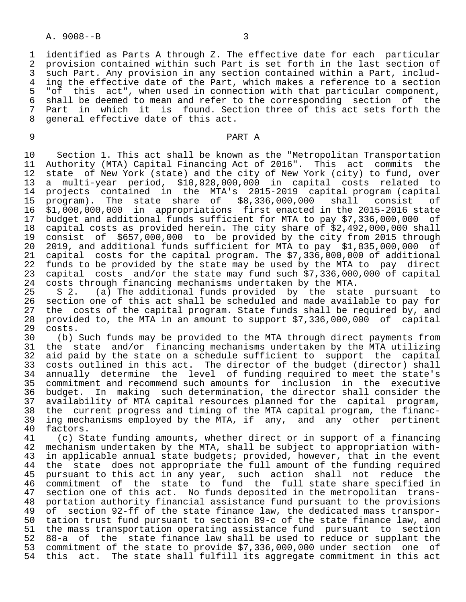### A. 9008--B 3

1 identified as Parts A through Z. The effective date for each particular<br>2 provision contained within such Part is set forth in the last section of 2 provision contained within such Part is set forth in the last section of<br>3 such Part, Any provision in any section contained within a Part, includ-3 such Part. Any provision in any section contained within a Part, includ-<br>4 ing the effective date of the Part, which makes a reference to a section 4 ing the effective date of the Part, which makes a reference to a section<br>5 "of this act", when used in connection with that particular component, 5 "of this act", when used in connection with that particular component,<br>6 shall be deemed to mean and refer to the corresponding section of the 6 shall be deemed to mean and refer to the corresponding section of the<br>7 Part in which it is found. Section three of this act sets forth the 7 Part in which it is found. Section three of this act sets forth the<br>8 general effective date of this act. general effective date of this act.

#### 9 PART A

10 Section 1. This act shall be known as the "Metropolitan Transportation<br>11 Authority (MTA) Capital Financing Act of 2016". This act commits the 11 Authority (MTA) Capital Financing Act of 2016". This act commits the<br>12 state of New York (state) and the city of New York (city) to fund, over state of New York (state) and the city of New York (city) to fund, over 13 a multi-year period, \$10,828,000,000 in capital costs related to 14 projects contained in the MTA's 2015-2019 capital program (capital 15 program). The state share of \$8,336,000,000 shall consist of 16 \$1,000,000,000 in appropriations first enacted in the 2015-2016 state 17 budget and additional funds sufficient for MTA to pay \$7,336,000,000 of 18 capital costs as provided herein. The city share of \$2,492,000,000 shall 19 consist of \$657,000,000 to be provided by the city from 2015 through 20 2019, and additional funds sufficient for MTA to pay \$1,835,000,000 of<br>21 capital costs for the capital program. The \$7,336,000,000 of additional 21 capital costs for the capital program. The \$7,336,000,000 of additional<br>22 funds to be provided by the state may be used by the MTA to pay direct 22 funds to be provided by the state may be used by the MTA to pay direct<br>23 capital costs and/or the state may fund such \$7,336,000,000 of capital 23 capital costs and/or the state may fund such \$7,336,000,000 of capital<br>24 costs through financing mechanisms undertaken by the MTA. 24 costs through financing mechanisms undertaken by the MTA.<br>25 S 2. (a) The additional funds provided by the stat

 25 S 2. (a) The additional funds provided by the state pursuant to 26 section one of this act shall be scheduled and made available to pay for 27 the costs of the capital program. State funds shall be required by, and<br>28 provided to, the MTA in an amount to support \$7,336,000,000 of capital 28 provided to, the MTA in an amount to support \$7,336,000,000 of capital 29 costs.<br>30 (b)

30 (b) Such funds may be provided to the MTA through direct payments from<br>31 the state and/or financing mechanisms undertaken by the MTA utilizing 31 the state and/or financing mechanisms undertaken by the MTA utilizing<br>32 aid paid by the state on a schedule sufficient to support the capital 32 aid paid by the state on a schedule sufficient to support the capital<br>33 costs outlined in this act. The director of the budget (director) shall 33 costs outlined in this act. The director of the budget (director) shall<br>34 annually determine the level of funding required to meet the state's annually determine the level of funding required to meet the state's 35 commitment and recommend such amounts for inclusion in the executive 36 budget. In making such determination, the director shall consider the<br>37 availability of MTA capital resources planned for the capital program, 37 availability of MTA capital resources planned for the capital program,<br>38 the current progress and timing of the MTA capital program, the financ-38 the current progress and timing of the MTA capital program, the financ-<br>39 ing mechanisms employed by the MTA, if any, and any other pertinent 39 ing mechanisms employed by the MTA, if any, and any other pertinent<br>40 factors. 40 factors.<br>41 (c) St

41 (c) State funding amounts, whether direct or in support of a financing<br>42 mechanism undertaken by the MTA, shall be subject to appropriation with-42 mechanism undertaken by the MTA, shall be subject to appropriation with-<br>43 in applicable annual state budgets; provided, however, that in the event 43 in applicable annual state budgets; provided, however, that in the event<br>44 the state does not appropriate the full amount of the funding required 44 the state does not appropriate the full amount of the funding required<br>45 pursuant to this act in any year, such action shall not reduce the pursuant to this act in any year, such action shall not reduce the 46 commitment of the state to fund the full state share specified in<br>47 section one of this act. No funds deposited in the metropolitan trans-47 section one of this act. No funds deposited in the metropolitan trans-<br>48 portation authority financial assistance fund pursuant to the provisions 48 portation authority financial assistance fund pursuant to the provisions<br>49 of section 92-ff of the state finance law, the dedicated mass transpor-49 of section 92-ff of the state finance law, the dedicated mass transpor-<br>50 tation trust fund pursuant to section 89-c of the state finance law, and tation trust fund pursuant to section 89-c of the state finance law, and 51 the mass transportation operating assistance fund pursuant to section 52 88-a of the state finance law shall be used to reduce or supplant the 53 commitment of the state to provide \$7,336,000,000 under section one of this act. The state shall fulfill its aggregate commitment in this act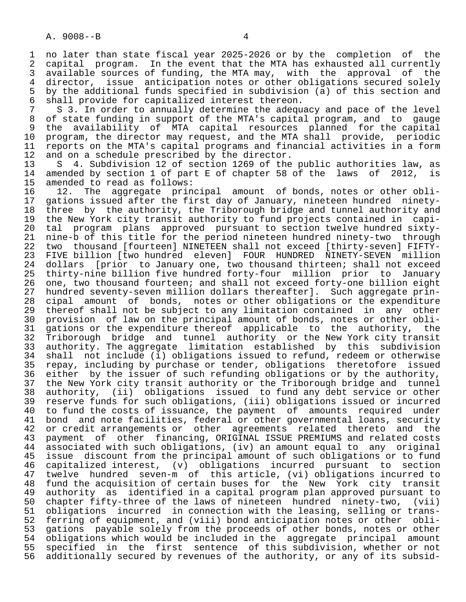1 no later than state fiscal year 2025-2026 or by the completion of the<br>2 capital program. In the event that the MTA has exhausted all currently 2 capital program. In the event that the MTA has exhausted all currently<br>3 available sources of funding, the MTA may, with the approval of the 3 available sources of funding, the MTA may, with the approval<br>4 director, issue anticipation notes or other obligations secure 4 director, issue anticipation notes or other obligations secured solely<br>5 by the additional funds specified in subdivision (a) of this section and 5 by the additional funds specified in subdivision (a) of this section and<br>6 shall provide for capitalized interest thereon. 6 shall provide for capitalized interest thereon.<br>7 S 3. In order to annually determine the adegu

7 S 3. In order to annually determine the adequacy and pace of the level<br>8 of state funding in support of the MTA's capital program, and to gauge 8 of state funding in support of the MTA's capital program, and to gauge<br>8 the availability of MTA capital resources planned for the capital 9 the availability of MTA capital resources planned for the capital<br>10 program, the director may request, and the MTA shall provide, periodic 10 program, the director may request, and the MTA shall provide, periodic<br>11 reports on the MTA's capital programs and financial activities in a form 11 reports on the MTA's capital programs and financial activities in a form<br>12 and on a schedule prescribed by the director. 12 and on a schedule prescribed by the director.<br>13 S 4. Subdivision 12 of section 1269 of the

13 S 4. Subdivision 12 of section 1269 of the public authorities law, as<br>14 amended by section 1 of part E of chapter 58 of the laws of 2012, is 14 amended by section 1 of part E of chapter 58 of the laws of 2012, is 15 amended to read as follows: 15 amended to read as follows:<br>16 12. The aggregate prin

16 12. The aggregate principal amount of bonds, notes or other obli-<br>17 gations issued after the first day of January, nineteen hundred ninety-17 gations issued after the first day of January, nineteen hundred ninety-<br>18 three by the authority, the Triborough bridge and tunnel authority and 18 three by the authority, the Triborough bridge and tunnel authority and<br>19 the New York city transit authority to fund projects contained in capi-19 the New York city transit authority to fund projects contained in capi-<br>20 tal program plans approved pursuant to section twelve hundred sixty- 20 tal program plans approved pursuant to section twelve hundred sixty- 21 nine-b of this title for the period nineteen hundred ninety-two through<br>22 two thousand [fourteen] NINETEEN shall not exceed [thirty-seven] FIFTY-22 two thousand [fourteen] NINETEEN shall not exceed [thirty-seven] FIFTY-<br>23 FIVE billion [two hundred eleven] FOUR HUNDRED NINETY-SEVEN million 23 FIVE billion [two hundred eleven] FOUR HUNDRED NINETY-SEVEN million<br>24 dollars [prior to January one, two thousand thirteen; shall not exceed 24 dollars [prior to January one, two thousand thirteen; shall not exceed<br>25 thirty-nine billion five hundred forty-four million prior to January 25 thirty-nine billion five hundred forty-four million prior to January 26 one, two thousand fourteen; and shall not exceed forty-one billion eight<br>27 hundred seventy-seven million dollars thereafter]. Such aggregate prin-27 hundred seventy-seven million dollars thereafter]. Such aggregate prin-<br>28 cipal amount of bonds, notes or other obligations or the expenditure 28 cipal amount of bonds, notes or other obligations or the expenditure<br>29 thereof shall not be subject to any limitation contained in any other 29 thereof shall not be subject to any limitation contained in any other<br>20 provision of law on the principal amount of bonds, notes or other obli-30 provision of law on the principal amount of bonds, notes or other obli-<br>31 gations or the expenditure thereof applicable to the authority, the 31 gations or the expenditure thereof applicable to the authority, the<br>32 Triborough bridge and tunnel authority or the New York city transit 32 Triborough bridge and tunnel authority or the New York city transit<br>33 authority. The aggregate limitation established by this subdivision 33 authority. The aggregate limitation established by this subdivision<br>34 shall not include (i) obligations issued to refund, redeem or otherwise 34 shall not include (i) obligations issued to refund, redeem or otherwise<br>35 repay, including by purchase or tender, obligations theretofore issued 35 repay, including by purchase or tender, obligations theretofore issued<br>36 either by the issuer of such refunding obligations or by the authority, either by the issuer of such refunding obligations or by the authority, 37 the New York city transit authority or the Triborough bridge and tunnel<br>38 authority, (ii) obligations issued to fund any debt service or other 38 authority, (ii) obligations issued to fund any debt service or other 39 reserve funds for such obligations, (iii) obligations issued or incurred<br>40 to fund the costs of issuance, the payment of amounts required under 40 to fund the costs of issuance, the payment of amounts required under<br>41 bond and note facilities, federal or other governmental loans, security 41 bond and note facilities, federal or other governmental loans, security<br>42 or credit arrangements or other agreements related thereto and the 42 or credit arrangements or other agreements related thereto and the<br>43 payment of other financing, ORIGINAL ISSUE PREMIUMS and related costs 43 payment of other financing, ORIGINAL ISSUE PREMIUMS and related costs<br>44 associated with such obligations, (iv) an amount equal to any original 44 associated with such obligations, (iv) an amount equal to any original<br>45 issue discount from the principal amount of such obligations or to fund issue discount from the principal amount of such obligations or to fund 46 capitalized interest, (v) obligations incurred pursuant to section 47 twelve hundred seven-m of this article, (vi) obligations incurred to 48 fund the acquisition of certain buses for the New York city transit 49 authority as identified in a capital program plan approved pursuant to<br>50 chapter fifty-three of the laws of nineteen hundred ninety-two. (vii) 50 chapter fifty-three of the laws of nineteen hundred ninety-two, (vii)<br>51 obligations incurred in connection with the leasing, selling or trans-51 obligations incurred in connection with the leasing, selling or trans-<br>52 ferring of equipment, and (viii) bond anticipation notes or other obli-52 ferring of equipment, and (viii) bond anticipation notes or other obli-<br>53 gations pavable solely from the proceeds of other bonds, notes or other 53 gations payable solely from the proceeds of other bonds, notes or other<br>54 obligations which would be included in the aggregate principal amount 54 obligations which would be included in the aggregate principal amount<br>55 specified in the first sentence of this subdivision, whether or not 55 specified in the first sentence of this subdivision, whether or not<br>56 additionally secured by revenues of the authority, or any of its subsidadditionally secured by revenues of the authority, or any of its subsid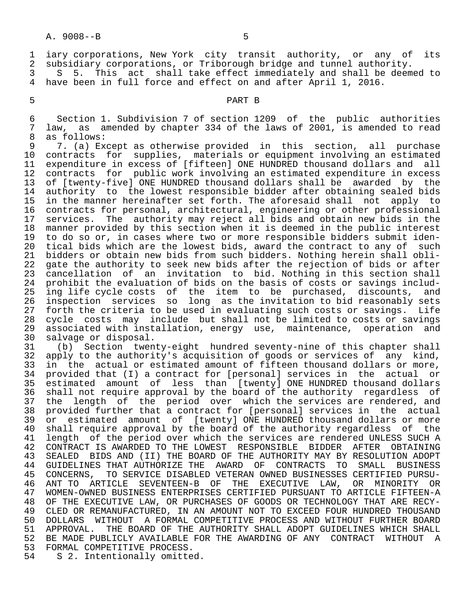1 iary corporations, New York city transit authority, or any of its<br>2 subsidiary corporations, or Triborough bridge and tunnel authority. 2 subsidiary corporations, or Triborough bridge and tunnel authority.<br>3 5 S. This act shall take effect immediately and shall be deem

3 S 5. This act shall take effect immediately and shall be deemed to<br>4 have been in full force and effect on and after April 1, 2016. have been in full force and effect on and after April 1, 2016.

# 5 PART B

 6 Section 1. Subdivision 7 of section 1209 of the public authorities 7 law, as amended by chapter 334 of the laws of  $2001$ , is amended to read  $8$  as follows: 8 as follows:<br>9 7. (a) Ex

9 7. (a) Except as otherwise provided in this section, all purchase<br>10 contracts for supplies, materials or equipment involving an estimated 10 contracts for supplies, materials or equipment involving an estimated<br>11 expenditure in excess of [fifteen] ONE HUNDRED thousand dollars and all 11 expenditure in excess of [fifteen] ONE HUNDRED thousand dollars and all<br>12 contracts for public work involving an estimated expenditure in excess contracts for public work involving an estimated expenditure in excess 13 of [twenty-five] ONE HUNDRED thousand dollars shall be awarded by the<br>14 authority to the lowest responsible bidder after obtaining sealed bids 14 authority to the lowest responsible bidder after obtaining sealed bids<br>15 in the manner hereinafter set forth. The aforesaid shall not apply to 15 in the manner hereinafter set forth. The aforesaid shall not apply to<br>16 contracts for personal, architectural, engineering or other professional 16 contracts for personal, architectural, engineering or other professional<br>17 services. The authority may reject all bids and obtain new bids in the 17 services. The authority may reject all bids and obtain new bids in the<br>18 manner provided by this section when it is deemed in the public interest 18 manner provided by this section when it is deemed in the public interest<br>19 to do so or, in cases where two or more responsible bidders submit iden-19 to do so or, in cases where two or more responsible bidders submit iden-<br>20 tical bids which are the lowest bids, award the contract to any of such 20 tical bids which are the lowest bids, award the contract to any of such<br>21 bidders or obtain new bids from such bidders. Nothing herein shall obli-21 bidders or obtain new bids from such bidders. Nothing herein shall obli-<br>22 gate the authority to seek new bids after the rejection of bids or after 22 gate the authority to seek new bids after the rejection of bids or after<br>23 cancellation of an invitation to bid. Nothing in this section shall cancellation of an invitation to bid. Nothing in this section shall 24 prohibit the evaluation of bids on the basis of costs or savings includ-<br>25 ing life cycle costs of the item to be purchased, discounts, and 25 ing life cycle costs of the item to be purchased, discounts, and 26 inspection services so long as the invitation to bid reasonably sets 27 forth the criteria to be used in evaluating such costs or savings. Life<br>28 cycle costs may include but shall not be limited to costs or savings 28 cycle costs may include but shall not be limited to costs or savings<br>29 associated with installation, energy use, maintenance, operation and 29 associated with installation, energy use, maintenance, operation and<br>30 salvage or disposal.

30 salvage or disposal.<br>31 (b) Section twen 31 (b) Section twenty-eight hundred seventy-nine of this chapter shall<br>32 apply to the authority's acquisition of goods or services of any kind, 32 apply to the authority's acquisition of goods or services of any kind,<br>33 in the actual or estimated amount of fifteen thousand dollars or more, 33 in the actual or estimated amount of fifteen thousand dollars or more,<br>34 provided that (I) a contract for [personal] services in the actual or provided that (I) a contract for [personal] services in the actual or 35 estimated amount of less than [twenty] ONE HUNDRED thousand dollars<br>36 shall not require approval by the board of the authority reqardless of 36 shall not require approval by the board of the authority regardless of<br>37 the length of the period over which the services are rendered, and 37 the length of the period over which the services are rendered, and<br>38 provided further that a contract for [personal] services in the actual 38 provided further that a contract for [personal] services in the actual<br>39 or estimated amount of [twenty] ONE HUNDRED thousand dollars or more 39 or estimated amount of [twenty] ONE HUNDRED thousand dollars or more<br>40 shall require approval by the board of the authority regardless of the 40 shall require approval by the board of the authority regardless of the<br>41 length of the period over which the services are rendered UNLESS SUCH A 41 length of the period over which the services are rendered UNLESS SUCH A<br>42 CONTRACT IS AWARDED TO THE LOWEST RESPONSIBLE BIDDER AFTER OBTAINING 42 CONTRACT IS AWARDED TO THE LOWEST RESPONSIBLE BIDDER AFTER OBTAINING<br>43 SEALED BIDS AND (II) THE BOARD OF THE AUTHORITY MAY BY RESOLUTION ADOPT SEALED BIDS AND (II) THE BOARD OF THE AUTHORITY MAY BY RESOLUTION ADOPT 44 GUIDELINES THAT AUTHORIZE THE AWARD OF CONTRACTS TO SMALL BUSINESS<br>45 CONCERNS, TO SERVICE DISABLED VETERAN OWNED BUSINESSES CERTIFIED PURSU- 45 CONCERNS, TO SERVICE DISABLED VETERAN OWNED BUSINESSES CERTIFIED PURSU- 46 ANT TO ARTICLE SEVENTEEN-B OF THE EXECUTIVE LAW, OR MINORITY OR 47 WOMEN-OWNED BUSINESS ENTERPRISES CERTIFIED PURSUANT TO ARTICLE FIFTEEN-A<br>48 OF THE EXECUTIVE LAW, OR PURCHASES OF GOODS OR TECHNOLOGY THAT ARE RECY-48 OF THE EXECUTIVE LAW, OR PURCHASES OF GOODS OR TECHNOLOGY THAT ARE RECY-<br>49 CLED OR REMANUFACTURED, IN AN AMOUNT NOT TO EXCEED FOUR HUNDRED THOUSAND 49 CLED OR REMANUFACTURED, IN AN AMOUNT NOT TO EXCEED FOUR HUNDRED THOUSAND<br>50 DOLLARS WITHOUT A FORMAL COMPETITIVE PROCESS AND WITHOUT FURTHER BOARD 50 DOLLARS WITHOUT A FORMAL COMPETITIVE PROCESS AND WITHOUT FURTHER BOARD<br>51 APPROVAL. THE BOARD OF THE AUTHORITY SHALL ADOPT GUIDELINES WHICH SHALL 51 APPROVAL. THE BOARD OF THE AUTHORITY SHALL ADOPT GUIDELINES WHICH SHALL<br>52 BE MADE PUBLICLY AVAILABLE FOR THE AWARDING OF ANY CONTRACT WITHOUT A 52 BE MADE PUBLICLY AVAILABLE FOR THE AWARDING OF ANY CONTRACT WITHOUT A<br>53 FORMAL COMPETITIVE PROCESS. 53 FORMAL COMPETITIVE PROCESS.<br>54 S 2. Intentionally omitte

S 2. Intentionally omitted.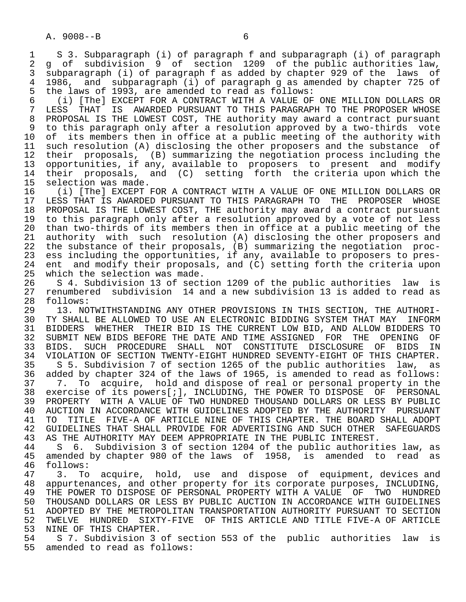1 S 3. Subparagraph (i) of paragraph f and subparagraph (i) of paragraph 2 g of subdivision 9 of section 1209 of the public authorities law,<br>3 subparagraph (i) of paragraph f as added by chapter 929 of the laws of 3 subparagraph (i) of paragraph f as added by chapter 929 of the laws of 4 1986, and subparagraph (i) of paragraph g as amended by chapter 725 of the laws of 1993, are amended to read as follows: 5 the laws of 1993, are amended to read as follows:

 6 (i) [The] EXCEPT FOR A CONTRACT WITH A VALUE OF ONE MILLION DOLLARS OR LESS THAT IS AWARDED PURSUANT TO THIS PARAGRAPH TO THE PROPOSER WHOSE 8 PROPOSAL IS THE LOWEST COST, THE authority may award a contract pursuant 9 to this paragraph only after a resolution approved by a two-thirds vote<br>10 of its members then in office at a public meeting of the authority with 10 of its members then in office at a public meeting of the authority with<br>11 such resolution (A) disclosing the other proposers and the substance of 11 such resolution (A) disclosing the other proposers and the substance of<br>12 their proposals, (B) summarizing the negotiation process including the their proposals, (B) summarizing the negotiation process including the 13 opportunities, if any, available to proposers to present and modify<br>14 their proposals, and (C) setting forth the criteria upon which the their proposals, and  $(C)$  setting forth the criteria upon which the

15 selection was made.<br>16 (i) [The] EXCEPT 16 The Same The Contract with a value of one million dollars or the sextern results are contracted in the sext<br>17 LESS THAT IS AWARDED PURSUANT TO THIS PARAGRAPH TO THE PROPOSER WHOSE 17 LESS THAT IS AWARDED PURSUANT TO THIS PARAGRAPH TO THE PROPOSER WHOSE<br>18 PROPOSAL IS THE LOWEST COST, THE authority may award a contract pursuant 18 PROPOSAL IS THE LOWEST COST, THE authority may award a contract pursuant<br>19 to this paragraph only after a resolution approved by a vote of not less 19 to this paragraph only after a resolution approved by a vote of not less<br>20 than two-thirds of its members then in office at a public meeting of the 20 than two-thirds of its members then in office at a public meeting of the<br>21 authority with such resolution (A) disclosing the other proposers and 21 authority with such resolution (A) disclosing the other proposers and<br>22 the substance of their proposals, (B) summarizing the negotiation proc-22 the substance of their proposals, (B) summarizing the negotiation proc-<br>23 ess including the opportunities, if any, available to proposers to presess including the opportunities, if any, available to proposers to pres-24 ent and modify their proposals, and  $(C)$  setting forth the criteria upon 25 which the selection was made. which the selection was made.

26 S 4. Subdivision 13 of section 1209 of the public authorities law is<br>27 renumbered subdivision 14 and a new subdivision 13 is added to read as 27 renumbered subdivision 14 and a new subdivision 13 is added to read as

28 follows:<br>29 13. NO 29 13. NOTWITHSTANDING ANY OTHER PROVISIONS IN THIS SECTION, THE AUTHORI-<br>30 TY SHALL BE ALLOWED TO USE AN ELECTRONIC BIDDING SYSTEM THAT MAY INFORM TY SHALL BE ALLOWED TO USE AN ELECTRONIC BIDDING SYSTEM THAT MAY INFORM 31 BIDDERS WHETHER THEIR BID IS THE CURRENT LOW BID, AND ALLOW BIDDERS TO<br>32 SUBMIT NEW BIDS BEFORE THE DATE AND TIME ASSIGNED FOR THE OPENING OF 32 SUBMIT NEW BIDS BEFORE THE DATE AND TIME ASSIGNED FOR THE OPENING OF<br>33 BIDS. SUCH PROCEDURE SHALL NOT CONSTITUTE DISCLOSURE OF BIDS IN 33 BIDS. SUCH PROCEDURE SHALL NOT CONSTITUTE DISCLOSURE OF BIDS<br>34 VIOLATION OF SECTION TWENTY-EIGHT HUNDRED SEVENTY-EIGHT OF THIS CHAP 34 VIOLATION OF SECTION TWENTY-EIGHT HUNDRED SEVENTY-EIGHT OF THIS CHAPTER.<br>35 S.S. Subdivision 7 of section 1265 of the public authorities law, as 35 S 5. Subdivision 7 of section 1265 of the public authorities law, as<br>36 added by chapter 324 of the laws of 1965, is amended to read as follows: added by chapter 324 of the laws of 1965, is amended to read as follows: 37 7. To acquire, hold and dispose of real or personal property in the 38 exercise of its powers[;], INCLUDING, THE POWER TO DISPOSE OF PERSONAL 39 PROPERTY WITH A VALUE OF TWO HUNDRED THOUSAND DOLLARS OR LESS BY PUBLIC<br>40 AUCTION IN ACCORDANCE WITH GUIDELINES ADOPTED BY THE AUTHORITY PURSUANT 40 AUCTION IN ACCORDANCE WITH GUIDELINES ADOPTED BY THE AUTHORITY PURSUANT<br>41 TO TITLE FIVE-A OF ARTICLE NINE OF THIS CHAPTER. THE BOARD SHALL ADOPT 41 TO TITLE FIVE-A OF ARTICLE NINE OF THIS CHAPTER. THE BOARD SHALL ADOPT<br>42 GUIDELINES THAT SHALL PROVIDE FOR ADVERTISING AND SUCH OTHER SAFEGUARDS

42 GUIDELINES THAT SHALL PROVIDE FOR ADVERTISING AND SUCH OTHER SAFEGUARDS<br>43 AS THE AUTHORITY MAY DEEM APPROPRIATE IN THE PUBLIC INTEREST.

43 AS THE AUTHORITY MAY DEEM APPROPRIATE IN THE PUBLIC INTEREST.<br>44 S 6. Subdivision 3 of section 1204 of the public authorit 44 S 6. Subdivision 3 of section 1204 of the public authorities law, as amended by chapter 980 of the laws of 1958, is amended to read as 46 follows:<br>47 3. To

 47 3. To acquire, hold, use and dispose of equipment, devices and 48 appurtenances, and other property for its corporate purposes, INCLUDING, 49 THE POWER TO DISPOSE OF PERSONAL PROPERTY WITH A VALUE OF TWO HUNDRED<br>50 THOUSAND DOLLARS OR LESS BY PUBLIC AUCTION IN ACCORDANCE WITH GUIDELINES 50 THOUSAND DOLLARS OR LESS BY PUBLIC AUCTION IN ACCORDANCE WITH GUIDELINES<br>51 ADOPTED BY THE METROPOLITAN TRANSPORTATION AUTHORITY PURSUANT TO SECTION 51 ADOPTED BY THE METROPOLITAN TRANSPORTATION AUTHORITY PURSUANT TO SECTION<br>52 TWELVE HUNDRED SIXTY-FIVE OF THIS ARTICLE AND TITLE FIVE-A OF ARTICLE 52 TWELVE HUNDRED SIXTY-FIVE OF THIS ARTICLE AND TITLE FIVE-A OF ARTICLE<br>53 NINE OF THIS CHAPTER. 53 NINE OF THIS CHAPTER.<br>54 S 7. Subdivision 3

54 S 7. Subdivision 3 of section 553 of the public authorities law is<br>55 amended to read as follows: amended to read as follows: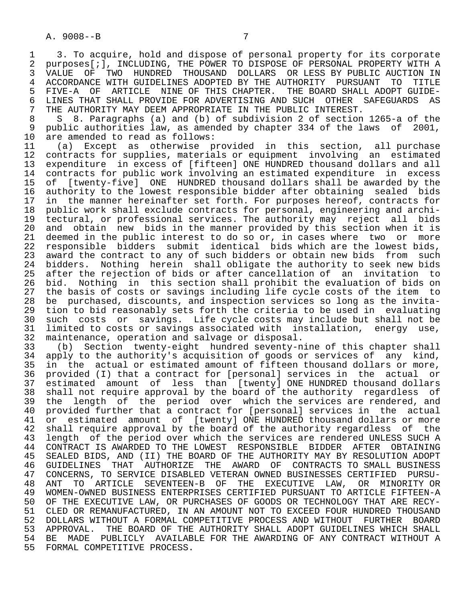1 3. To acquire, hold and dispose of personal property for its corporate<br>2 purposes[*i].* INCLUDING, THE POWER TO DISPOSE OF PERSONAL PROPERTY WITH A 2 purposes[;], INCLUDING, THE POWER TO DISPOSE OF PERSONAL PROPERTY WITH A<br>3 VALUE OF TWO HUNDRED THOUSAND DOLLARS OR LESS BY PUBLIC AUCTION IN 3 VALUE OF TWO HUNDRED THOUSAND DOLLARS OR LESS BY PUBLIC AUCTION IN<br>4 ACCORDANCE WITH GUIDELINES ADOPTED BY THE AUTHORITY PURSUANT TO TITLE 4 ACCORDANCE WITH GUIDELINES ADOPTED BY THE AUTHORITY PURSUANT TO TITLE<br>5 FIVE-A OF ARTICLE NINE OF THIS CHAPTER. THE BOARD SHALL ADOPT GUIDE-5 FIVE-A OF ARTICLE NINE-OF THIS CHAPTER.<br>6 LINES THAT SHALL PROVIDE FOR ADVERTISING AND 6 LINES THAT SHALL PROVIDE FOR ADVERTISING AND SUCH OTHER SAFEGUARDS AS<br>7 THE AUTHORITY MAY DEEM APPROPRIATE IN THE PUBLIC INTEREST. 7 THE AUTHORITY MAY DEEM APPROPRIATE IN THE PUBLIC INTEREST.<br>8 S. 8 Paragraphs (a) and (b) of subdivision 2 of section

8 S 8. Paragraphs (a) and (b) of subdivision 2 of section 1265-a of the<br>9 public authorities law, as amended by chapter 334 of the laws of 2001, 9 public authorities law, as amended by chapter 334 of the laws of 2001,<br>10 are amended to read as follows: 10 are amended to read as follows:<br>11 (a) Except as otherwise p

 11 (a) Except as otherwise provided in this section, all purchase 12 contracts for supplies, materials or equipment involving an estimated<br>13 expenditure in excess of [fifteen] ONE HUNDRED thousand dollars and all 13 expenditure in excess of [fifteen] ONE HUNDRED thousand dollars and all<br>14 contracts for public work involving an estimated expenditure in excess 14 contracts for public work involving an estimated expenditure in excess<br>15 of [twenty-five] ONE HUNDRED thousand dollars shall be awarded by the 15 of [twenty-five] ONE HUNDRED thousand dollars shall be awarded by the<br>16 authority to the lowest responsible bidder after obtaining sealed bids 16 authority to the lowest responsible bidder after obtaining sealed bids<br>17 in the manner hereinafter set forth. For purposes hereof, contracts for 17 in the manner hereinafter set forth. For purposes hereof, contracts for<br>18 public work shall exclude contracts for personal, engineering and archi-18 public work shall exclude contracts for personal, engineering and archi-<br>19 tectural, or professional services. The authority may reject all bids 19 tectural, or professional services. The authority may reject all bids 20 and obtain new bids in the manner provided by this section when it is 21 deemed in the public interest to do so or, in cases where two or more<br>22 responsible bidders submit identical bids which are the lowest bids, 22 responsible bidders submit identical bids which are the lowest bids,<br>23 award the contract to any of such bidders or obtain new bids from such 23 award the contract to any of such bidders or obtain new bids from such<br>24 bidders. Nothing herein shall obligate the authority to seek new bids 24 bidders. Nothing herein shall obligate the authority to seek new bids<br>25 after the rejection of bids or after cancellation of an invitation to after the rejection of bids or after cancellation of an invitation to 26 bid. Nothing in this section shall prohibit the evaluation of bids on 27 the basis of costs or savings including life cycle costs of the item to<br>28 be purchased, discounts, and inspection services so long as the invita-28 be purchased, discounts, and inspection services so long as the invita-<br>29 tion to bid reasonably sets forth the criteria to be used in evaluating 29 tion to bid reasonably sets forth the criteria to be used in evaluating<br>20 such costs or savings. Life cycle costs may include but shall not be 30 such costs or savings. Life cycle costs may include but shall not be 31 limited to costs or savings associated with installation, energy use. 31 limited to costs or savings associated with installation, energy use,<br>32 maintenance, operation and salvage or disposal. 32 maintenance, operation and salvage or disposal.

33 (b) Section twenty-eight hundred seventy-nine of this chapter shall<br>34 apply to the authority's acquisition of goods or services of any kind, 34 apply to the authority's acquisition of goods or services of any kind,<br>35 in the actual or estimated amount of fifteen thousand dollars or more, 35 in the actual or estimated amount of fifteen thousand dollars or more,<br>36 provided (I) that a contract for [personal] services in the actual or 36 provided (I) that a contract for [personal] services in the actual or 37 estimated amount of less than [twenty] ONE HUNDRED thousand dollars 38 shall not require approval by the board of the authority regardless of<br>39 the length of the period over which the services are rendered, and 39 the length of the period over which the services are rendered, and<br>40 provided further that a contract for [personal] services in the actual 40 provided further that a contract for [personal] services in the actual<br>41 or estimated amount of [twenty] ONE HUNDRED thousand dollars or more 41 or estimated amount of [twenty] ONE HUNDRED thousand dollars or more<br>42 shall require approval by the board of the authority regardless of the 42 shall require approval by the board of the authority regardless of the<br>43 length of the period over which the services are rendered UNLESS SUCH A 43 length of the period over which the services are rendered UNLESS SUCH A<br>44 CONTRACT IS AWARDED TO THE LOWEST RESPONSIBLE BIDDER AFTER OBTAINING 44 CONTRACT IS AWARDED TO THE LOWEST RESPONSIBLE BIDDER AFTER OBTAINING<br>45 SEALED BIDS, AND (II) THE BOARD OF THE AUTHORITY MAY BY RESOLUTION ADOPT SEALED BIDS, AND (II) THE BOARD OF THE AUTHORITY MAY BY RESOLUTION ADOPT 46 GUIDELINES THAT AUTHORIZE THE AWARD OF CONTRACTS TO SMALL BUSINESS<br>47 CONCERNS, TO SERVICE DISABLED VETERAN OWNED BUSINESSES CERTIFIED PURSU-47 CONCERNS, TO SERVICE DISABLED VETERAN OWNED BUSINESSES CERTIFIED PURSU-<br>48 ANT TO ARTICLE SEVENTEEN-B OF THE EXECUTIVE LAW, OR MINORITY OR 48 ANT TO ARTICLE SEVENTEEN-B OF THE EXECUTIVE LAW, OR MINORITY OR 49 WOMEN-OWNED BUSINESS ENTERPRISES CERTIFIED PURSUANT TO ARTICLE FIFTEEN-A<br>50 OF THE EXECUTIVE LAW, OR PURCHASES OF GOODS OR TECHNOLOGY THAT ARE RECY-50 OF THE EXECUTIVE LAW, OR PURCHASES OF GOODS OR TECHNOLOGY THAT ARE RECY-<br>51 CLED OR REMANUFACTURED, IN AN AMOUNT NOT TO EXCEED FOUR HUNDRED THOUSAND 51 CLED OR REMANUFACTURED, IN AN AMOUNT NOT TO EXCEED FOUR HUNDRED THOUSAND<br>52 DOLLARS WITHOUT A FORMAL COMPETITIVE PROCESS AND WITHOUT FURTHER BOARD 52 DOLLARS WITHOUT A FORMAL COMPETITIVE PROCESS AND WITHOUT FURTHER BOARD<br>53 APPROVAL. THE BOARD OF THE AUTHORITY SHALL ADOPT GUIDELINES WHICH SHALL 53 APPROVAL. THE BOARD OF THE AUTHORITY SHALL ADOPT GUIDELINES WHICH SHALL<br>54 BE MADE PUBLICLY AVAILABLE FOR THE AWARDING OF ANY CONTRACT WITHOUT A 54 BE MADE PUBLICLY AVAILABLE FOR THE AWARDING OF ANY CONTRACT WITHOUT A<br>55 FORMAL COMPETITIVE PROCESS. FORMAL COMPETITIVE PROCESS.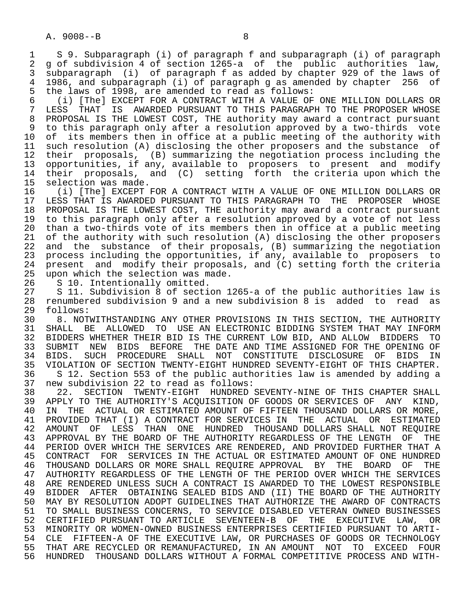1 S 9. Subparagraph (i) of paragraph f and subparagraph (i) of paragraph<br>2 g of subdivision 4 of section 1265-a of the public authorities law. 2 g of subdivision 4 of section 1265-a of the public authorities law,<br>3 subparagraph (i) of paragraph f as added by chapter 929 of the laws of 3 subparagraph (i) of paragraph f as added by chapter 929 of the laws of 4 1986, and subparagraph (i) of paragraph g as amended by chapter 256 of 5 the laws of 1998, are amended to read as follows:

 6 (i) [The] EXCEPT FOR A CONTRACT WITH A VALUE OF ONE MILLION DOLLARS OR LESS THAT IS AWARDED PURSUANT TO THIS PARAGRAPH TO THE PROPOSER WHOSE 8 PROPOSAL IS THE LOWEST COST, THE authority may award a contract pursuant 9 to this paragraph only after a resolution approved by a two-thirds vote<br>10 of its members then in office at a public meeting of the authority with 10 of its members then in office at a public meeting of the authority with<br>11 such resolution (A) disclosing the other proposers and the substance of 11 such resolution (A) disclosing the other proposers and the substance of<br>12 their proposals, (B) summarizing the negotiation process including the 12 their proposals, (B) summarizing the negotiation process including the<br>13 opportunities, if any, available to proposers to present and modify 13 opportunities, if any, available to proposers to present and modify<br>14 their proposals, and (C) setting forth the criteria upon which the 14 their proposals, and (C) setting forth the criteria upon which the 15 selection was made.

15 selection was made.<br>16 (i) [The] EXCEPT 16 The Same The Contract with a value of one million dollars or the sextern results are contracted in the sext<br>17 LESS THAT IS AWARDED PURSUANT TO THIS PARAGRAPH TO THE PROPOSER WHOSE 17 LESS THAT IS AWARDED PURSUANT TO THIS PARAGRAPH TO THE PROPOSER WHOSE<br>18 PROPOSAL IS THE LOWEST COST, THE authority may award a contract pursuant 18 PROPOSAL IS THE LOWEST COST, THE authority may award a contract pursuant<br>19 to this paragraph only after a resolution approved by a vote of not less 19 to this paragraph only after a resolution approved by a vote of not less<br>20 than a two-thirds vote of its members then in office at a public meeting 20 than a two-thirds vote of its members then in office at a public meeting<br>21 of the authority with such resolution (A) disclosing the other proposers 21 of the authority with such resolution (A) disclosing the other proposers<br>22 and the substance of their proposals, (B) summarizing the negotiation 22 and the substance of their proposals, (B) summarizing the negotiation<br>23 process including the opportunities, if any, available to proposers to process including the opportunities, if any, available to proposers to 24 present and modify their proposals, and  $(C)$  setting forth the criteria<br>25 upon which the selection was made. upon which the selection was made.

26 S 10. Intentionally omitted.<br>27 S 11. Subdivision 8 of secti 27 S 11. Subdivision 8 of section 1265-a of the public authorities law is 28 renumbered subdivision 9 and a new subdivision 8 is added to read as 29 follows:<br>30 8. NOT

30 8. NOTWITHSTANDING ANY OTHER PROVISIONS IN THIS SECTION, THE AUTHORITY<br>31 SHALL BE ALLOWED TO USE AN ELECTRONIC BIDDING SYSTEM THAT MAY INFORM 31 SHALL BE ALLOWED TO USE AN ELECTRONIC BIDDING SYSTEM THAT MAY INFORM<br>32 BIDDERS WHETHER THEIR BID IS THE CURRENT LOW BID, AND ALLOW BIDDERS TO 32 BIDDERS WHETHER THEIR BID IS THE CURRENT LOW BID, AND ALLOW BIDDERS<br>33 SUBMIT NEW BIDS BEFORE THE DATE AND TIME ASSIGNED FOR THE OPENING 33 SUBMIT NEW BIDS BEFORE THE DATE AND TIME ASSIGNED FOR THE OPENING OF<br>34 BIDS. SUCH PROCEDURE SHALL NOT CONSTITUTE DISCLOSURE OF BIDS IN 34 BIDS. SUCH PROCEDURE SHALL NOT CONSTITUTE DISCLOSURE OF BIDS IN<br>35 VIOLATION OF SECTION TWENTY-EIGHT HUNDRED SEVENTY-EIGHT OF THIS CHAPTER. 35 VIOLATION OF SECTION TWENTY-EIGHT HUNDRED SEVENTY-EIGHT OF THIS CHAPTER.<br>36 S 12. Section 553 of the public authorities law is amended by adding a 36 S 12. Section 553 of the public authorities law is amended by adding a<br>37 new subdivision 22 to read as follows:

 37 new subdivision 22 to read as follows: 38 22. SECTION TWENTY-EIGHT HUNDRED SEVENTY-NINE OF THIS CHAPTER SHALL<br>39 APPLY TO THE AUTHORITY'S ACOUISITION OF GOODS OR SERVICES OF ANY KIND. 39 APPLY TO THE AUTHORITY'S ACQUISITION OF GOODS OR SERVICES OF ANY KIND,<br>40 IN THE ACTUAL OR ESTIMATED AMOUNT OF FIFTEEN THOUSAND DOLLARS OR MORE, 40 IN THE ACTUAL OR ESTIMATED AMOUNT OF FIFTEEN THOUSAND DOLLARS OR MORE,<br>41 PROVIDED THAT (I) A CONTRACT FOR SERVICES IN THE ACTUAL OR ESTIMATED 41 PROVIDED THAT (I) A CONTRACT FOR SERVICES IN THE ACTUAL OR ESTIMATED<br>42 AMOUNT OF LESS THAN ONE HUNDRED THOUSAND-DOLLARS SHALL NOT-REOUIRE 42 AMOUNT OF LESS THAN ONE HUNDRED THOUSAND-DOLLARS SHALL NOT REQUIRE<br>43 APPROVAL BY THE BOARD OF THE AUTHORITY REGARDLESS OF THE LENGTH OF THE 43 APPROVAL BY THE BOARD OF THE AUTHORITY REGARDLESS OF THE LENGTH OF THE THE AUTHOR THAT A 44 PERIOD OVER WHICH THE SERVICES ARE RENDERED, AND PROVIDED FURTHER THAT A<br>45 CONTRACT FOR SERVICES IN THE ACTUAL OR ESTIMATED AMOUNT OF ONE HUNDRED 45 CONTRACT FOR SERVICES IN THE ACTUAL OR ESTIMATED AMOUNT OF ONE HUNDRED 46 THOUSAND DOLLARS OR MORE SHALL REQUIRE APPROVAL BY THE BOARD OF THE 47 AUTHORITY REGARDLESS OF THE LENGTH OF THE PERIOD OVER WHICH THE SERVICES 48 ARE RENDERED UNLESS SUCH A CONTRACT IS AWARDED TO THE LOWEST RESPONSIBLE 49 BIDDER AFTER OBTAINING SEALED BIDS AND (II) THE BOARD OF THE AUTHORITY<br>50 MAY BY RESOLUTION ADOPT GUIDELINES THAT AUTHORIZE THE AWARD OF CONTRACTS 50 MAY BY RESOLUTION ADOPT GUIDELINES THAT AUTHORIZE THE AWARD OF CONTRACTS<br>51 TO SMALL BUSINESS CONCERNS, TO SERVICE DISABLED VETERAN OWNED BUSINESSES 51 TO SMALL BUSINESS CONCERNS, TO SERVICE DISABLED VETERAN OWNED BUSINESSES<br>52 CERTIFIED PURSUANT TO ARTICLE SEVENTEEN-B OF THE EXECUTIVE LAW, OR 52 CERTIFIED PURSUANT TO ARTICLE SEVENTEEN-B OF THE EXECUTIVE LAW, OR<br>53 MINORITY OR WOMEN-OWNED BUSINESS ENTERPRISES CERTIFIED PURSUANT TO ARTI- 53 MINORITY OR WOMEN-OWNED BUSINESS ENTERPRISES CERTIFIED PURSUANT TO ARTI- 54 CLE FIFTEEN-A OF THE EXECUTIVE LAW, OR PURCHASES OF GOODS OR TECHNOLOGY<br>55 THAT ARE RECYCLED OR REMANUFACTURED, IN AN AMOUNT NOT TO EXCEED FOUR 55 THAT ARE RECYCLED OR REMANUFACTURED, IN AN AMOUNT NOT TO EXCEED FOUR<br>56 HUNDRED THOUSAND DOLLARS WITHOUT A FORMAL COMPETITIVE PROCESS AND WITH-56 HUNDRED THOUSAND DOLLARS WITHOUT A FORMAL COMPETITIVE PROCESS AND WITH-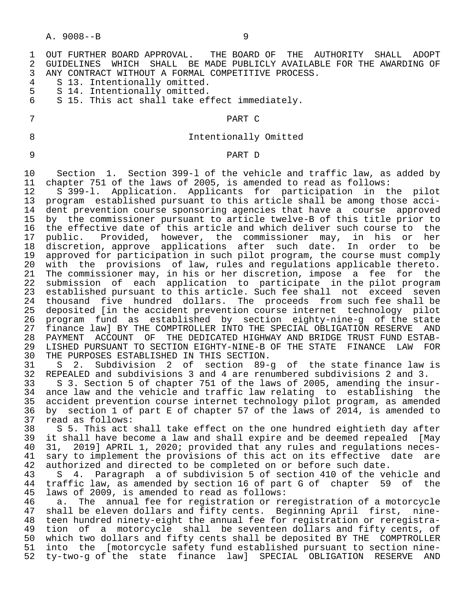1 OUT FURTHER BOARD APPROVAL. THE BOARD OF THE AUTHORITY SHALL ADOPT<br>2 GUIDELINES WHICH SHALL BE MADE PUBLICLY AVAILABLE FOR THE AWARDING OF 2 GUIDELINES WHICH SHALL BE MADE PUBLICLY AVAILABLE FOR THE AWARDING OF<br>3 ANY CONTRACT WITHOUT A FORMAL COMPETITIVE PROCESS. 3 ANY CONTRACT WITHOUT A FORMAL COMPETITIVE PROCESS.<br>4 S 13. Intentionally omitted. 4 S 13. Intentionally omitted.<br>5 S 14. Intentionally omitted. 5 S 14. Intentionally omitted.<br>6 S 15. This act shall take ef S 15. This act shall take effect immediately. 7 PART C 8 Intentionally Omitted 9 PART D 10 Section 1. Section 399-l of the vehicle and traffic law, as added by 11 chapter 751 of the laws of 2005, is amended to read as follows: 12 S 399-l. Application. Applicants for participation in the pilot 13 program established pursuant to this article shall be among those acci-<br>14 dent prevention course sponsoring agencies that have a course approved

dent prevention course sponsoring agencies that have a course approved 15 by the commissioner pursuant to article twelve-B of this title prior to<br>16 the effective date of this article and which deliver such course to the 16 the effective date of this article and which deliver such course to the<br>17 public. Provided, however, the commissioner may, in his or her 17 public. Provided, however, the commissioner may, in his or<br>18 discretion, approve applications after such date. In order to 18 discretion, approve applications after such date. In order to be<br>19 approved for participation in such pilot program, the course must comply 19 approved for participation in such pilot program, the course must comply<br>20 with the provisions of law, rules and regulations applicable thereto. 20 with the provisions of law, rules and regulations applicable thereto.<br>21 The commissioner may, in his or her discretion, impose a fee for the 21 The commissioner may, in his or her discretion, impose a fee for the<br>22 submission of each application to participate in the pilot program 22 submission of each application to participate in the pilot program 23 established pursuant to this article. Such fee shall not exceed seven<br>24 thousand five hundred dollars. The proceeds from such fee shall be 24 thousand five hundred dollars. The proceeds from such fee shall be<br>25 deposited [in the accident prevention course internet technology pilot 25 deposited [in the accident prevention course internet technology pilot 26 program fund as established by section eighty-nine-g of the state 27 finance law] BY THE COMPTROLLER INTO THE SPECIAL OBLIGATION RESERVE AND<br>28 PAYMENT ACCOUNT OF THE DEDICATED HIGHWAY AND BRIDGE TRUST FUND ESTAB-28 PAYMENT ACCOUNT OF THE DEDICATED HIGHWAY AND BRIDGE TRUST FUND ESTAB-<br>29 LISHED PURSUANT TO SECTION EIGHTY-NINE-B OF THE STATE FINANCE LAW FOR 29 LISHED PURSUANT TO SECTION EIGHTY-NINE-B OF THE STATE FINANCE LAW FOR<br>30 THE PURPOSES ESTABLISHED IN THIS SECTION. 30 THE PURPOSES ESTABLISHED IN THIS SECTION.<br>31 S 2. Subdivision 2 of section 89-

31 S 2. Subdivision 2 of section 89-g of the state finance law is<br>32 REPEALED and subdivisions 3 and 4 are renumbered subdivisions 2 and 3. REPEALED and subdivisions 3 and 4 are renumbered subdivisions 2 and 3. 33 S 3. Section 5 of chapter 751 of the laws of 2005, amending the insur- 34 ance law and the vehicle and traffic law relating to establishing the<br>35 accident prevention course internet technology pilot program, as amended 35 accident prevention course internet technology pilot program, as amended<br>36 by section 1 of part E of chapter 57 of the laws of 2014, is amended to 36 by section 1 of part E of chapter 57 of the laws of 2014, is amended to

37 read as follows:<br>38 S 5. This act 38 S 5. This act shall take effect on the one hundred eightieth day after<br>39 it shall have become a law and shall expire and be deemed repealed [Mav 39 it shall have become a law and shall expire and be deemed repealed [May 40 31, 2019] APRIL 1, 2020; provided that any rules and regulations neces-<br>41 sary to implement the provisions of this act on its effective date are 41 sary to implement the provisions of this act on its effective date are<br>42 authorized and directed to be completed on or before such date. 42 authorized and directed to be completed on or before such date.<br>43 S 4. Paragraph a of subdivision 5 of section 410 of the ve

S 4. Paragraph a of subdivision 5 of section 410 of the vehicle and 44 traffic law, as amended by section 16 of part G of chapter 59 of the 45 laws of 2009, is amended to read as follows:

46 a. The annual fee for registration or reregistration of a motorcycle<br>47 shall be eleven dollars and fifty cents. Beginning April first, nineshall be eleven dollars and fifty cents. Beginning April first, nine-48 teen hundred ninety-eight the annual fee for registration or reregistra-<br>49 tion of a motorcycle shall be seventeen dollars and fifty cents, of tion of a motorcycle shall be seventeen dollars and fifty cents, of 50 which two dollars and fifty cents shall be deposited BY THE COMPTROLLER<br>51 into the [motorcycle safety fund established pursuant to section nineinto the [motorcycle safety fund established pursuant to section nine-52 ty-two-g of the state finance law] SPECIAL OBLIGATION RESERVE AND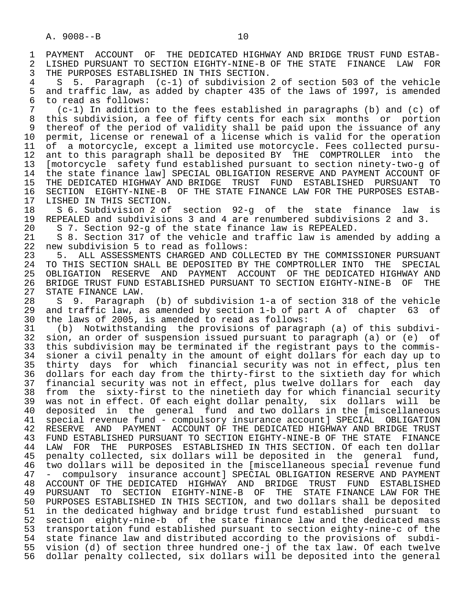1 PAYMENT ACCOUNT OF THE DEDICATED HIGHWAY AND BRIDGE TRUST FUND ESTAB-<br>2 LISHED PURSUANT TO SECTION EIGHTY-NINE-B OF THE STATE FINANCE LAW FOR 2 LISHED PURSUANT TO SECTION EIGHTY-NINE-B OF THE STATE FINANCE LAW FOR<br>3 THE PURPOSES ESTABLISHED IN THIS SECTION. 3 THE PURPOSES ESTABLISHED IN THIS SECTION.<br>4 5 5 Paragraph (c-1) of subdivision

 4 S 5. Paragraph (c-1) of subdivision 2 of section 503 of the vehicle 5 and traffic law, as added by chapter 435 of the laws of 1997, is amended<br>6 to read as follows: 6 to read as follows:<br>7 (c-1) In addition

 7 (c-1) In addition to the fees established in paragraphs (b) and (c) of 8 this subdivision, a fee of fifty cents for each six months or portion<br>9 thereof of the period of validity shall be paid upon the issuance of any 9 thereof of the period of validity shall be paid upon the issuance of any<br>10 permit, license or renewal of a license which is valid for the operation 10 permit, license or renewal of a license which is valid for the operation<br>11 of a motorcycle, except a limited use motorcycle. Fees collected pursu-11 of a motorcycle, except a limited use motorcycle. Fees collected pursu-<br>12 ant to this paragraph shall be deposited BY THE COMPTROLLER into the 12 ant to this paragraph shall be deposited BY THE COMPTROLLER into the<br>13 Imotorcycle safety fund established pursuant to section ninety-two-g of 13 [motorcycle safety fund established pursuant to section ninety-two-g of 14 the state finance law] SPECIAL OBLIGATION RESERVE AND PAYMENT ACCOUNT OF 15 THE DEDICATED HIGHWAY AND BRIDGE TRUST FUND ESTABLISHED PURSUANT TO 16 SECTION EIGHTY-NINE-B OF THE STATE FINANCE LAW FOR THE PURPOSES ESTAB-<br>17 LISHED IN THIS SECTION.

17 LISHED IN THIS SECTION.<br>18 S 6. Subdivision 2 of 18 S 6. Subdivision 2 of section 92-g of the state finance law is<br>19 REPEALED and subdivisions 3 and 4 are renumbered subdivisions 2 and 3. 19 REPEALED and subdivisions 3 and 4 are renumbered subdivisions 2 and 3.<br>20 S 7. Section 92-g of the state finance law is REPEALED.

20 S 7. Section 92-g of the state finance law is REPEALED.

21 S 8. Section 317 of the vehicle and traffic law is amended by adding a<br>22 new subdivision 5 to read as follows: 22 new subdivision 5 to read as follows:<br>23 5. ALL ASSESSMENTS CHARGED AND COL

23 5. ALL ASSESSMENTS CHARGED AND COLLECTED BY THE COMMISSIONER PURSUANT<br>24 TO THIS SECTION SHALL BE DEPOSITED BY THE COMPTROLLER INTO THE SPECIAL 24 TO THIS SECTION SHALL BE DEPOSITED BY THE COMPTROLLER INTO THE SPECIAL<br>25 OBLIGATION RESERVE AND PAYMENT ACCOUNT OF THE DEDICATED HIGHWAY AND 25 OBLIGATION RESERVE AND PAYMENT ACCOUNT OF THE DEDICATED HIGHWAY AND 26 BRIDGE TRUST FUND ESTABLISHED PURSUANT TO SECTION EIGHTY-NINE-B OF THE 27 STATE FINANCE LAW.<br>28 S 9. Paragraph

28 S 9. Paragraph (b) of subdivision 1-a of section 318 of the vehicle<br>29 and traffic law, as amended by section 1-b of part A of chapter 63 of 29 and traffic law, as amended by section 1-b of part A of chapter 63 of<br>30 the laws of 2005, is amended to read as follows: 30 the laws of 2005, is amended to read as follows:

 31 (b) Notwithstanding the provisions of paragraph (a) of this subdivi- 32 sion, an order of suspension issued pursuant to paragraph (a) or (e) of<br>33 this subdivision may be terminated if the registrant pays to the commis-33 this subdivision may be terminated if the registrant pays to the commis-<br>34 sioner a civil penalty in the amount of eight dollars for each day up to 34 sioner a civil penalty in the amount of eight dollars for each day up to<br>35 thirty days for which financial security was not in effect, plus ten 35 thirty days for which financial security was not in effect, plus ten<br>36 dollars for each day from the thirty-first to the sixtieth day for which dollars for each day from the thirty-first to the sixtieth day for which 37 financial security was not in effect, plus twelve dollars for each day 38 from the sixty-first to the ninetieth day for which financial security<br>39 was not in effect. Of each eight dollar penalty, six dollars will be 39 was not in effect. Of each eight dollar penalty, six dollars will be 40 deposited in the general fund and two dollars in the [miscellaneous<br>41 special revenue fund - compulsory insurance account] SPECIAL OBLIGATION 41 special revenue fund - compulsory insurance account] SPECIAL OBLIGATION 42 RESERVE AND PAYMENT ACCOUNT OF THE DEDICATED HIGHWAY AND BRIDGE TRUST<br>43 FUND ESTABLISHED PURSUANT TO SECTION EIGHTY-NINE-B OF THE STATE FINANCE 43 FUND ESTABLISHED PURSUANT TO SECTION EIGHTY-NINE-B OF THE STATE FINANCE<br>44 LAW FOR THE PURPOSES ESTABLISHED IN THIS SECTION. Of each ten dollar 44 LAW FOR THE PURPOSES ESTABLISHED IN THIS SECTION. Of each ten dollar<br>45 penalty collected, six dollars will be deposited in the general fund, 45 penalty collected, six dollars will be deposited in the general fund, 46 two dollars will be deposited in the [miscellaneous special revenue fund 47 - compulsory insurance account] SPECIAL OBLIGATION RESERVE AND PAYMENT<br>48 ACCOUNT OF THE DEDICATED HIGHWAY AND BRIDGE TRUST FUND ESTABLISHED 48 ACCOUNT OF THE DEDICATED HIGHWAY AND BRIDGE TRUST FUND ESTABLISHED<br>49 PURSUANT TO SECTION EIGHTY-NINE-B OF THE STATE-FINANCE-LAW-FOR-THE 49 PURSUANT TO SECTION EIGHTY-NINE-B OF THE STATE-FINANCE LAW FOR THE 50 PURSUANT TO SECTION EIGHTY-NINE-B OF THE STANDER Shall be deposited 50 PURPOSES ESTABLISHED IN THIS SECTION, and two dollars shall be deposited 51 in the dedicated highway and bridge trust fund established pursuant to 52 section eighty-nine-b of the state finance law and the dedicated mass 53 transportation fund established pursuant to section eighty-nine-c of the 54 state finance law and distributed according to the provisions of subdi- 55 vision (d) of section three hundred one-j of the tax law. Of each twelve 56 dollar penalty collected, six dollars will be deposited into the general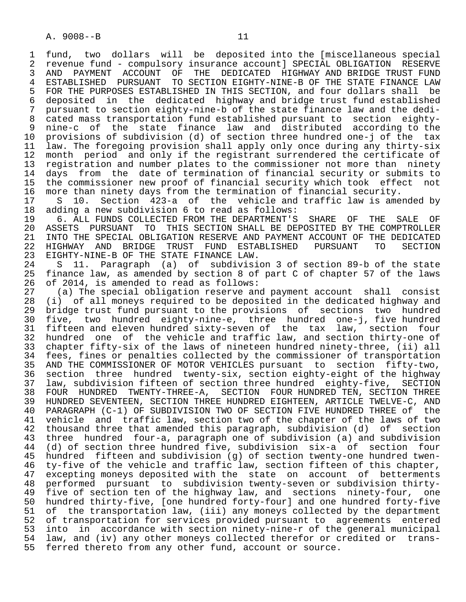1 fund, two dollars will be deposited into the [miscellaneous special 2 revenue fund - compulsory insurance account] SPECIAL OBLIGATION RESERVE<br>3 AND PAYMENT ACCOUNT OF THE DEDICATED HIGHWAY AND BRIDGE TRUST FUND 3 AND PAYMENT ACCOUNT OF THE DEDICATED HIGHWAY—AND—BRIDGE—TRUST—FUND—<br>3 ESTABLISHED—PURSUANT—TO SECTION—EIGHTY-NINE-B OF THE STATE—FINANCE—LAW 4 ESTABLISHED PURSUANT TO SECTION EIGHTY-NINE-B OF THE STATE FINANCE LAW<br>5 FOR THE PURPOSES ESTABLISHED IN THIS SECTION, and four dollars shall be 5 FOR THE PURPOSES ESTABLISHED IN THIS SECTION, and four dollars shall be<br>6 deposited in the dedicated highway and bridge trust fund established 6 deposited in the dedicated highway and bridge trust fund established<br>7 pursuant to section eighty-nine-b of the state finance law and the dedi-7 pursuant to section eighty-nine-b of the state finance law and the dedi-<br>8 cated mass transportation fund established pursuant to section eighty-8 cated mass transportation fund established pursuant to section eighty-<br>9 nine-c of the state finance law and distributed according to the 9 nine-c of the state finance law and distributed according to the<br>10 provisions of subdivision (d) of section three hundred one-i of the tax 10 provisions of subdivision (d) of section three hundred one-j of the tax<br>11 law, The foregoing provision shall apply only once during any thirty-six 11 law. The foregoing provision shall apply only once during any thirty-six<br>12 month period and only if the registrant surrendered the certificate of 12 month period and only if the registrant surrendered the certificate of<br>13 registration and number plates to the commissioner not more than ninety 13 registration and number plates to the commissioner not more than ninety<br>14 days from the date of termination of financial security or submits to days from the date of termination of financial security or submits to 15 the commissioner new proof of financial security which took effect not<br>16 more than ninety days from the termination of financial security. 16 more than ninety days from the termination of financial security.<br>17 S 10. Section 423-a of the vehicle and traffic law is ame

17 S 10. Section 423-a of the vehicle and traffic law is amended by<br>18 adding a new subdivision 6 to read as follows: 18 adding a new subdivision 6 to read as follows:<br>19 6. ALL FUNDS COLLECTED FROM THE DEPARTMENT'S

 19 6. ALL FUNDS COLLECTED FROM THE DEPARTMENT'S SHARE OF THE SALE OF 20 ASSETS PURSUANT TO THIS SECTION SHALL BE DEPOSITED BY THE COMPTROLLER<br>21 INTO THE SPECIAL OBLIGATION RESERVE AND PAYMENT ACCOUNT OF THE DEDICATED 21 INTO THE SPECIAL OBLIGATION RESERVE AND PAYMENT ACCOUNT OF THE DEDICATED<br>22 HIGHWAY AND BRIDGE TRUST FUND ESTABLISHED PURSUANT TO SECTION 22 HIGHWAY AND BRIDGE TRUST FUND ESTABLISHED PURSUANT TO SECTION<br>23 EIGHTY-NINE-BOF THE STATE FINANCE LAW. 23 EIGHTY-NINE-B OF THE STATE FINANCE LAW.<br>24 S 11. Paragraph (a) of subdivisi

 24 S 11. Paragraph (a) of subdivision 3 of section 89-b of the state finance law, as amended by section 8 of part C of chapter 57 of the laws 26 of 2014, is amended to read as follows:<br>27 (a) The special obligation reserve and

27 (a) The special obligation reserve and payment account shall consist<br>28 (i) of all moneys required to be deposited in the dedicated highway and 28 (i) of all moneys required to be deposited in the dedicated highway and 29 bridge trust fund pursuant to the provisions of sections two hundred<br>20 five, two hundred eighty-nine-e, three hundred one-i, five hundred 30 five, two hundred eighty-nine-e, three hundred one-j, five hundred 31 fifteen and eleven hundred sixty-seven of the tax law, section four<br>32 hundred one of the vehicle and traffic law, and section thirty-one of 32 hundred one of the vehicle and traffic law, and section thirty-one of<br>33 chapter fifty-six of the laws of nineteen hundred ninety-three, (ii) all 33 chapter fifty-six of the laws of nineteen hundred ninety-three, (ii) all<br>34 fees, fines or penalties collected by the commissioner of transportation 34 fees, fines or penalties collected by the commissioner of transportation<br>35 AND THE COMMISSIONER OF MOTOR VEHICLES pursuant to section fifty-two. 35 AND THE COMMISSIONER OF MOTOR VEHICLES pursuant to section fifty-two, section three hundred twenty-six, section eighty-eight of the highway 37 law, subdivision fifteen of section three hundred eighty-five, SECTION 38 FOUR HUNDRED TWENTY-THREE-A, SECTION FOUR-HUNDRED-TEN, SECTION-THREE (1999)<br>39 HUNDRED SEVENTEEN, SECTION-THREE HUNDRED-EIGHTEEN, ARTICLE TWELVE-C, AND 39 HUNDRED SEVENTEEN, SECTION THREE HUNDRED EIGHTEEN, ARTICLE TWELVE-C, AND<br>40 PARAGRAPH (C-1) OF SUBDIVISION TWO OF SECTION FIVE HUNDRED THREE of the 40 PARAGRAPH (C-1) OF SUBDIVISION TWO OF SECTION FIVE HUNDRED THREE of the<br>41 vehicle and traffic law, section two of the chapter of the laws of two 41 vehicle and traffic law, section two of the chapter of the laws of two<br>42 thousand three that amended this paragraph, subdivision (d) of section 42 thousand three that amended this paragraph, subdivision (d) of section<br>43 three hundred four-a, paragraph one of subdivision (a) and subdivision 43 three hundred four-a, paragraph one of subdivision (a) and subdivision<br>44 (d) of section three hundred five, subdivision six-a of section four 44 (d) of section three hundred five, subdivision six-a of section four 45 hundred fifteen and subdivision (g) of section twenty-one hundred twen-<br>46 ty-five of the vehicle and traffic law, section fifteen of this chapter, 46 ty-five of the vehicle and traffic law, section fifteen of this chapter,<br>47 excepting moneys deposited with the state on account of betterments 47 excepting moneys deposited with the state on account of betterments<br>48 performed pursuant to subdivision twenty-seven or subdivision thirty- 48 performed pursuant to subdivision twenty-seven or subdivision thirty- 49 five of section ten of the highway law, and sections ninety-four, one<br>50 hundred thirty-five, [one hundred forty-four] and one hundred forty-five 50 hundred thirty-five, [one hundred forty-four] and one hundred forty-five<br>51 of the transportation law, (iii) any moneys collected by the department 51 of the transportation law, (iii) any moneys collected by the department<br>52 of transportation for services provided pursuant to agreements entered 52 of transportation for services provided pursuant to agreements entered<br>53 into in accordance with section ninety-nine-r of the general municipal 53 into in accordance with section ninety-nine-r of the general municipal<br>54 law, and (iv) any other moneys collected therefor or credited or trans-54 law, and (iv) any other moneys collected therefor or credited or trans-<br>55 ferred thereto from any other fund, account or source. ferred thereto from any other fund, account or source.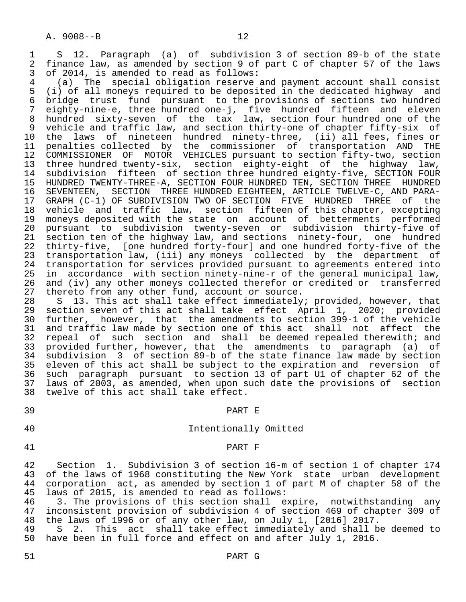1 S 12. Paragraph (a) of subdivision 3 of section 89-b of the state<br>2 finance law, as amended by section 9 of part C of chapter 57 of the laws 2 finance law, as amended by section 9 of part C of chapter 57 of the laws<br>3 of 2014, is amended to read as follows:

3 of 2014, is amended to read as follows:<br>4 (a) The special obligation reserve. 4 (a) The special obligation reserve and payment account shall consist 5 (i) of all moneys required to be deposited in the dedicated highway and 6 bridge trust fund pursuant to the provisions of sections two hundred 7 eighty-nine-e, three hundred one-j, five hundred fifteen and eleven 8 hundred sixty-seven of the tax law, section four hundred one of the<br>9 vehicle and traffic law, and section thirty-one of chapter fifty-six of 9 vehicle and traffic law, and section thirty-one of chapter fifty-six of<br>10 the laws of nineteen hundred ninety-three, (ii) all fees, fines or 10 the laws of nineteen hundred ninety-three, (ii) all fees, fines or<br>11 penalties collected by the commissioner of transportation AND THE 11 penalties collected by the commissioner of transportation AND THE<br>12 COMMISSIONER OF MOTOR VEHICLES pursuant to section fifty-two, section 12 COMMISSIONER OF MOTOR VEHICLES pursuant to section fifty-two, section<br>13 three hundred twenty-six, section eighty-eight of the highway law, 13 three hundred twenty-six, section eighty-eight of the highway law,<br>14 subdivision fifteen of section three hundred eighty-five, SECTION FOUR subdivision fifteen of section three hundred eighty-five, SECTION FOUR 15 HUNDRED TWENTY-THREE-A, SECTION FOUR HUNDRED TEN, SECTION THREE HUNDRED<br>16 SEVENTEEN, SECTION THREE HUNDRED EIGHTEEN, ARTICLE TWELVE-C, AND PARA-16 SEVENTEEN, SECTION THREE HUNDRED EIGHTEEN, ARTICLE TWELVE-C, AND PARA-<br>17 GRAPH (C-1) OF SUBDIVISION TWO OF SECTION FIVE HUNDRED THREE of the 17 GRAPH (C-1) OF SUBDIVISION TWO OF SECTION FIVE HUNDRED THREE of the<br>18 vehicle and traffic law, section fifteen of this chapter, excepting 18 vehicle and traffic law, section fifteen of this chapter, excepting<br>19 moneys deposited with the state on account of betterments performed 19 moneys deposited with the state on account of betterments performed<br>20 pursuant to subdivision twenty-seven or subdivision thirty-five of 20 pursuant to subdivision twenty-seven or subdivision thirty-five of<br>21 section ten of the highway law, and sections ninety-four, one hundred 21 section ten of the highway law, and sections ninety-four, one hundred<br>22 thirty-five, [one hundred forty-four] and one hundred forty-five of the 22 thirty-five, [one hundred forty-four] and one hundred forty-five of the<br>23 transportation law, (iii) any moneys collected by the department of 23 transportation law, (iii) any moneys collected by the department of<br>24 transportation for services provided pursuant to agreements entered into 24 transportation for services provided pursuant to agreements entered into<br>25 in accordance with section ninetv-nine-r of the general municipal law. in accordance with section ninety-nine-r of the general municipal law, 26 and (iv) any other moneys collected therefor or credited or transferred<br>27 thereto from any other fund, account or source. 27 thereto from any other fund, account or source.<br>28 S 13. This act shall take effect immediately

28 S 13. This act shall take effect immediately; provided, however, that<br>29 section seven of this act shall take effect April 1, 2020; provided 29 section seven of this act shall take effect April 1, 2020; provided<br>30 further, however, that the amendments to section 399-1 of the vehicle 30 further, however, that the amendments to section 399-1 of the vehicle 31 and traffic law made by section one of this act shall not affect the<br>32 repeal of such section and shall be deemed repealed therewith; and 32 repeal of such section and shall be-deemed-repealed-therewith; and<br>33 provided-further, however, that the amendments to paragraph (a) of 33 provided further, however, that the amendments to paragraph (a) of 34 subdivision 3 of section 89-b of the state finance law made by section 35 eleven of this act shall be subject to the expiration and reversion of<br>36 such paragraph pursuant to section 13 of part U1 of chapter 62 of the such paragraph pursuant to section 13 of part U1 of chapter 62 of the 37 laws of 2003, as amended, when upon such date the provisions of section<br>38 twelve of this act shall take effect. twelve of this act shall take effect.

### 39 PART E

## 40 Intentionally Omitted

### 41 PART F

 42 Section 1. Subdivision 3 of section 16-m of section 1 of chapter 174 43 of the laws of 1968 constituting the New York state urban development<br>44 corporation act, as amended by section 1 of part M of chapter 58 of the 44 corporation act, as amended by section 1 of part M of chapter 58 of the<br>45 laws of 2015, is amended to read as follows: 45 laws of 2015, is amended to read as follows:

46 3. The provisions of this section shall expire, notwithstanding any<br>47 inconsistent provision of subdivision 4 of section 469 of chapter 309 of inconsistent provision of subdivision 4 of section 469 of chapter 309 of 48 the laws of 1996 or of any other law, on July 1, [2016] 2017.

49 S 2. This act shall take effect immediately and shall be deemed to<br>50 have been in full force and effect on and after July 1, 2016. have been in full force and effect on and after July 1, 2016.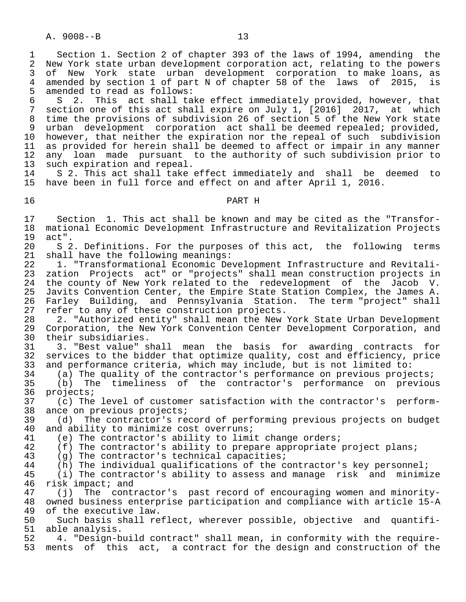A. 9008--B 13

1 Section 1. Section 2 of chapter 393 of the laws of 1994, amending the<br>2 New York state urban development corporation act, relating to the powers 2 New York state urban development corporation act, relating to the powers<br>3 of New York state urban development corporation to make loans, as New York state urban development corporation to make loans, as 4 amended by section 1 of part N of chapter 58 of the laws of 2015, is<br>5 amended to read as follows: 5 amended to read as follows:<br>6 S 2. This act shall ta

6 S 2. This act shall take effect immediately provided, however, that<br>7 section one of this act shall expire on July 1. [2016] 2017. at which section one of this act shall expire on July 1, [2016] 2017, at which 8 time the provisions of subdivision 26 of section 5 of the New York state 9 urban development corporation act shall be deemed repealed; provided,<br>10 however, that neither the expiration nor the repeal of such subdivision 10 however, that neither the expiration nor the repeal of such subdivision<br>11 as provided for herein shall be deemed to affect or impair in any manner 11 as provided for herein shall be deemed to affect or impair in any manner<br>12 any loan made pursuant to the authority of such subdivision prior to 12 any loan made pursuant to the authority of such subdivision prior to 13 such expiration and repeal.

 14 S 2. This act shall take effect immediately and shall be deemed to 15 have been in full force and effect on and after April 1, 2016.

# 16 PART H

 17 Section 1. This act shall be known and may be cited as the "Transfor- 18 mational Economic Development Infrastructure and Revitalization Projects<br>19 act". 19 act".<br>20 S 2

20 S 2. Definitions. For the purposes of this act, the following terms<br>21 shall have the following meanings: shall have the following meanings:

22 1. "Transformational Economic Development Infrastructure and Revitali-<br>23 zation Projects act" or "projects" shall mean construction projects in 23 zation Projects act" or "projects" shall mean construction projects in 24 the county of New York related to the redevelopment of the Jacob V.<br>25 Javits Convention Center, the Empire State Station Complex, the James A. 25 Javits Convention Center, the Empire State Station Complex, the James A.<br>26 Farley Building, and Pennsylvania Station. The term "project" shall 26 Farley Building, and Pennsylvania Station.<br>27 refer to any of these construction projects. 27 refer to any of these construction projects.<br>28 2. "Authorized entity" shall mean the New

28 2. "Authorized entity" shall mean the New York State Urban Development<br>29 Corporation, the New York Convention Center Development Corporation, and 29 Corporation, the New York Convention Center Development Corporation, and<br>30 their subsidiaries. 30 their subsidiaries.<br>31 3. "Best value" s

31 3. "Best value" shall mean the basis for awarding contracts for<br>32 services to the bidder that optimize quality, cost and efficiency, price 32 services to the bidder that optimize quality, cost and efficiency, price<br>33 and performance criteria, which may include, but is not limited to: 33 and performance criteria, which may include, but is not limited to:<br>34 (a) The quality of the contractor's performance on previous proje

34 (a) The quality of the contractor's performance on previous projects;<br>35 (b) The timeliness of the contractor's performance on previou 35 (b) The timeliness of the contractor's performance on previous 36 projects;<br>37 (c) The

 37 (c) The level of customer satisfaction with the contractor's perform- 38 ance on previous projects;<br>39 (d) The contractor's re

 39 (d) The contractor's record of performing previous projects on budget 40 and ability to minimize cost overruns;<br>41 (e) The contractor's ability to limi

41 (e) The contractor's ability to limit change orders;<br>42 (f) The contractor's ability to prepare appropriate

42 (f) The contractor's ability to prepare appropriate project plans;<br>43 (q) The contractor's technical capacities;

43 (g) The contractor's technical capacities;<br>44 (h) The individual qualifications of the co

44 (h) The individual qualifications of the contractor's key personnel;<br>45 (i) The contractor's ability to assess and manage risk and minimi

 $(i)$  The contractor's ability to assess and manage risk and minimize 46 risk impact; and<br>47 (j) The cont:

 47 (j) The contractor's past record of encouraging women and minority- 48 owned business enterprise participation and compliance with article 15-A<br>49 of the executive law. 49 of the executive law.<br>50 Such basis shall re

Such basis shall reflect, wherever possible, objective and quantifi-

51 able analysis.<br>52 4. "Design-b 52 4. "Design-build contract" shall mean, in conformity with the require-<br>53 ments of this act, a contract for the design and construction of the ments of this act, a contract for the design and construction of the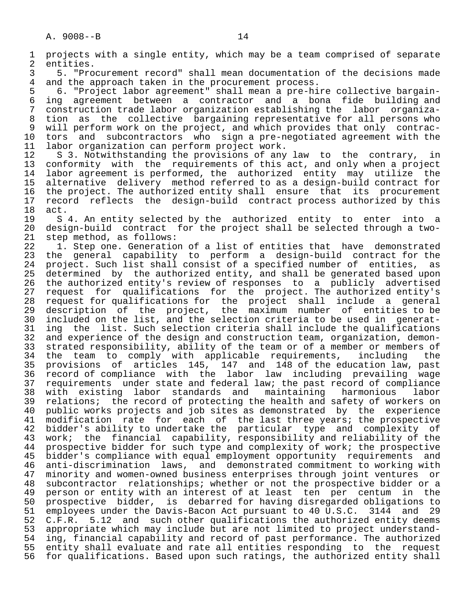A. 9008--B 14 1 projects with a single entity, which may be a team comprised of separate<br>2 entities. 2 entities.<br>3 5. "Pro 3 5. "Procurement record" shall mean documentation of the decisions made<br>4 and the approach taken in the procurement process. 4 and the approach taken in the procurement process.<br>5 6. "Project labor agreement" shall mean a pre-hi 5 6. "Project labor agreement" shall mean a pre-hire collective bargain- 6 ing agreement between a contractor and a bona fide building and 7 construction trade labor organization establishing the labor organiza- 8 tion as the collective bargaining representative for all persons who 9 will perform work on the project, and which provides that only contrac-<br>10 tors and subcontractors who sign a pre-negotiated agreement with the 10 tors and subcontractors who sign a pre-negotiated agreement with the<br>11 labor organization can perform project work. 11 labor organization can perform project work.<br>12 S 3. Notwithstanding the provisions of any 12 S 3. Notwithstanding the provisions of any law to the contrary, in<br>13 conformity with the requirements of this act, and only when a project 13 conformity with the requirements of this act, and only when a project<br>14 labor agreement is performed, the authorized entity may utilize the 14 labor agreement is performed, the authorized entity may utilize the 15 alternative delivery method referred to as a design-build contract for 16 the project. The authorized entity shall ensure that its procurement<br>17 record reflects the design-build contract process authorized by this 17 record reflects the design-build contract process authorized by this<br>18 act. 18 act.<br>19 S 19 S 4. An entity selected by the authorized entity to enter into a<br>20 design-build contract for the project shall be selected through a two- 20 design-build contract for the project shall be selected through a two- 21 step method, as follows:<br>22 1. Step one. Generatio 22 1. Step one. Generation of a list of entities that have demonstrated<br>23 the general capability to perform a design-build contract for the the general capability to perform a design-build contract for the 23 cm suncture superfield to the constant of a specified number of entities, as<br>25 determined by the authorized entity, and shall be generated based upon determined by the authorized entity, and shall be generated based upon 26 the authorized entity's review of responses to a publicly advertised 27 request for qualifications for the project. The authorized entity's<br>28 request for qualifications for the project shall include a general

28 request for qualifications for the project shall include a general<br>29 description of the project, the maximum number of entities to be 29 description of the project, the maximum number of entities to be<br>30 included on the list, and the selection criteria to be used in generat-30 included on the list, and the selection criteria to be used in generat-<br>31 ing the list, Such selection criteria shall include the qualifications 31 ing the list. Such selection criteria shall include the qualifications<br>32 and experience of the design and construction team, organization, demon-32 and experience of the design and construction team, organization, demon-<br>33 strated responsibility, ability of the team or of a member or members of 33 strated responsibility, ability of the team or of a member or members of<br>34 the team to comply with applicable requirements, including the 34 the team to comply with applicable requirements, including the 35 provisions of articles 145, 147 and 148 of the education law, past 36 record of compliance with the labor law including prevailing wage 37 requirements under state and federal law; the past record of compliance<br>38 with existing labor standards and maintaining harmonious labor 38 with existing labor standards and maintaining harmonious labor<br>39 relations; the record of protecting the health and safety of workers on 39 relations; the record of protecting the health and safety of workers on<br>40 public works projects and job sites as demonstrated by the experience 40 public works projects and job sites as demonstrated by the experience<br>41 modification rate for each of the last three years; the prospective 41 modification rate for each of the last three years; the prospective<br>42 bidder's ability to undertake the particular type and complexity of 42 bidder's ability to undertake the particular type and complexity of 43 work; the financial capability, responsibility and reliability of the 44 prospective bidder for such type and complexity of work; the prospective<br>45 bidder's compliance with equal employment opportunity requirements and 45 bidder's compliance with equal employment opportunity requirements and 46 anti-discrimination laws, and demonstrated commitment to working with 47 minority and women-owned business enterprises through joint ventures or 48 subcontractor relationships; whether or not the prospective bidder or a<br>49 person or entity with an interest of at least ten per centum in the 49 person or entity with an interest of at least ten per centum in the<br>50 prospective bidder, is debarred for having disregarded obligations to 50 prospective bidder, is debarred for having disregarded obligations to<br>51 employees under the Davis-Bacon Act pursuant to 40 U.S.C. 3144 and 29 51 employees under the Davis-Bacon Act pursuant to 40 U.S.C. 3144 and 29<br>52 C.F.R. 5.12 and such other qualifications the authorized entity deems 52 C.F.R. 5.12 and such other qualifications the authorized entity deems<br>53 appropriate which may include but are not limited to project understand-53 appropriate which may include but are not limited to project understand-<br>54 ing, financial capability and record of past performance. The authorized 54 ing, financial capability and record of past performance. The authorized<br>55 entity shall evaluate and rate all entities responding to the request 55 entity shall evaluate and rate all entities responding to the request<br>56 for qualifications. Based upon such ratings, the authorized entity shall for qualifications. Based upon such ratings, the authorized entity shall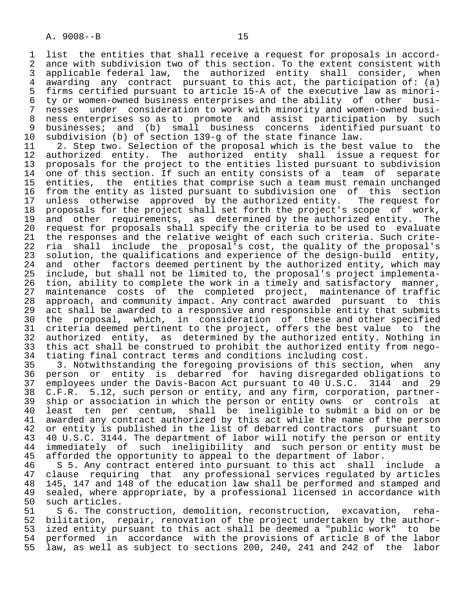1 list the entities that shall receive a request for proposals in accord-<br>2 ance with subdivision two of this section. To the extent consistent with 2 ance with subdivision two of this section. To the extent consistent with<br>3 applicable federal law, the authorized entity shall consider, when 3 applicable federal law, the authorized entity shall consider, when<br>4 awarding any contract pursuant to this act, the participation of: (a) 4 awarding any contract pursuant to this act, the participation of: (a)<br>5 firms certified pursuant to article 15-A of the executive law as minori-5 firms certified pursuant to article 15-A of the executive law as minori-<br>6 ty or women-owned business enterprises and the ability of other busi- 6 ty or women-owned business enterprises and the ability of other busi- 7 nesses under consideration to work with minority and women-owned busi-<br>8 ness enterprises so as to promote and assist participation by such 8 ness enterprises so as to promote and assist participation by such<br>8 businesses; and (b) small business concerns identified pursuant to 9 businesses; and (b) small business concerns identified pursuant to<br>10 subdivision (b) of section 139-g of the state finance law.

 10 subdivision (b) of section 139-g of the state finance law. 11 2. Step two. Selection of the proposal which is the best value to the<br>12 authorized entity. The authorized entity shall issue a request for 12 authorized entity. The authorized entity shall issue a request for 13 proposals for the project to the entities listed pursuant to subdivision 14 one of this section. If such an entity consists of a team of separate 15 entities, the entities that comprise such a team must remain unchanged<br>16 from the entity as listed pursuant to subdivision one of this section 16 from the entity as listed pursuant to subdivision one of this section<br>17 unless otherwise approved by the authorized entity. The request for 17 unless otherwise approved by the authorized entity.<br>18 proposals for the project shall set forth the project's 18 proposals for the project shall set forth the project's scope of work,<br>19 and other requirements, as determined by the authorized entity. The 19 and other requirements, as determined by the authorized entity. The<br>20 request for proposals shall specify the criteria to be used to evaluate 20 request for proposals shall specify the criteria to be used to evaluate<br>21 the responses and the relative weight of each such criteria. Such crite-21 the responses and the relative weight of each such criteria. Such crite-<br>22 ria shall include the proposal's cost, the quality of the proposal's 22 ria shall include the proposal's cost, the quality of the proposal's<br>23 solution, the qualifications and experience of the design-build entity, 23 solution, the qualifications and experience of the design-build entity,<br>24 and other factors deemed pertinent by the authorized entity, which may 24 and other factors deemed pertinent by the authorized entity, which may<br>25 include, but shall not be limited to, the proposal's project implementainclude, but shall not be limited to, the proposal's project implementa-26 tion, ability to complete the work in a timely and satisfactory manner,<br>27 maintenance costs of the completed project, maintenance of traffic 27 maintenance costs of the completed project, maintenance of traffic<br>28 approach, and community impact. Any contract awarded pursuant to this 28 approach, and community impact. Any contract awarded pursuant to this<br>29 act shall be awarded to a responsive and responsible entity that submits 29 act shall be awarded to a responsive and responsible entity that submits<br>30 the proposal, which, in consideration of these and other specified 30 the proposal, which, in consideration of these and other specified<br>31 criteria deemed pertinent to the project, offers the best value to the 31 criteria deemed pertinent to the project, offers the best value to the<br>32 authorized entity, as determined by the authorized entity. Nothing in 32 authorized entity, as determined by the authorized entity. Nothing in<br>33 this act shall be construed to prohibit the authorized entity from nego-33 this act shall be construed to prohibit the authorized entity from nego-<br>34 tiating final contract terms and conditions including cost. 34 tiating final contract terms and conditions including cost.<br>35 3. Notwithstanding the foregoing provisions of this secti-

35 3. Notwithstanding the foregoing provisions of this section, when any<br>36 person or entity is debarred for having disregarded obligations to 36 person or entity is debarred for having disregarded obligations to 37 employees under the Davis-Bacon Act pursuant to 40 U.S.C. 3144 and 29 38 C.F.R. 5.12, such person or entity, and any firm, corporation, partner- 39 ship or association in which the person or entity owns or controls at<br>40 least ten per centum, shall be ineligible to submit a bid on or be 40 least ten per centum, shall be ineligible to submit a bid on or be<br>41 awarded any contract authorized by this act while the name of the person 41 awarded any contract authorized by this act while the name of the person<br>42 or entity is published in the list of debarred contractors pursuant to 42 or entity is published in the list of debarred contractors pursuant to<br>43 40 U.S.C. 3144. The department of labor will notify the person or entity 43 40 U.S.C. 3144. The department of labor will notify the person or entity<br>44 immediately of such ineligibility and such person or entity must be 44 immediately of such ineligibility and such person or entity must be<br>45 afforded the opportunity to appeal to the department of labor. 45 afforded the opportunity to appeal to the department of labor.<br>46 S 5. Any contract entered into pursuant to this act shall

46 S 5. Any contract entered into pursuant to this act shall include a<br>47 clause requiring that any professional services requlated by articles 47 clause requiring that any professional services regulated by articles<br>48 145, 147 and 148 of the education law shall be performed and stamped and 48 145, 147 and 148 of the education law shall be performed and stamped and<br>49 sealed, where appropriate, by a professional licensed in accordance with 49 sealed, where appropriate, by a professional licensed in accordance with 50 such articles. 50 such articles.<br>51 S 6. The con

51 S 6. The construction, demolition, reconstruction, excavation, reha-<br>52 bilitation, repair, renovation of the project undertaken by the author-52 bilitation, repair, renovation of the project undertaken by the author-<br>53 ized entity pursuant to this act shall be deemed a "public work" to be 53 ized entity pursuant to this act shall be deemed a "public work" to be<br>54 performed in accordance with the provisions of article 8 of the labor 54 performed in accordance with the provisions of article 8 of the labor<br>55 law, as well as subject to sections 200, 240, 241 and 242 of the labor law, as well as subject to sections 200, 240, 241 and 242 of the labor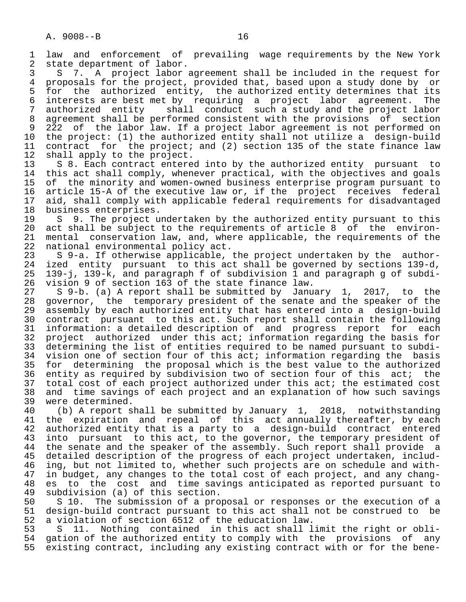1 law and enforcement of prevailing wage requirements by the New York<br>2 state department of labor. 2 state department of labor.<br>3 S 7. A project labor.

3 S 7. A project labor agreement shall be included in the request for<br>4 proposals for the project, provided that, based upon a study done by or 4 proposals for the project, provided that, based upon a study done by or<br>5 for the authorized entity, the authorized entity determines that its 5 for the authorized entity, the authorized entity determines that its<br>6 interests are best met by requiring a project labor agreement. The 6 interests are best met by requiring a project labor agreement. The<br>7 authorized entity shall conduct such a study and the project labor shall conduct such a study and the project labor 8 agreement shall be performed consistent with the provisions of section<br>9 222 of the labor law. If a project labor agreement is not performed on 9 222 of the labor law. If a project labor agreement is not performed on<br>10 the project: (1) the authorized entity shall not utilize a design-build 10 the project: (1) the authorized entity shall not utilize a design-build<br>11 contract for the project; and (2) section 135 of the state finance law 11 contract for the project; and (2) section 135 of the state finance law<br>12 shall apply to the project. 12 shall apply to the project.<br>13 S 8. Each contract entered

13 S 8. Each contract entered into by the authorized entity pursuant to<br>14 this act shall comply, whenever practical, with the objectives and goals this act shall comply, whenever practical, with the objectives and goals 15 of the minority and women-owned business enterprise program pursuant to<br>16 article 15-A of the executive law or, if the project receives federal 16 article 15-A of the executive law or, if the project receives federal 17 aid, shall comply with applicable federal requirements for disadvantaged<br>18 business enterprises. 18 business enterprises.<br>19 S 9. The project up

19 S 9. The project undertaken by the authorized entity pursuant to this<br>20 act shall be subject to the requirements of article 8 of the environ-20 act shall be subject to the requirements of article 8 of the environ-<br>21 mental conservation law, and, where applicable, the requirements of the 21 mental conservation law, and, where applicable, the requirements of the 22 national environmental policy act. 22 national environmental policy act.<br>23 S 9-a. If otherwise applicable,

23 S 9-a. If otherwise applicable, the project undertaken by the author-<br>24 ized entity pursuant to this act shall be governed by sections 139-d. 24 ized entity pursuant to this act shall be governed by sections 139-d,<br>25 139-i, 139-k, and paragraph f of subdivision 1 and paragraph g of subdi- 25 139-j, 139-k, and paragraph f of subdivision 1 and paragraph g of subdi- 26 vision 9 of section 163 of the state finance law.

27 S 9-b. (a) A report shall be submitted by January 1, 2017, to the<br>28 governor, the temporary president of the senate and the speaker of the 28 governor, the temporary president of the senate and the speaker of the<br>29 assembly by each authorized entity that has entered into a design-build 29 assembly by each authorized entity that has entered into a design-build<br>20 contract pursuant to this act. Such report shall contain the following 30 contract pursuant to this act. Such report shall contain the following<br>31 information: a detailed description of and progress report for each 31 information: a detailed description of and progress report for each<br>32 project authorized under this act; information regarding the basis for 32 project authorized under this act; information regarding the basis for<br>33 determining the list of entities required to be named pursuant to subdi-33 determining the list of entities required to be named pursuant to subdi-<br>34 vision one of section four of this act; information regarding the basis 34 vision one of section four of this act; information regarding the basis<br>35 for determining the proposal which is the best value to the authorized 35 for determining the proposal which is the best value to the authorized<br>36 entity as required by subdivision two of section four of this act; the entity as required by subdivision two of section four of this act; the 37 total cost of each project authorized under this act; the estimated cost<br>38 and time savings of each project and an explanation of how such savings 38 and time savings of each project and an explanation of how such savings<br>39 were determined. 39 were determined.<br>40 (b) A report s

40 (b) A report shall be submitted by January 1, 2018, notwithstanding<br>41 the expiration and repeal of this act annually thereafter, by each 41 the expiration and repeal of this act-annually-thereafter, by-each<br>42 authorized entity that is a party to a design-build contract entered 42 authorized entity that is a party to a design-build contract entered<br>43 into pursuant to this act, to the governor, the temporary president of 43 into pursuant to this act, to the governor, the temporary president of<br>44 the senate and the speaker of the assembly. Such report shall provide a 44 the senate and the speaker of the assembly. Such report shall provide a<br>45 detailed description of the progress of each project undertaken, includdetailed description of the progress of each project undertaken, includ-46 ing, but not limited to, whether such projects are on schedule and with-<br>47 in budget, any changes to the total cost of each project, and any chang-47 in budget, any changes to the total cost of each project, and any chang-<br>48 es to the cost and time savings anticipated as reported pursuant to 48 es to the cost and time savings anticipated as reported pursuant to<br>49 subdivision (a) of this section. 49 subdivision (a) of this section.<br>50 S 10. The submission of a pro

50 S 10. The submission of a proposal or responses or the execution of a<br>51 design-build contract pursuant to this act shall not be construed to be 51 design-build contract pursuant to this act shall not be construed to be 52 a violation of section 6512 of the education law. 52 a violation of section 6512 of the education law.<br>53 S 11. Nothing contained in this act shall l

53 S 11. Nothing contained in this act shall limit the right or obli-<br>54 gation of the authorized entity to comply with the provisions of any 54 gation of the authorized entity to comply with the provisions of any<br>55 existing contract, including any existing contract with or for the beneexisting contract, including any existing contract with or for the bene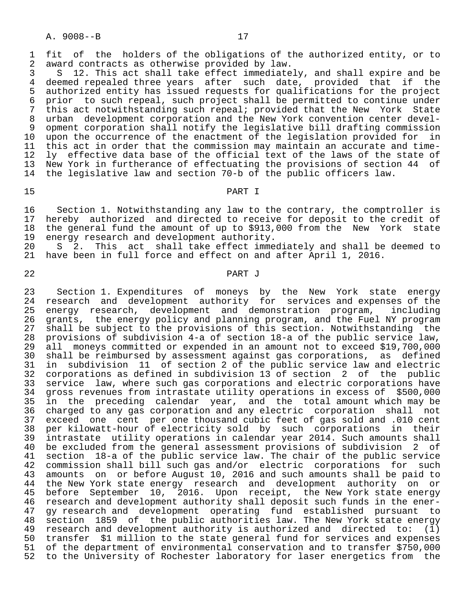A. 9008--B 17

1 fit of the holders of the obligations of the authorized entity, or to<br>2 award contracts as otherwise provided by law. 2 award contracts as otherwise provided by law.<br>3 S 12. This act shall take effect immediate

3 S 12. This act shall take effect immediately, and shall expire and be<br>4 deemed repealed three vears after such date, provided that if the 4 deemed repealed three years after such date, provided that if the<br>5 authorized entity has issued requests for qualifications for the project 5 authorized entity has issued requests for qualifications for the project<br>6 prior to such repeal, such project shall be permitted to continue under 6 prior to such repeal, such project shall be permitted to continue under<br>7 this act notwithstanding such repeal; provided that the New York State 7 this act notwithstanding such repeal; provided that the New York State<br>8 urban development corporation and the New York convention center devel- 8 urban development corporation and the New York convention center devel- 9 opment corporation shall notify the legislative bill drafting commission<br>10 upon the occurrence of the enactment of the legislation provided for in 10 upon the occurrence of the enactment of the legislation provided for<br>11 this act in order that the commission may maintain an accurate and t 11 this act in order that the commission may maintain an accurate and time-<br>12 ly effective data base of the official text of the laws of the state of 12 ly effective data base of the official text of the laws of the state of<br>13 New York in furtherance of effectuating the provisions of section 44 of 13 New York in furtherance of effectuating the provisions of section 44 of<br>14 the legislative law and section 70-b of the public officers law. the legislative law and section 70-b of the public officers law.

### 15 PART I

16 Section 1. Notwithstanding any law to the contrary, the comptroller is<br>17 hereby authorized and directed to receive for deposit to the credit of 17 hereby authorized and directed to receive for deposit to the credit of<br>18 the general fund the amount of up to \$913,000 from the New York state 18 the general fund the amount of up to \$913,000 from the New York state<br>19 energy research and development authority. 19 energy research and development authority.<br>20 S 2. This act shall take effect imme

20 S 2. This act shall take effect immediately and shall be deemed to<br>21 have been in full force and effect on and after April 1, 2016. have been in full force and effect on and after April 1, 2016.

#### 22 PART J

 23 Section 1. Expenditures of moneys by the New York state energy 24 research and development authority for services and expenses of the 25 energy research, development and demonstration program, including 26 grants, the energy policy and planning program, and the Fuel NY program<br>27 shall be subject to the provisions of this section. Notwithstanding the 27 shall be subject to the provisions of this section. Notwithstanding the<br>28 provisions of subdivision 4-a of section 18-a of the public service law, 28 provisions of subdivision 4-a of section 18-a of the public service law, 29 all moneys committed or expended in an amount not to exceed \$19,700,000<br>20 shall be reimbursed by assessment against gas corporations, as defined 30 shall be reimbursed by assessment against gas corporations, as defined<br>31 in subdivision 11 of section 2 of the public service law and electric 31 in subdivision 11 of section 2 of the public service law and electric corporations as defined in subdivision 13 of section 2 of the public 33 service law, where such gas corporations and electric corporations have<br>34 gross revenues from intrastate utility operations in excess of \$500,000 34 gross revenues from intrastate utility operations in excess of<br>35 in the preceding calendar year, and the total amount whi 35 in the preceding calendar year, and the total amount which may be<br>36 charged to any gas corporation and any electric corporation shall not 36 charged to any gas corporation and any electric corporation shall not 37 exceed one cent per one thousand cubic feet of gas sold and .010 cent<br>38 per kilowatt-hour of electricity sold by such corporations in their 38 per kilowatt-hour of electricity sold by such corporations in their 39 intrastate utility operations in calendar year 2014. Such amounts shall 40 be excluded from the general assessment provisions of subdivision 2 of<br>41 section 18-a of the public service law. The chair of the public service 41 section 18-a of the public service law. The chair of the public service<br>42 commission shall bill such gas and/or electric corporations for such 42 commission shall bill such gas and/or electric corporations for such<br>43 amounts on or before August 10, 2016 and such amounts shall be paid to 43 amounts on or before August 10, 2016 and such amounts shall be paid to<br>44 the New York state energy research and development authority on or 44 the New York state energy research and development authority on or<br>45 before September 10, 2016. Upon receipt, the New York state energy 45 before September 10, 2016. Upon receipt, the New York state energy<br>46 research and development authority shall deposit such funds in the ener-46 research and development authority shall deposit such funds in the ener-<br>47 gy research and development operating fund established pursuant to 47 gy research and development operating fund established pursuant to 48 section 1859 of the public authorities law. The New York state energy<br>49 research and development authority is authorized and directed to: (1) research and development authority is authorized and directed to: (1) 50 transfer \$1 million to the state general fund for services and expenses<br>51 of the department of environmental conservation and to transfer \$750,000 51 of the department of environmental conservation and to transfer \$750,000<br>52 to the University of Rochester laboratory for laser energetics from the to the University of Rochester laboratory for laser energetics from the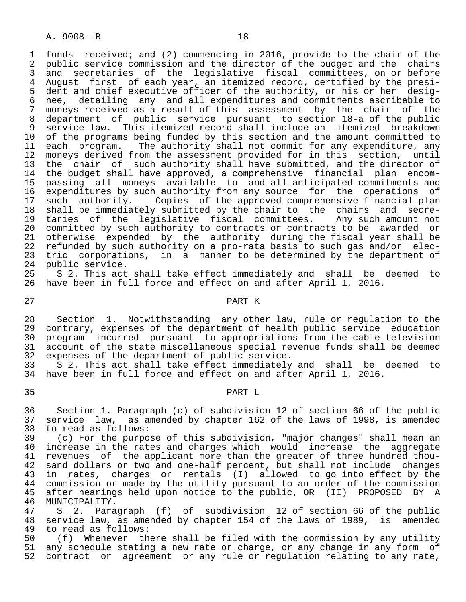1 funds received; and (2) commencing in 2016, provide to the chair of the<br>2 public service commission and the director of the budget and the chairs 2 public service commission and the director of the budget and the chairs<br>3 and secretaries of the legislative fiscal committees, on or before 3 and secretaries of the legislative fiscal committees, on or before<br>4 August first of each vear, an itemized record, certified by the presi-4 August first of each year, an itemized record, certified by the presi-<br>5 dent and chief executive officer of the authority, or his or her desig-5 dent and chief executive officer of the authority, or his or her desig-<br>6 nee, detailing any and all expenditures and commitments ascribable to 6 nee, detailing any and all expenditures and commitments ascribable to<br>7 moneys received as a result of this assessment by the chair of the 7 moneys received as a result of this assessment by the chair of the<br>8 department of public service pursuant to section 18-a of the public 8 department of public service pursuant to section 18-a of the public 9 service law. This itemized record shall include an itemized breakdown<br>10 of the programs being funded by this section and the amount committed to 10 of the programs being funded by this section and the amount committed to<br>11 each program. The authority shall not commit for any expenditure, any 11 each program. The authority shall not commit for any expenditure, any<br>12 moneys derived from the assessment provided for in this section, until 12 moneys derived from the assessment provided for in this section, until<br>13 the chair of such authority shall have submitted, and the director of 13 the chair of such authority shall have submitted, and the director of<br>14 the budget shall have approved, a comprehensive financial plan encomthe budget shall have approved, a comprehensive financial plan encom-15 passing all moneys available to and all anticipated commitments and<br>16 expenditures by such authority from any source for the operations of 16 expenditures by such authority from any source for the operations of 17 such authority. Copies of the approved comprehensive financial plan 18 shall be immediately submitted by the chair to the chairs and secre-<br>19 taries of the legislative fiscal committees. Any such amount not 19 taries of the legislative fiscal committees.<br>20 committed by such authority to contracts or contra 20 committed by such authority to contracts or contracts to be awarded or<br>21 otherwise expended by the authority during the fiscal year shall be 21 otherwise expended by the authority during the fiscal year shall be<br>22 refunded by such authority on a pro-rata basis to such gas and/or elec-22 refunded by such authority on a pro-rata basis to such gas and/or elec-<br>23 tric corporations, in a manner to be determined by the department of 23 tric corporations, in a manner to be determined by the department of 24 public service. 24 public service.<br>25 S 2. This act

 25 S 2. This act shall take effect immediately and shall be deemed to 26 have been in full force and effect on and after April 1, 2016.

# 27 PART K

28 Section 1. Notwithstanding any other law, rule or regulation to the<br>29 contrary, expenses of the department of health public service education 29 contrary, expenses of the department of health public service education<br>20 program incurred pursuant to appropriations from the cable television 30 program incurred pursuant to appropriations from the cable television<br>31 account of the state miscellaneous special revenue funds shall be deemed 31 account of the state miscellaneous special revenue funds shall be deemed<br>32 expenses of the department of public service. 32 expenses of the department of public service.<br>33 S 2. This act shall take effect immediately

33 S 2. This act shall take effect immediately and shall be deemed to<br>34 have been in full force and effect on and after April 1, 2016. have been in full force and effect on and after April 1, 2016.

#### 35 PART L

 36 Section 1. Paragraph (c) of subdivision 12 of section 66 of the public 37 service law, as amended by chapter 162 of the laws of 1998, is amended 38 to read as follows: 38 to read as follows:<br>39 (c) For the purpo:

39 (c) For the purpose of this subdivision, "major changes" shall mean an<br>40 increase in the rates and charges which would increase the aggregate 40 increase in the rates and charges which would increase the aggregate<br>41 revenues of the applicant more than the greater of three hundred thou-41 revenues of the applicant more than the greater of three hundred thou-<br>42 sand dollars or two and one-half percent, but shall not include changes 42 sand dollars or two and one-half percent, but shall not include changes<br>43 in rates, charges or rentals (I) allowed to go into effect by the 43 in rates, charges or rentals (I) allowed to go into effect by the 44 commission or made by the utility pursuant to an order of the commission 44 commission or made by the utility pursuant to an order of the commission<br>45 after hearings held upon notice to the public, OR (II) PROPOSED BY A 45 after hearings held upon notice to the public, OR (II) PROPOSED BY A<br>46 MUNICIPALITY. 46 MUNICIPALITY.<br>47 S 2. Para

 47 S 2. Paragraph (f) of subdivision 12 of section 66 of the public 48 service law, as amended by chapter 154 of the laws of 1989, is amended 49 to read as follows: 49 to read as follows:<br>50 (f) Whenever th

50 (f) Whenever there shall be filed with the commission by any utility<br>51 any schedule stating a new rate or charge, or any change in any form of any schedule stating a new rate or charge, or any change in any form of 52 contract or agreement or any rule or regulation relating to any rate,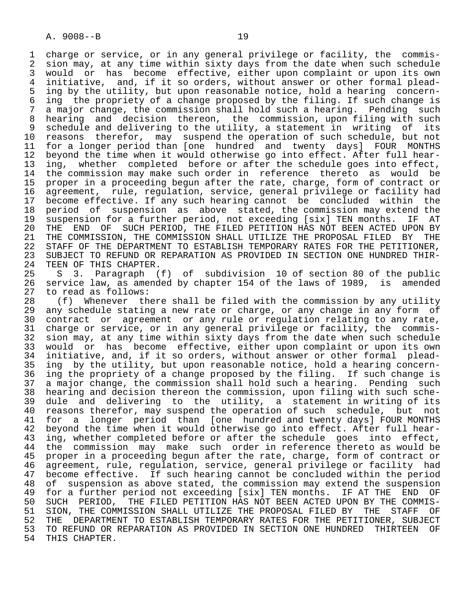1 charge or service, or in any general privilege or facility, the commis-<br>2 sion may, at any time within sixty days from the date when such schedule 2 sion may, at any time within sixty days from the date when such schedule<br>3 would or has become effective, either upon complaint or upon its own 3 would or has become effective, either upon complaint or upon its own<br>4 initiative, and, if it so orders, without answer or other formal plead- 4 initiative, and, if it so orders, without answer or other formal plead- 5 ing by the utility, but upon reasonable notice, hold a hearing concern-<br>6 ing the propriety of a change proposed by the filing. If such change is 6 ing the propriety of a change proposed by the filing. If such change is<br>7 a major change, the commission shall hold such a hearing. Pending such a major change, the commission shall hold such a hearing. Pending such 8 hearing and decision thereon, the commission, upon filing with such 9 schedule and delivering to the utility, a statement in writing of its<br>10 reasons therefor, may suspend the operation of such schedule, but not 10 reasons therefor, may suspend the operation of such schedule, but not<br>11 for a longer period than [one hundred and twenty days] FOUR MONTHS 11 for a longer period than [one hundred and twenty days] FOUR MONTHS<br>12 beyond the time when it would otherwise go into effect. After full hear-12 beyond the time when it would otherwise go into effect. After full hear-<br>13 ing, whether completed before or after the schedule goes into effect, 13 ing, whether completed before or after the schedule goes into effect,<br>14 the commission may make such order in reference thereto as would be the commission may make such order in reference thereto as would be 15 proper in a proceeding begun after the rate, charge, form of contract or<br>16 agreement, rule, regulation, service, general privilege or facility had 16 agreement, rule, regulation, service, general privilege or facility had<br>17 become effective. If any such hearing cannot be concluded within the 17 become effective. If any such hearing cannot be concluded within the<br>18 period of suspension as above stated, the commission may extend the 18 period of suspension as above stated, the commission may extend the<br>19 suspension for a further period, not exceeding [six] TEN months. IF AT 19 suspension for a further period, not exceeding [six] TEN months. IF AT<br>20 THE END OF SUCH PERIOD, THE FILED PETITION HAS NOT BEEN ACTED UPON BY 20 THE END OF SUCH PERIOD, THE FILED PETITION HAS NOT BEEN ACTED UPON BY<br>21 THE COMMISSION, THE COMMISSION SHALL UTILIZE THE PROPOSAL FILED BY THE 21 THE COMMISSION, THE COMMISSION SHALL UTILIZE THE PROPOSAL FILED BY<br>22 STAFF OF THE DEPARTMENT TO ESTABLISH TEMPORARY RATES FOR THE PETITI 22 STAFF OF THE DEPARTMENT TO ESTABLISH TEMPORARY RATES FOR THE PETITIONER,<br>23 SUBJECT TO REFUND OR REPARATION AS PROVIDED IN SECTION ONE HUNDRED THIR-23 SUBJECT TO REFUND OR REPARATION AS PROVIDED IN SECTION ONE HUNDRED THIR-<br>24 TEEN OF THIS CHAPTER.

24 TEEN OF THIS CHAPTER.<br>25 S 3. Paragraph ( 25 S 3. Paragraph (f) of subdivision 10 of section 80 of the public 26 service law, as amended by chapter 154 of the laws of 1989, is amended<br>27 to read as follows: 27 to read as follows:<br>28 (f) Whenever th

28 (f) Whenever there shall be filed with the commission by any utility<br>29 any schedule stating a new rate or charge, or any change in any form of 29 any schedule stating a new rate or charge, or any change in any form of 20 and the value or agreement or any rule or regulation relating to any rate. 30 contract or agreement or any rule or regulation relating to any rate,<br>31 charge or service, or in any general privilege or facility, the commis-31 charge or service, or in any general privilege or facility, the commis-<br>32 sion may, at any time within sixty days from the date when such schedule 32 sion may, at any time within sixty days from the date when such schedule<br>33 would or has become effective, either upon complaint or upon its own 33 would or has become effective, either upon complaint or upon its own<br>34 initiative, and, if it so orders, without answer or other formal plead-34 initiative, and, if it so orders, without answer or other formal plead-<br>35 ing by the utility, but upon reasonable notice, hold a hearing concern-35 ing by the utility, but upon reasonable notice, hold a hearing concern-<br>36 ing the propriety of a change proposed by the filing. If such change is ing the propriety of a change proposed by the filing. If such change is 37 a major change, the commission shall hold such a hearing. Pending such<br>38 hearing and decision thereon the commission, upon filing with such sche- 38 hearing and decision thereon the commission, upon filing with such sche- 39 dule and delivering to the utility, a statement in writing of its<br>40 reasons therefor, may suspend the operation of such schedule, but not 40 reasons therefor, may suspend the operation of such schedule, but not 41 for a longer period than [one hundred and twenty days] FOUR MONTHS<br>42 bevond the time when it would otherwise go into effect. After full hear-42 beyond the time when it would otherwise go into effect. After full hear-<br>43 ing, whether completed before or after the schedule goes into effect, 43 ing, whether completed before or after the schedule goes into effect,<br>44 the commission may make such order in reference thereto as would be 44 the commission may make such order in reference thereto as would be<br>45 proper in a proceeding begun after the rate, charge, form of contract or 45 proper in a proceeding begun after the rate, charge, form of contract or 46 agreement, rule, regulation, service, general privilege or facility had<br>47 become effective. If such hearing cannot be concluded within the period become effective. If such hearing cannot be concluded within the period 48 of suspension as above stated, the commission may extend the suspension<br>49 for a further period not exceeding [six] TEN months. IF AT THE END OF 49 for a further period not exceeding [six] TEN months. IF AT THE END OF<br>50 SUCH PERIOD, THE FILED PETITION HAS NOT BEEN ACTED UPON BY THE COMMIS-50 SUCH PERIOD, THE FILED PETITION HAS NOT BEEN ACTED UPON BY THE COMMIS-<br>51 SION, THE COMMISSION SHALL UTILIZE THE PROPOSAL FILED BY THE STAFF OF 51 SION, THE COMMISSION SHALL UTILIZE THE PROPOSAL FILED BY THE STAFF OF<br>52 THE DEPARTMENT TO ESTABLISH TEMPORARY RATES FOR THE PETITIONER, SUBJECT 52 THE DEPARTMENT TO ESTABLISH TEMPORARY RATES FOR THE PETITIONER, SUBJECT<br>53 TO REFUND OR REPARATION AS PROVIDED IN SECTION ONE HUNDRED THIRTEEN OF 53 TO REFUND OR REPARATION AS PROVIDED IN SECTION ONE HUNDRED THIRTEEN OF<br>54 THIS CHAPTER. THIS CHAPTER.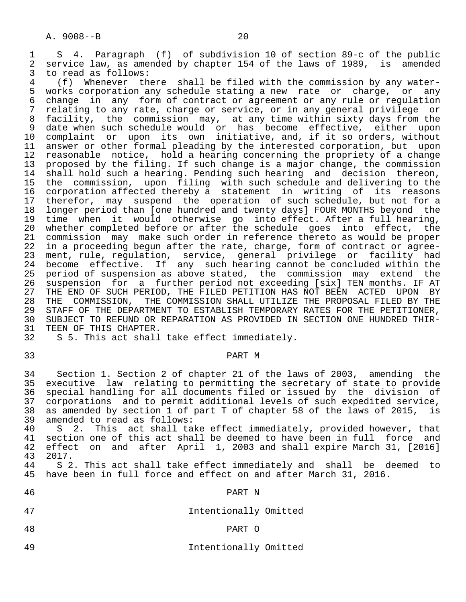1 S 4. Paragraph (f) of subdivision 10 of section 89-c of the public<br>2 service law, as amended by chapter 154 of the laws of 1989, is amended 2 service law, as amended by chapter 154 of the laws of 1989, is amended<br>3 to read as follows:

3 to read as follows:<br>4 (f) Whenever th 4 (f) Whenever there shall be filed with the commission by any water-<br>5 works corporation any schedule stating a new rate or charge, or any 5 works corporation any schedule stating a new rate or charge, or any<br>6 change in any form of contract or agreement or any rule or regulation 6 change in any form of contract or agreement or any rule or regulation<br>7 relating to any rate, charge or service, or in any general privilege or 7 relating to any rate, charge or service, or in any general privilege or<br>8 facility, the commission may, at any time within sixty days from the 8 facility, the commission may, at any time within sixty days from the<br>9 date when such schedule would or has become effective, either upon 9 date when such schedule would or has become effective, either upon 10 complaint or upon its own initiative, and, if it so orders, without 11 answer or other formal pleading by the interested corporation, but upon<br>12 reasonable notice, hold a hearing concerning the propriety of a change 12 reasonable notice, hold a hearing concerning the propriety of a change<br>13 proposed by the filing. If such change is a major change, the commission 13 proposed by the filing. If such change is a major change, the commission<br>14 shall hold such a hearing. Pending such hearing and decision thereon. shall hold such a hearing. Pending such hearing and decision thereon, 15 the commission, upon filing with such schedule and delivering to the 16 corporation affected thereby a statement in writing of its reasons<br>17 therefor, may suspend the operation of such schedule, but not for a 17 therefor, may suspend the operation of such schedule, but not for a<br>18 longer period than [one hundred and twenty days] FOUR MONTHS beyond the 18 longer period than [one hundred and twenty days] FOUR MONTHS beyond the<br>19 time when it would otherwise go into effect. After a full hearing, 19 time when it would otherwise go into effect. After a full hearing,<br>20 whether completed before or after the schedule goes into effect, the 20 whether completed before or after the schedule goes into effect, the<br>21 commission may make such order in reference thereto as would be proper 21 commission may make such order in reference thereto as would be proper<br>22 in a proceeding begun after the rate, charge, form of contract or agree-22 in a proceeding begun after the rate, charge, form of contract or agree-<br>23 ment, rule, regulation, service, general privilege or facility had ment, rule, regulation, service, general privilege or facility had 24 become effective. If any such hearing cannot be concluded within the<br>25 period of suspension as above stated, the commission may extend the 25 period of suspension as above stated, the commission may extend the 26 suspension for a further period not exceeding [six] TEN months. IF AT<br>27 THE END OF SUCH PERIOD, THE FILED PETITION HAS NOT BEEN ACTED UPON BY 27 THE END OF SUCH PERIOD, THE FILED PETITION HAS NOT BEEN ACTED UPON BY<br>28 THE COMMISSION, THE COMMISSION SHALL UTILIZE THE PROPOSAL FILED BY THE 28 THE COMMISSION, THE COMMISSION SHALL UTILIZE THE PROPOSAL FILED BY THE 29 STAFF OF THE DEPARTMENT TO ESTABLISH TEMPORARY RATES FOR THE PETITIONER, 29 STAFF OF THE DEPARTMENT TO ESTABLISH TEMPORARY RATES FOR THE PETITIONER,<br>30 SUBJECT TO REFUND OR REPARATION AS PROVIDED IN SECTION ONE HUNDRED THIR-30 SUBJECT TO REFUND OR REPARATION AS PROVIDED IN SECTION ONE HUNDRED THIR-<br>31 TEEN OF THIS CHAPTER. 31 TEEN OF THIS CHAPTER.<br>32 S 5. This act shall

# 33 PART M

 34 Section 1. Section 2 of chapter 21 of the laws of 2003, amending the 35 executive law relating to permitting the secretary of state to provide<br>36 special handling for all documents filed or issued by the division of 36 special handling for all documents filed or issued by the division of<br>37 corporations and to permit additional levels of such expedited service, 37 corporations and to permit additional levels of such expedited service,<br>38 as amended by section 1 of part T of chapter 58 of the laws of 2015, is 38 as amended by section 1 of part T of chapter 58 of the laws of 2015, is 39 amended to read as follows:<br>40 S 2. This act shall ta

40 S 2. This act shall take effect immediately, provided however, that<br>41 section one of this act shall be deemed to have been in full force and 41 section one of this act shall be deemed to have been in full force and<br>42 effect on and after April 1, 2003 and shall expire March 31, [2016] 42 effect on and after April 1, 2003 and shall expire March 31, [2016] 43 2017.

44 S 2. This act shall take effect immediately and shall be deemed to<br>45 have been in full force and effect on and after March 31, 2016. have been in full force and effect on and after March 31, 2016.

# 46 PART N

- 47 Intentionally Omitted
	-

# 48 PART O

49 Intentionally Omitted

S 5. This act shall take effect immediately.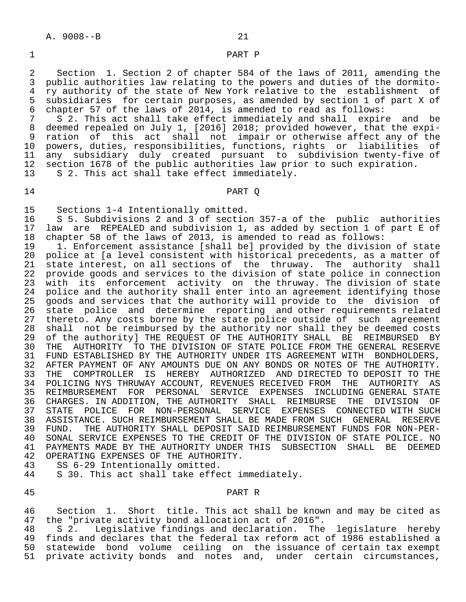#### 1 PART P

2 Section 1. Section 2 of chapter 584 of the laws of 2011, amending the<br>3 public authorities law relating to the powers and duties of the dormito-3 public authorities law relating to the powers and duties of the dormito-<br>4 ry authority of the state of New York relative to the establishment of 4 ry authority of the state of New York relative to the establishment of<br>5 subsidiaries for certain purposes, as amended by section 1 of part X of 5 subsidiaries for certain purposes, as amended by section 1 of part X of<br>6 chapter 57 of the laws of 2014, is amended to read as follows:

6 chapter 57 of the laws of 2014, is amended to read as follows:<br>7 S.2. This act shall take effect immediately and shall expire 7 S 2. This act shall take effect immediately and shall expire and be<br>8 deemed repealed on July 1, [2016] 2018; provided however, that the expi-8 deemed repealed on July 1, [2016] 2018; provided however, that the expi-<br>9 ration of this act shall not impair or otherwise affect any of the 9 ration of this act shall not impair or otherwise affect any of the<br>10 powers, duties, responsibilities, functions, rights or liabilities of 10 powers, duties, responsibilities, functions, rights or liabilities of 11 any subsidiary duly created pursuant to subdivision twenty-five of 12 section 1678 of the public authorities law prior to such expiration. 13 S 2. This act shall take effect immediately.

### 14 PART Q

- 15 Sections 1-4 Intentionally omitted.<br>16 S 5. Subdivisions 2 and 3 of section
- 16 S 5. Subdivisions 2 and 3 of section 357-a of the public authorities<br>17 law are REPEALED and subdivision 1, as added by section 1 of part E of 17 law are REPEALED and subdivision 1, as added by section 1 of part E of 18 chapter 58 of the laws of 2013, is amended to read as follows: 18 chapter 58 of the laws of 2013, is amended to read as follows:
- 19 1. Enforcement assistance [shall be] provided by the division of state<br>20 police at [a level consistent with historical precedents, as a matter of police at [a level consistent with historical precedents, as a matter of 21 state interest, on all sections of the thruway. The authority shall<br>22 provide goods and services to the division of state police in connection 22 provide goods and services to the division of state police in connection<br>23 with its enforcement activity on the thruway. The division of state 23 with its enforcement activity on the thruway. The division of state<br>24 police and the authority shall enter into an agreement identifying those 24 police and the authority shall enter into an agreement identifying those<br>25 goods and services that the authority will provide to the division of 25 goods and services that the authority will provide to the division of<br>26 state police and determine reporting and other requirements related 26 state police and determine reporting and other requirements related<br>27 thereto. Any costs borne by the state police outside of such agreement 27 thereto. Any costs borne by the state police outside of such agreement<br>28 shall not be reimbursed by the authority nor shall they be deemed costs 28 shall not be reimbursed by the authority nor shall they be deemed costs<br>29 of the authorityl THE REOUEST OF THE AUTHORITY SHALL BE REIMBURSED BY 29 of the authority] THE REQUEST OF THE AUTHORITY SHALL BE REIMBURSED BY<br>20 THE AUTHORITY TO THE DIVISION OF STATE POLICE FROM THE GENERAL RESERVE 30 THE AUTHORITY TO THE DIVISION OF STATE POLICE FROM THE GENERAL RESERVE<br>31 FUND ESTABLISHED BY THE AUTHORITY UNDER ITS AGREEMENT WITH BONDHOLDERS, FUND ESTABLISHED BY THE AUTHORITY UNDER ITS AGREEMENT WITH BONDHOLDERS, 32 AFTER PAYMENT OF ANY AMOUNTS DUE ON ANY BONDS OR NOTES OF THE AUTHORITY.<br>33 THE COMPTROLLER IS HEREBY AUTHORIZED AND DIRECTED TO DEPOSIT TO THE COMPTROLLER IS HEREBY AUTHORIZED AND DIRECTED TO DEPOSIT TO THE 34 POLICING NYS THRUWAY ACCOUNT, REVENUES RECEIVED FROM THE AUTHORITY AS<br>35 REIMBURSEMENT FOR PERSONAL SERVICE EXPENSES INCLUDING-GENERAL-STATE FOR PERSONAL SERVICE EXPENSES INCLUDING<br>DITION, THE AUTHORITY SHALL REIMBURSE THE 36 CHARGES. IN ADDITION, THE AUTHORITY SHALL REIMBURSE THE DIVISION OF<br>37 STATE POLICE FOR NON-PERSONAL SERVICE EXPENSES CONNECTED WITH SUCH 37 STATE POLICE FOR NON-PERSONAL SERVICE EXPENSES CONNECTED—WITH—SUCH SUCH SUCH RESERVE 38 ASSISTANCE. SUCH REIMBURSEMENT SHALL BE MADE FROM SUCH GENERAL RESERVE<br>39 FUND. THE AUTHORITY SHALL DEPOSIT SAID REIMBURSEMENT FUNDS FOR NON-PER-39 FUND. THE AUTHORITY SHALL DEPOSIT SAID REIMBURSEMENT FUNDS FOR NON-PER-<br>40 SONAL SERVICE EXPENSES TO THE CREDIT OF THE DIVISION OF STATE POLICE. NO 40 SONAL SERVICE EXPENSES TO THE CREDIT OF THE DIVISION OF STATE POLICE. NO<br>41 PAYMENTS MADE BY THE AUTHORITY UNDER THIS SUBSECTION SHALL BE DEEMED 41 PAYMENTS MADE BY THE AUTHORITY UNDER THIS SUBSECTION SHALL BE DEEMED 42 OPERATING EXPENSES OF THE AUTHORITY.<br>43 SS 6-29 Intentionally omitted.
- 
- 43 SS 6-29 Intentionally omitted.<br>44 S 30. This act shall take effe S 30. This act shall take effect immediately.
- 

#### 45 PART R

46 Section 1. Short title. This act shall be known and may be cited as<br>47 the "private activity bond allocation act of 2016". 47 the "private activity bond allocation act of 2016".

 48 S 2. Legislative findings and declaration. The legislature hereby 49 finds and declares that the federal tax reform act of 1986 established a<br>50 statewide bond volume ceiling on the issuance of certain tax exempt 50 statewide bond volume ceiling on the issuance of certain tax exempt<br>51 private activity bonds and notes and, under certain circumstances, private activity bonds and notes and, under certain circumstances,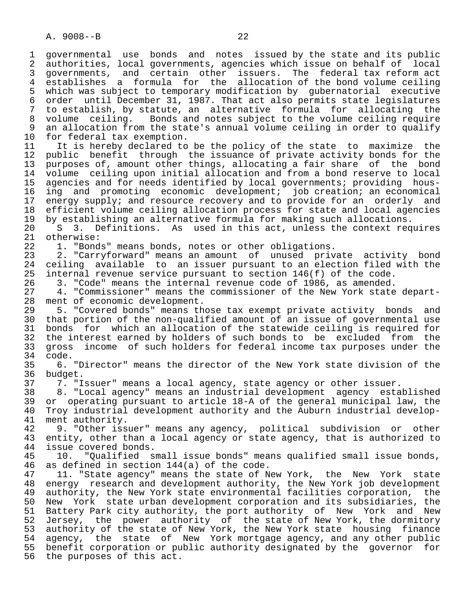1 governmental use bonds and notes issued by the state and its public<br>2 authorities, local governments, agencies which issue on behalf of local 2 authorities, local governments, agencies which issue on behalf of local<br>3 governments, and certain other issuers. The federal tax reform act 3 governments, and certain other issuers. The federal tax reform act 4 establishes a formula for the allocation of the bond volume ceiling<br>5 which was subject to temporary modification by qubernatorial executive 5 which was subject to temporary modification by gubernatorial executive<br>6 order until December 31, 1987. That act also permits state legislatures 6 order until December 31, 1987. That act also permits state legislatures 7 to establish, by statute, an alternative formula for allocating the 8 volume ceiling. Bonds and notes subject to the volume ceiling require 9 an allocation from the state's annual volume ceiling in order to qualify<br>10 for federal tax exemption. 10 for federal tax exemption.<br>11 It is hereby declared to 11 It is hereby declared to be the policy of the state to maximize the<br>12 public benefit through the issuance of private activity bonds for the public benefit through the issuance of private activity bonds for the 13 purposes of, amount other things, allocating a fair share of the bond<br>14 volume ceiling upon initial allocation and from a bond reserve to local volume ceiling upon initial allocation and from a bond reserve to local 15 agencies and for needs identified by local governments; providing hous- 16 ing and promoting economic development; job creation; an economical<br>17 energy supply; and resource recovery and to provide for an orderly and 17 energy supply; and resource recovery and to provide for an orderly and<br>18 efficient volume ceiling allocation process for state and local agencies 18 efficient volume ceiling allocation process for state and local agencies<br>19 by establishing an alternative formula for making such allocations. 19 by establishing an alternative formula for making such allocations.<br>20 S 3. Definitions. As used in this act, unless the context req 20 S 3. Definitions. As used in this act, unless the context requires<br>21 otherwise: 21 otherwise:<br>22 1. "Bond 22 1. "Bonds" means bonds, notes or other obligations.<br>23 2. "Carryforward" means an amount of unused priv 2. "Carryforward" means an amount of unused private activity bond 24 ceiling available to an issuer pursuant to an election filed with the<br>25 internal revenue service pursuant to section 146(f) of the code. internal revenue service pursuant to section  $146(f)$  of the code. 26 3. "Code" means the internal revenue code of 1986, as amended.<br>27 3. "Commissioner" means the commissioner of the New York state 27 4. "Commissioner" means the commissioner of the New York state depart-<br>28 ment of economic development. 28 ment of economic development.<br>29 5. "Covered bonds" means th 29 5. "Covered bonds" means those tax exempt private activity bonds and<br>30 that portion of the non-qualified amount of an issue of governmental use that portion of the non-qualified amount of an issue of governmental use 31 bonds for which an allocation of the statewide ceiling is required for<br>32 the interest earned by holders of such bonds to be excluded from the 32 the interest earned by holders of such bonds to be excluded from the<br>33 gross income of such holders for federal income tax purposes under the 33 gross income of such holders for federal income tax purposes under the 34 code.<br>35 6. 35 6. "Director" means the director of the New York state division of the budget. 37 7. "Issuer" means a local agency, state agency or other issuer. 38 8. "Local agency" means an industrial development agency established 39 or operating pursuant to article 18-A of the general municipal law, the<br>40 Troy industrial development authority and the Auburn industrial develop-40 Troy industrial development authority and the Auburn industrial develop-<br>41 ment authority. 41 ment authority.<br>42 9. "Other iss 42 9. "Other issuer" means any agency, political subdivision or other 43 entity, other than a local agency or state agency, that is authorized to 44 issue covered bonds. 44 issue covered bonds.<br>45 10. "Oualified s 45 10. "Qualified small issue bonds" means qualified small issue bonds, 46 as defined in section 144(a) of the code.<br>47 11. "State agency" means the state of N 11. "State agency" means the state of New York, the New York state 48 energy research and development authority, the New York job development<br>49 authority, the New York state environmental facilities corporation, the 49 authority, the New York state environmental facilities corporation, the<br>50 New York state urban development corporation and its subsidiaries, the 50 New York state urban development corporation and its subsidiaries, the<br>51 Battery Park city authority, the port authority of New York and New Battery Park city authority, the port authority of New York and New 52 Jersey, the power authority of the state of New York, the dormitory<br>53 authority of the state of New York, the New York state housing finance 53 authority of the state of New York, the New York state housing finance<br>54 agency, the state of New York mortgage agency, and any other public agency, the state of New York mortgage agency, and any other public 55 benefit corporation or public authority designated by the governor for 56 the purposes of this act.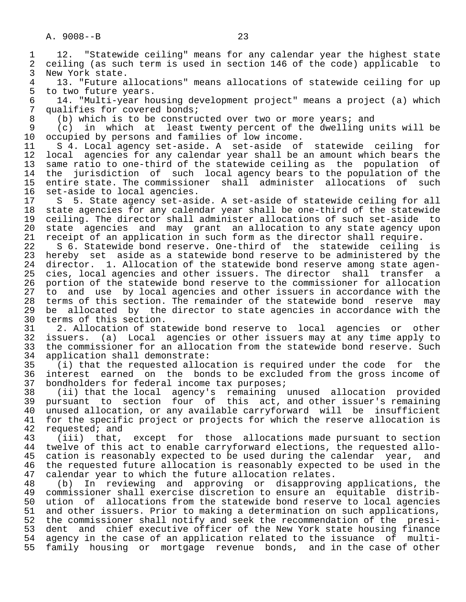1 12. "Statewide ceiling" means for any calendar year the highest state<br>2 ceiling (as such term is used in section 146 of the code) applicable to 2 ceiling (as such term is used in section 146 of the code) applicable to<br>3 New York state. 3 New York state.<br>4 13. "Future a 4 13. "Future allocations" means allocations of statewide ceiling for up<br>5 to two future years. 5 to two future years.<br>6 14. "Multi-vear ho 6 14. "Multi-year housing development project" means a project (a) which 7 qualifies for covered bonds;<br>8 (b) which is to be constru 8 (b) which is to be constructed over two or more years; and<br>9 (c) in which at least twenty percent of the dwelling up 9 (c) in which at least twenty percent of the dwelling units will be 10 occupied by persons and families of low income. 10 occupied by persons and families of low income.<br>11 S 4. Local agency set-aside. A set-aside of 11 S 4. Local agency set-aside. A set-aside of statewide ceiling for<br>12 local agencies for any calendar year shall be an amount which bears the 12 local agencies for any calendar year shall be an amount which bears the<br>13 same ratio to one-third of the statewide ceiling as the population of 13 same ratio to one-third of the statewide ceiling as the population of<br>14 the jurisdiction of such local agency bears to the population of the the jurisdiction of such local agency bears to the population of the 15 entire state. The commissioner shall administer allocations of such 16 set-aside to local agencies.<br>17 S 5. State agency set-asi 17 S 5. State agency set-aside. A set-aside of statewide ceiling for all<br>18 state agencies for any calendar year shall be one-third of the statewide 18 state agencies for any calendar year shall be one-third of the statewide<br>19 ceiling. The director shall administer allocations of such set-aside to 19 ceiling. The director shall administer allocations of such set-aside to<br>20 state agencies and may grant an allocation to any state agency upon 20 state agencies and may grant an allocation to any state agency upon 21 receipt of an application in such form as the director shall require. 22 S 6. Statewide bond reserve. One-third of the statewide ceiling is<br>23 hereby set aside as a statewide bond reserve to be administered by the hereby set aside as a statewide bond reserve to be administered by the 24 director. 1. Allocation of the statewide bond reserve among state agen-<br>25 cies, local agencies and other issuers. The director shall transfer a cies, local agencies and other issuers. The director shall transfer a 26 portion of the statewide bond reserve to the commissioner for allocation<br>27 to and use by local agencies and other issuers in accordance with the 27 to and use by local agencies and other issuers in accordance with the<br>28 terms of this section. The remainder of the statewide bond reserve may 28 terms of this section. The remainder of the statewide bond reserve may<br>29 be allocated by the director to state agencies in accordance with the 29 be allocated by the director to state agencies in accordance with the 30 terms of this section. 30 terms of this section.<br>31 2. Allocation of sta 31 2. Allocation of statewide bond reserve to local agencies or other<br>32 issuers. (a) Local agencies or other issuers may at any time apply to 32 issuers. (a) Local agencies or other issuers may at any time apply to 33 the commissioner for an allocation from the statewide bond reserve. Such<br>34 application shall demonstrate: 34 application shall demonstrate:<br>35 (i) that the requested alloc 35 (i) that the requested allocation is required under the code for the 36 interest earned on the bonds to be excluded from the gross income of 37 bondholders for federal income tax purposes; 37 bondholders for federal income tax purposes;<br>38 (ii) that the local agency's remaining 38 (ii) that the local agency's remaining unused allocation provided 39 pursuant to section four of this act, and other issuer's remaining 40 unused allocation, or any available carryforward will be insufficient<br>41 for the specific project or projects for which the reserve allocation is 41 for the specific project or projects for which the reserve allocation is 42 requested; and 42 requested; and<br>43 (iii) that, 43 (iii) that, except for those allocations made pursuant to section<br>44 twelve of this act to enable carryforward elections, the requested allo-44 twelve of this act to enable carryforward elections, the requested allo-<br>45 cation is reasonably expected to be used during the calendar year, and cation is reasonably expected to be used during the calendar year, and 46 the requested future allocation is reasonably expected to be used in the 47 calendar vear to which the future allocation relates. 47 calendar year to which the future allocation relates.<br>48 (b) In reviewing and approving or disapprovin 48 (b) In reviewing and approving or disapproving applications, the 49 commissioner shall exercise discretion to ensure an equitable distrib-<br>50 ution of allocations from the statewide bond reserve to local agencies 50 ution of allocations from the statewide bond reserve to local agencies<br>51 and other issuers. Prior to making a determination on such applications, 51 and other issuers. Prior to making a determination on such applications,<br>52 the commissioner shall notify and seek the recommendation of the presithe commissioner shall notify and seek the recommendation of the presi- 53 dent and chief executive officer of the New York state housing finance 54 agency in the case of an application related to the issuance of multi-<br>55 family housing or mortgage revenue bonds, and in the case of other

family housing or mortgage revenue bonds, and in the case of other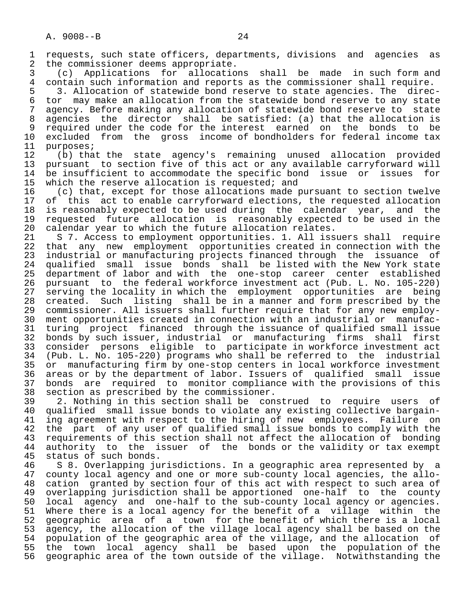1 requests, such state officers, departments, divisions and agencies as 2 the commissioner deems appropriate.<br>3 (c) Applications for allocatio

 3 (c) Applications for allocations shall be made in such form and 4 contain such information and reports as the commissioner shall require.<br>5 3. Allocation of statewide bond reserve to state agencies. The direct

5 3. Allocation of statewide bond reserve to state agencies. The direc-<br>6 tor may make an allocation from the statewide bond reserve to any state 6 tor may make an allocation from the statewide bond reserve to any state 7 agency. Before making any allocation of statewide bond reserve to state 8 agencies the director shall be satisfied: (a) that the allocation is<br>9 required under the code for the interest earned on the bonds to be 9 required under the code for the interest earned on the bonds to be<br>10 excluded from the gross income of bondholders for federal income tax 10 excluded from the gross income of bondholders for federal income tax<br>11 purposes;

11 purposes;<br>12 (b) that 12 (b) that the state agency's remaining unused allocation provided 13 pursuant to section five of this act or any available carryforward will<br>14 be insufficient to accommodate the specific bond issue or issues for 14 be insufficient to accommodate the specific bond issue or issues for<br>15 which the reserve allocation is requested; and 15 which the reserve allocation is requested; and<br>16 (c) that, except for those allocations made;

16 (c) that, except for those allocations made pursuant to section twelve<br>17 of this act to enable carryforward elections, the requested allocation 17 of this act to enable carryforward elections, the requested allocation<br>18 is reasonably expected to be used during the calendar year, and the 18 is reasonably expected to be used during the calendar year, and the<br>19 requested future allocation is reasonably expected to be used in the 19 requested future allocation is reasonably expected to be used in the<br>20 calendar year to which the future allocation relates. 20 calendar year to which the future allocation relates.<br>21 S 7. Access to employment opportunities. 1. All iss

21 S 7. Access to employment opportunities. 1. All issuers shall require<br>22 that any new employment opportunities created in connection with the 22 that any new employment opportunities created in connection with the<br>23 industrial or manufacturing projects financed through the issuance of 23 industrial or manufacturing projects financed through the issuance of<br>24 qualified small issue bonds shall be listed with the New York state 24 qualified small issue bonds shall be listed with the New York state<br>25 department of labor and with the one-stop career center established department of labor and with the one-stop career center established 26 pursuant to the federal workforce investment act (Pub. L. No. 105-220) 27 serving the locality in which the employment opportunities are being<br>28 created. Such listing shall be in a manner and form prescribed by the 28 created. Such listing shall be in a manner and form prescribed by the<br>29 commissioner. All issuers shall further require that for any new employ-29 commissioner. All issuers shall further require that for any new employ-<br>30 ment opportunities created in connection with an industrial or manufac- 30 ment opportunities created in connection with an industrial or manufac- 31 turing project financed through the issuance of qualified small issue<br>32 bonds by such issuer, industrial or manufacturing firms shall first 32 bonds by such issuer, industrial or manufacturing firms shall first<br>33 consider persons eligible to participate in workforce investment act 33 consider persons eligible to participate in workforce investment act 34 (Pub. L. No. 105-220) programs who shall be referred to the industrial 35 or manufacturing firm by one-stop centers in local workforce investment<br>36 areas or by the department of labor. Issuers of qualified small issue areas or by the department of labor. Issuers of qualified small issue 37 bonds are required to monitor compliance with the provisions of this<br>38 section as prescribed by the commissioner. 38 section as prescribed by the commissioner.<br>39 2. Nothing in this section shall be con

39 2. Nothing in this section shall be construed to require users of<br>40 qualified small issue bonds to violate any existing collective bargain-40 qualified small issue bonds to violate any existing collective bargain-<br>41 ing agreement with respect to the hiring of new employees. Failure on 41 ing agreement with respect to the hiring of new employees. Failure on<br>42 the part of any user of qualified small issue bonds to comply with the 42 the part of any user of qualified small issue bonds to comply with the<br>43 requirements of this section shall not affect the allocation of bonding 43 requirements of this section shall not affect the allocation of bonding<br>44 authority to the issuer of the bonds or the validity or tax exempt 44 authority to the issuer of the bonds or the validity or tax exempt<br>45 status of such bonds. 45 status of such bonds.<br>46 S 8. Overlapping ju

46 S 8. Overlapping jurisdictions. In a geographic area represented by a<br>47 county local agency and one or more sub-county local agencies, the allo- 47 county local agency and one or more sub-county local agencies, the allo- 48 cation granted by section four of this act with respect to such area of<br>49 overlapping jurisdiction shall be apportioned one-half to the county 49 overlapping jurisdiction shall be apportioned one-half to the county<br>50 local agency and one-half to the sub-county local agency or agencies. 50 local agency and one-half to the sub-county local agency or agencies.<br>51 Where there is a local agency for the benefit of a village within the 51 Where there is a local agency for the benefit of a village within the<br>52 geographic area of a town for the benefit of which there is a local 52 geographic area of a town for the benefit of which there is a local<br>53 agency, the allocation of the village local agency shall be based on the 53 agency, the allocation of the village local agency shall be based on the<br>54 population of the geographic area of the village, and the allocation of 54 population of the geographic area of the village, and the allocation of<br>55 the town local agency shall be based upon the population of the 55 the town local agency shall be based upon the population of the<br>56 geographic area of the town outside of the village. Notwithstanding the geographic area of the town outside of the village. Notwithstanding the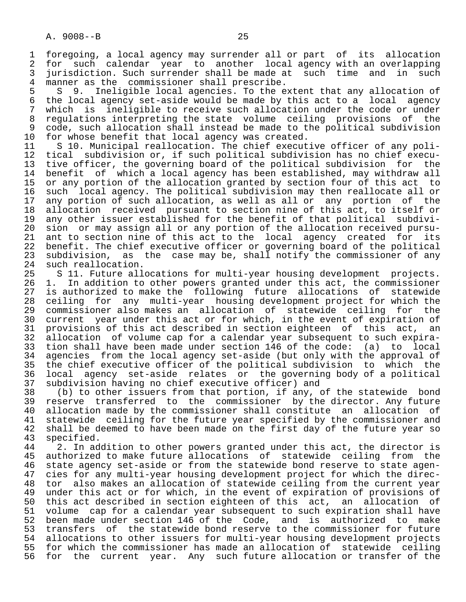1 foregoing, a local agency may surrender all or part of its allocation<br>2 for such calendar vear to another local agency with an overlapping 2 for such calendar year to another local agency with an overlapping<br>3 jurisdiction. Such surrender shall be made at such time and in such 3 jurisdiction. Such surrender shall be made at such time and in such<br>4 manner as the commissioner shall prescribe. 4 manner as the commissioner shall prescribe.<br>5 S 9. Ineligible local agencies. To the e

5 S 9. Ineligible local agencies. To the extent that any allocation of<br>6 the local agency set-aside would be made by this act to a local agency 6 the local agency set-aside would be made by this act to a local agency<br>7 which is ineligible to receive such allocation under the code or under 7 which is ineligible to receive such allocation under the code or under<br>8 regulations interpreting the state volume ceiling provisions of the 8 regulations interpreting the state volume ceiling provisions of the<br>8 code, such allocation shall instead be made to the political subdivision 9 code, such allocation shall instead be made to the political subdivision<br>10 for whose benefit that local agency was created. 10 for whose benefit that local agency was created.<br>11 S 10. Municipal reallocation. The chief execut

11 S 10. Municipal reallocation. The chief executive officer of any poli-<br>12 tical subdivision or, if such political subdivision has no chief execu-12 tical subdivision or, if such political subdivision has no chief execu-<br>13 tive officer, the governing board of the political subdivision for the 13 tive officer, the governing board of the political subdivision for the<br>14 benefit of which a local agency has been established, may withdraw all benefit of which a local agency has been established, may withdraw all 15 or any portion of the allocation granted by section four of this act to<br>16 such local agency. The political subdivision may then reallocate all or 16 such local agency. The political subdivision may then reallocate all or<br>17 any portion of such allocation, as well as all or any portion of the 17 any portion of such allocation, as well as all or any portion of the<br>18 allocation received pursuant to section nine of this act, to itself or 18 allocation received pursuant to section nine of this act, to itself or<br>19 any other issuer established for the benefit of that political subdivi-19 any other issuer established for the benefit of that political subdivi-<br>20 sion or may assign all or any portion of the allocation received pursu-20 sion or may assign all or any portion of the allocation received pursu-<br>21 ant to section nine of this act to the local agency created for its 21 ant to section nine of this act to the local agency created for<br>22 benefit. The chief executive officer or governing board of the politi 22 benefit. The chief executive officer or governing board of the political<br>23 subdivision, as the case may be, shall notify the commissioner of any 23 subdivision, as the case may be, shall notify the commissioner of any 24 such reallocation. 24 such reallocation.<br>25 S 11. Future all

 25 S 11. Future allocations for multi-year housing development projects. 26 1. In addition to other powers granted under this act, the commissioner 27 is authorized to make the following future allocations of statewide<br>28 ceiling for any multi-year housing development project for which the 28 ceiling for any multi-year housing development project for which the 29 commissioner also makes an allocation of statewide ceiling for the<br>30 current vear under this act or for which, in the event of expiration of 30 current year under this act or for which, in the event of expiration of 31 provisions of this act described in section eighteen of this act, an 31 provisions of this act described in section eighteen of this act, an<br>32 allocation of volume cap for a calendar vear subsequent to such expira-32 allocation of volume cap for a calendar year subsequent to such expira-<br>33 tion shall have been made under section 146 of the code: (a) to local 33 tion shall have been made under section 146 of the code: (a) to local<br>34 agencies from the local agency set-aside (but only with the approval of 34 agencies from the local agency set-aside (but only with the approval of<br>35 the chief executive officer of the political subdivision to which the 35 the chief executive officer of the political subdivision to which the<br>36 local agency set-aside relates or the governing body of a political 36 local agency set-aside relates or the governing body of a political 37 subdivision having no chief executive officer) and

 38 (b) to other issuers from that portion, if any, of the statewide bond 39 reserve transferred to the commissioner by the director. Any future<br>40 allocation made by the commissioner shall constitute an allocation of 40 allocation made by the commissioner shall constitute an allocation of<br>41 statewide ceiling for the future year specified by the commissioner and 41 statewide ceiling for the future year specified by the commissioner and<br>42 shall be deemed to have been made on the first day of the future year so 42 shall be deemed to have been made on the first day of the future year so<br>43 specified. 43 specified.<br>44 2. In ad

44 2. In addition to other powers granted under this act, the director is<br>45 authorized to make future allocations of statewide ceiling from the authorized to make future allocations of statewide ceiling from the 46 state agency set-aside or from the statewide bond reserve to state agen-<br>47 cies for any multi-year housing development project for which the direc-47 cies for any multi-year housing development project for which the direc-<br>48 tor also makes an allocation of statewide ceiling from the current year 48 tor also makes an allocation of statewide ceiling from the current year<br>49 under this act or for which, in the event of expiration of provisions of 49 under this act or for which, in the event of expiration of provisions of<br>50 this act described in section eighteen of this act, an allocation of 50 this act described in section eighteen of this act, an allocation of volume cap for a calendar year subsequent to such expiration shall have 52 been made under section 146 of the Code, and is authorized to make<br>53 transfers of the statewide bond reserve to the commissioner for future 53 transfers of the statewide bond reserve to the commissioner for future<br>54 allocations to other issuers for multi-vear housing development projects 54 allocations to other issuers for multi-year housing development projects<br>55 for which the commissioner has made an allocation of statewide ceiling 55 for which the commissioner has made an allocation of statewide ceiling<br>56 for the current year. Any such future allocation or transfer of the for the current year. Any such future allocation or transfer of the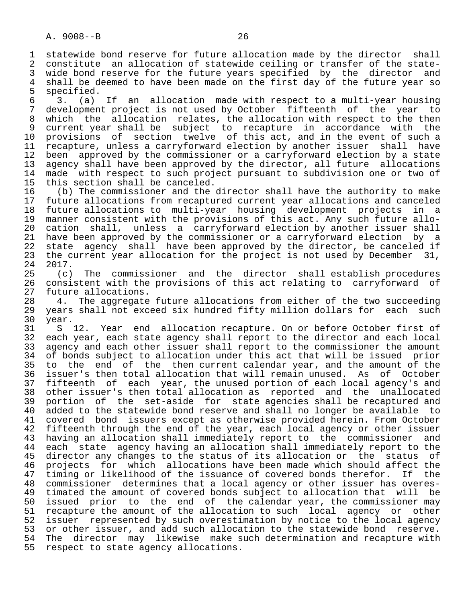1 statewide bond reserve for future allocation made by the director shall<br>2 constitute an allocation of statewide ceiling or transfer of the state-2 constitute an allocation of statewide ceiling or transfer of the state-<br>3 wide bond reserve for the future vears specified by the director and 3 wide bond reserve for the future years specified by the director and<br>4 shall be deemed to have been made on the first day of the future year so 4 shall be deemed to have been made on the first day of the future year so<br>5 specified. 5 specified.<br>6 3.  $(a)$ 

 6 3. (a) If an allocation made with respect to a multi-year housing 7 development project is not used by October fifteenth of the year to<br>8 which the allocation relates, the allocation with respect to the then 8 which the allocation relates, the allocation with respect to the then<br>9 current year shall be subject to recapture in accordance with the 9 current year shall be subject to recapture in accordance with the 10 provisions of section twelve of this act, and in the event of such a 11 recapture, unless a carryforward election by another issuer shall have<br>12 been approved by the commissioner or a carryforward election by a state 12 been approved by the commissioner or a carryforward election by a state<br>13 agency shall have been approved by the director, all future allocations 13 agency shall have been approved by the director, all future allocations<br>14 made with respect to such project pursuant to subdivision one or two of made with respect to such project pursuant to subdivision one or two of

15 this section shall be canceled.<br>16 (b) The commissioner and the 16 (b) The commissioner and the director shall have the authority to make<br>17 future allocations from recaptured current year allocations and canceled 17 future allocations from recaptured current year allocations and canceled<br>18 future allocations to multi-year housing development projects in a 18 future allocations to multi-year housing development projects in a<br>19 manner consistent with the provisions of this act. Any such future allo-19 manner consistent with the provisions of this act. Any such future allo-<br>20 cation shall, unless a carryforward election by another issuer shall 20 cation shall, unless a carryforward election by another issuer shall<br>21 have been approved by the commissioner or a carryforward election by a 21 have been approved by the commissioner or a carryforward election by a<br>22 state agency shall have been approved by the director, be canceled if 22 state agency shall have been approved by the director, be canceled if<br>23 the current year allocation for the project is not used by December 31, 23 the current year allocation for the project is not used by December 31,<br>24 2017.

 $\begin{array}{cc} 24 & 2017 \\ 25 & (c) \end{array}$  25 (c) The commissioner and the director shall establish procedures 26 consistent with the provisions of this act relating to carryforward of<br>27 future allocations. 27 future allocations.<br>28 4. The aggregate

28 4. The aggregate future allocations from either of the two succeeding<br>29 years shall not exceed six hundred fifty million dollars for each such 29 years shall not exceed six hundred fifty million dollars for each such<br>30 year. 30 year.

31 S 12. Year end allocation recapture. On or before October first of<br>32 each year, each state agency shall report to the director and each local 32 each year, each state agency shall report to the director and each local<br>33 agency and each other issuer shall report to the commissioner the amount 33 agency and each other issuer shall report to the commissioner the amount<br>34 of bonds subject to allocation under this act that will be issued prior 34 of bonds subject to allocation under this act that will be issued prior<br>35 to the end of the then current calendar year, and the amount of the 35 to the end of the then current calendar year, and the amount of the<br>36 issuer's then total allocation that will remain unused. As of October issuer's then total allocation that will remain unused. As of October 37 fifteenth of each year, the unused portion of each local agency's and 38 other issuer's then total allocation as reported and the unallocated<br>39 portion of the set-aside for state agencies shall be recaptured and 39 portion of the set-aside for state agencies shall be recaptured and<br>40 added to the statewide bond reserve and shall no longer be available to 40 added to the statewide bond reserve and shall no longer be available to<br>41 covered bond issuers except as otherwise provided herein. From October 41 covered bond issuers except as otherwise provided herein. From October<br>42 fifteenth through the end of the year, each local agency or other issuer 42 fifteenth through the end of the year, each local agency or other issuer<br>43 having an allocation shall immediately report to the commissioner and 43 having an allocation shall immediately report to the commissioner and<br>44 each state agency having an allocation shall immediately report to the 44 each state agency having an allocation shall immediately report to the<br>45 director any changes to the status of its allocation or the status of director any changes to the status of its allocation or the status of 46 projects for which allocations have been made which should affect the<br>47 timing or likelihood of the issuance of covered bonds therefor. If the 47 timing or likelihood of the issuance of covered bonds therefor. If the<br>48 commissioner determines that a local agency or other issuer has overes- 48 commissioner determines that a local agency or other issuer has overes- 49 timated the amount of covered bonds subject to allocation that will be<br>50 issued prior to the end of the calendar year, the commissioner may issued prior to the end of the calendar year, the commissioner may 51 recapture the amount of the allocation to such local agency or other 52 issuer represented by such overestimation by notice to the local agency<br>53 or other issuer, and add such allocation to the statewide bond reserve. 53 or other issuer, and add such allocation to the statewide bond reserve.<br>54 The director may likewise make such determination and recapture with 54 The director may likewise make such determination and recapture with<br>55 respect to state agency allocations. respect to state agency allocations.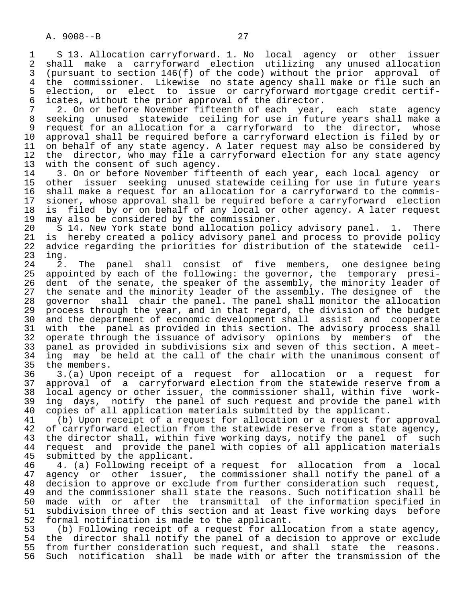1 S 13. Allocation carryforward. 1. No local agency or other issuer 2 shall make a carryforward election utilizing any unused allocation<br>3 (pursuant to section 146(f) of the code) without the prior approval of 3 (pursuant to section 146(f) of the code) without the prior approval of 4 the commissioner. Likewise no state agency shall make or file such an<br>5 election, or elect to issue or carryforward mortgage credit certif-5 election, or elect to issue or carryforward mortgage credit certif-<br>6 icates, without the prior approval of the director. 6 icates, without the prior approval of the director.<br>7 2. On or before November fifteenth of each vear.

7 2. On or before November fifteenth of each year, each state agency<br>8 seeking unused statewide ceiling for use in future years shall make a 8 seeking unused statewide ceiling for use in future years shall make a<br>8 request for an allocation for a carryforward to the director, whose 9 request for an allocation for a carryforward to the director, whose<br>10 approval shall be required before a carryforward election is filed by or 10 approval shall be required before a carryforward election is filed by or<br>11 on behalf of any state agency. A later request may also be considered by 11 on behalf of any state agency. A later request may also be considered by<br>12 the director, who may file a carryforward election for any state agency 12 the director, who may file a carryforward election for any state agency<br>13 with the consent of such agency. 13 with the consent of such agency.<br>14 3. On or before November fifte

14 1. On or before November fifteenth of each year, each local agency or<br>15 other issuer seeking unused statewide ceiling for use in future years 15 other issuer seeking unused statewide ceiling for use in future years<br>16 shall make a request for an allocation for a carryforward to the commis-16 shall make a request for an allocation for a carryforward to the commis-<br>17 sioner, whose approval shall be required before a carryforward election 17 sioner, whose approval shall be required before a carryforward election<br>18 is filed by or on behalf of any local or other agency. A later request 18 is filed by or on behalf of any local or other agency. A later request<br>19 may also be considered by the commissioner. 19 may also be considered by the commissioner.<br>20 S 14. New York state bond allocation poli

20 S 14. New York state bond allocation policy advisory panel. 1. There<br>21 is hereby created a policy advisory panel and process to provide policy 21 is hereby created a policy advisory panel and process to provide policy<br>22 advice regarding the priorities for distribution of the statewide ceil-22 advice regarding the priorities for distribution of the statewide ceil-<br>23 ing. 23 ing.

24 2. The panel shall consist of five members, one-designee-being<br>25 appointed by each of the following: the governor, the temporary presiappointed by each of the following: the governor, the temporary presi-26 dent of the senate, the speaker of the assembly, the minority leader of<br>27 the senate and the minority leader of the assembly. The designee of the 27 the senate and the minority leader of the assembly. The designee of the<br>28 governor shall chair the panel. The panel shall monitor the allocation 28 governor shall chair the panel. The panel shall monitor the allocation<br>29 process through the year, and in that regard, the division of the budget 29 process through the year, and in that regard, the division of the budget<br>20 and the department of economic development shall assist and cooperate 30 and the department of economic development shall assist and cooperate<br>31 with the panel as provided in this section. The advisory process shall 31 with the panel as provided in this section. The advisory process shall<br>32 operate through the issuance of advisory opinions by members of the 32 operate through the issuance of advisory opinions by members of the<br>33 panel as provided in subdivisions six and seven of this section. A meet-33 panel as provided in subdivisions six and seven of this section. A meet-<br>34 ing may be held at the call of the chair with the unanimous consent of 34 ing may be held at the call of the chair with the unanimous consent of 35 the members.

35 the members.<br>36 3.(a) Upon 3.(a) Upon receipt of a request for allocation or a request for 37 approval of a carryforward election from the statewide reserve from a 38 local agency or other issuer, the commissioner shall, within five work- 39 ing days, notify the panel of such request and provide the panel with<br>40 copies of all application materials submitted by the applicant. 40 copies of all application materials submitted by the applicant.<br>41 (b) Upon receipt of a request for allocation or a request for

41 (b) Upon receipt of a request for allocation or a request for approval<br>42 of carryforward election from the statewide reserve from a state agency, 42 of carryforward election from the statewide reserve from a state agency,<br>43 the director shall, within five working days, notify the panel of such 43 the director shall, within five working days, notify the panel of such<br>44 request and provide the panel with copies of all application materials 44 request and provide the panel with copies of all application materials<br>45 submitted by the applicant. 45 submitted by the applicant.<br>46 4. (a) Following receipt

46 4. (a) Following receipt of a request for allocation from a local<br>47 agency or other issuer, the commissioner shall notify the panel of a 47 agency or other issuer, the commissioner shall notify the panel of a<br>48 decision to approve or exclude from further consideration such request. 48 decision to approve or exclude from further consideration such request,<br>49 and the commissioner shall state the reasons. Such notification shall be 49 and the commissioner shall state the reasons. Such notification shall be<br>50 made with or after the transmittal of the information specified in 50 made with or after the transmittal of the information specified in<br>51 subdivision three of this section and at least five working days before 51 subdivision three of this section and at least five working days before<br>52 formal notification is made to the applicant. 52 formal notification is made to the applicant.<br>53 (b) Following receipt of a request for allo

53 (b) Following receipt of a request for allocation from a state agency,<br>54 the director shall notify the panel of a decision to approve or exclude 54 the director shall notify the panel of a decision to approve or exclude<br>55 from further consideration such request, and shall state the reasons. 55 from further consideration such request, and shall state the reasons.<br>56 Such notification shall be made with or after the transmission of the Such notification shall be made with or after the transmission of the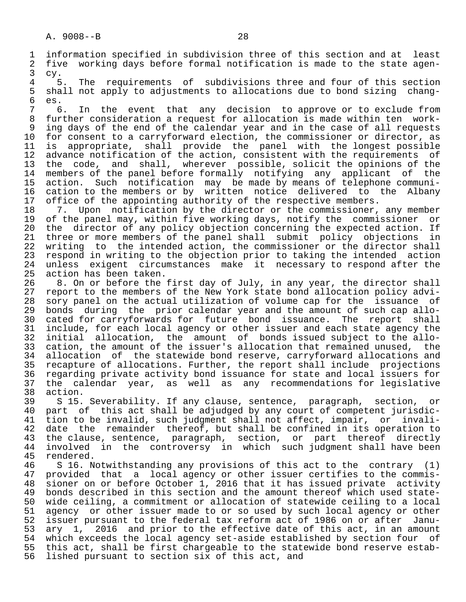3 cy. 4 5. The requirements of subdivisions three and four of this section<br>5 shall not apply to adjustments to allocations due to bond sizing chang-5 shall not apply to adjustments to allocations due to bond sizing chang-<br>6 es. 6 es.

 7 6. In the event that any decision to approve or to exclude from further consideration a request for allocation is made within ten work-9 ing days of the end of the calendar year and in the case of all requests<br>10 for consent to a carryforward election, the commissioner or director, as 10 for consent to a carryforward election, the commissioner or director, as<br>11 is appropriate, shall provide the panel with the longest possible 11 is appropriate, shall provide the panel with the longest possible<br>12 advance notification of the action, consistent with the requirements of 12 advance notification of the action, consistent with the requirements of<br>13 the code, and shall, wherever possible, solicit the opinions of the 13 the code, and shall, wherever possible, solicit the opinions of the<br>14 members of the panel before formally notifying any applicant of the members of the panel before formally notifying any applicant of the 15 action. Such notification may be made by means of telephone communi-<br>16 cation to the members or by written notice delivered to the Albany 16 cation to the members or by written notice delivered to the Albany<br>17 office of the appointing authority of the respective members. 17 office of the appointing authority of the respective members.<br>18 7. Upon notification by the director or the commissioner,

18 1. Upon notification by the director or the commissioner, any member<br>19 of the panel may, within five working days, notify the commissioner or 19 of the panel may, within five working days, notify the commissioner or<br>20 the director of any policy objection concerning the expected action. If 20 the director of any policy objection concerning the expected action. If<br>21 three or more members of the panel shall submit policy objections in 21 three or more members of the panel shall submit policy objections in<br>22 writing to the intended action, the commissioner or the director shall 22 writing to the intended action, the commissioner or the director shall<br>23 respond in writing to the objection prior to taking the intended action 23 respond in writing to the objection prior to taking the intended action<br>24 unless exigent circumstances make it necessary to respond after the 24 unless exigent circumstances make it necessary to respond after the<br>25 action has been taken. action has been taken.

26 8. On or before the first day of July, in any year, the director shall<br>27 report to the members of the New York state bond allocation policy advi-27 report to the members of the New York state bond allocation policy advi-<br>28 sory panel on the actual utilization of volume cap for the issuance of 28 sory panel on the actual utilization of volume cap for the issuance of<br>29 bonds during the prior calendar year and the amount of such cap allo-29 bonds during the prior calendar year and the amount of such cap allo-<br>20 cated for carryforwards for future bond issuance. The report shall 30 cated for carryforwards for future bond issuance. The report shall<br>31 include, for each local agency or other issuer and each state agency the 31 include, for each local agency or other issuer and each state agency the<br>32 initial allocation, the amount of bonds issued subject to the allo-32 initial allocation, the amount of bonds issued subject to the allo-<br>33 cation, the amount of the issuer's allocation that remained unused, the 33 cation, the amount of the issuer's allocation that remained unused, the<br>34 allocation of the statewide bond reserve, carryforward allocations and 34 allocation of the statewide bond reserve, carryforward allocations and<br>35 recapture of allocations. Further, the report shall include projections 35 recapture of allocations. Further, the report shall include projections<br>36 regarding private activity bond issuance for state and local issuers for regarding private activity bond issuance for state and local issuers for 37 the calendar year, as well as any recommendations for legislative 38 action.<br>39 S 15.

39 S 15. Severability. If any clause, sentence, paragraph, section, or<br>40 part of this act shall be adjudged by any court of competent jurisdic-40 part of this act shall be adjudged by any court of competent jurisdic-<br>41 tion to be invalid, such judgment shall not affect, impair, or invali-41 tion to be invalid, such judgment shall not affect, impair, or invali-<br>42 date the remainder thereof, but shall be confined in its operation to 42 date the remainder thereof, but shall be confined in its operation to<br>43 the clause, sentence, paragraph, section, or part thereof directly 43 the clause, sentence, paragraph, section, or part thereof directly<br>44 involved in the controversy in which such judgment shall have been 44 involved in the controversy in which such judgment shall have been<br>45 rendered. rendered.

46 S 16. Notwithstanding any provisions of this act to the contrary (1)<br>47 provided that a local agency or other issuer certifies to the commis- 47 provided that a local agency or other issuer certifies to the commis- 48 sioner on or before October 1, 2016 that it has issued private activity<br>49 bonds described in this section and the amount thereof which used state-49 bonds described in this section and the amount thereof which used state-<br>50 wide ceiling, a commitment or allocation of statewide ceiling to a local 50 wide ceiling, a commitment or allocation of statewide ceiling to a local<br>51 agency or other issuer made to or so used by such local agency or other 51 agency or other issuer made to or so used by such local agency or other<br>52 issuer pursuant to the federal tax reform act of 1986 on or after Janu-52 issuer pursuant to the federal tax reform act of 1986 on or after Janu-<br>53 ary 1, 2016 and prior to the effective date of this act, in an amount 53 ary 1, 2016 and prior to the effective date of this act, in an amount<br>54 which exceeds the local agency set-aside established by section four of 54 which exceeds the local agency set-aside established by section four of<br>55 this act, shall be first chargeable to the statewide bond reserve estab-55 this act, shall be first chargeable to the statewide bond reserve estab-<br>56 lished pursuant to section six of this act, and lished pursuant to section six of this act, and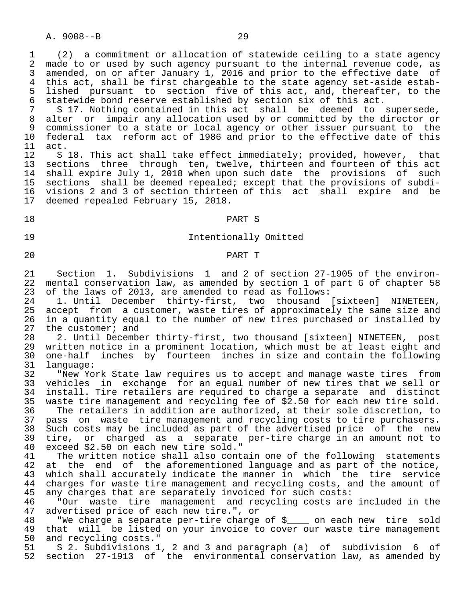A. 9008--B 29

 1 (2) a commitment or allocation of statewide ceiling to a state agency 2 made to or used by such agency pursuant to the internal revenue code, as<br>3 amended, on or after January 1, 2016 and prior to the effective date of 3 amended, on or after January 1, 2016 and prior to the effective date of<br>4 this act, shall be first chargeable to the state agency set-aside estab-4 this act, shall be first chargeable to the state agency set-aside estab-<br>5 lished pursuant to section five of this act, and, thereafter, to the 5 lished pursuant to section five of this act, and, thereafter, to the<br>6 statewide bond reserve established by section six of this act. 6 statewide bond reserve established by section six of this act.<br>7 S 17. Nothing contained in this act shall be deemed to

7 S 17. Nothing contained in this act shall be deemed to supersede,<br>8 alter or impair any allocation used by or committed by the director or 8 alter or impair any allocation used by or committed by the director or<br>9 commissioner to a state or local agency or other issuer pursuant to the 9 commissioner to a state or local agency or other issuer pursuant to the<br>10 federal tax reform act of 1986 and prior to the effective date of this 10 federal tax reform act of 1986 and prior to the effective date of this<br>11 act.

 $11$  act.<br> $12$  S 12 S 18. This act shall take effect immediately; provided, however, that<br>13 sections three through ten, twelve, thirteen and fourteen of this act 13 sections three through ten, twelve, thirteen and fourteen of this act<br>14 shall expire July 1, 2018 when upon such date the provisions of such shall expire July 1, 2018 when upon such date the provisions of such 15 sections shall be deemed repealed; except that the provisions of subdi-<br>16 visions 2 and 3 of section thirteen of this act shall expire and be 16 visions 2 and 3 of section thirteen of this act shall expire and be deemed repealed February 15, 2018.

# 18 PART S

### 19 Intentionally Omitted

### 20 PART T

 21 Section 1. Subdivisions 1 and 2 of section 27-1905 of the environ- 22 mental conservation law, as amended by section 1 of part G of chapter 58<br>23 of the laws of 2013, are amended to read as follows: 23 of the laws of 2013, are amended to read as follows:<br>24 1. Until December thirty-first, two thousand

24 1. Until December thirty-first, two thousand [sixteen] NINETEEN,<br>25 accept from a customer, waste tires of approximately the same size and accept from a customer, waste tires of approximately the same size and 26 in a quantity equal to the number of new tires purchased or installed by 27 the customer; and 27 the customer; and<br>28 2. Until Decembe

28 2. Until December thirty-first, two thousand [sixteen] NINETEEN, post<br>29 written notice in a prominent location, which must be at least eight and 29 written notice in a prominent location, which must be at least eight and<br>30 one-half inches by fourteen inches in size and contain the following 30 one-half inches by fourteen inches in size and contain the following 31 language:<br>32 "New Yo

32 The York State law requires us to accept and manage waste tires from<br>33 vehicles in exchange for an equal number of new tires that we sell or 33 vehicles in exchange for an equal number of new tires that we sell or 34 install. Tire retailers are required to charge a separate and distinct 35 waste tire management and recycling fee of \$2.50 for each new tire sold.<br>36 The retailers in addition are authorized, at their sole discretion, to 36 The retailers in addition are authorized, at their sole discretion, to<br>37 pass on waste tire management and recycling costs to tire purchasers. 37 pass on waste tire management and recycling costs to tire purchasers.<br>38 Such costs may be included as part of the advertised price of the new

38 Such costs may be included as part of the advertised price of the new<br>39 tire, or charged as a separate per-tire charge in an amount not to 39 tire, or charged as a separate per-tire charge in an amount not to<br>40 exceed \$2.50 on each new tire sold." 40 exceed \$2.50 on each new tire sold."

41 The written notice shall also contain one of the following statements<br>42 at the end of the aforementioned language and as part of the notice. 42 at the end of the aforementioned language and as part of the notice,<br>43 which shall accurately indicate the manner in which the tire service 43 which shall accurately indicate the manner in which the tire service<br>44 charges for waste tire management and recycling costs, and the amount of 44 charges for waste tire management and recycling costs, and the amount of 45 any charges that are separately invoiced for such costs: 45 any charges that are separately invoiced for such costs:<br>46 "Our waste tire management and recycling costs are

 46 "Our waste tire management and recycling costs are included in the advertised price of each new tire.", or

48 TWe charge a separate per-tire charge of \$<br>49 that will be listed on your invoice to cover our waste tire management 49 that will be listed on your invoice to cover our waste tire management<br>50 and recycling costs." 50 and recycling costs."<br>51 S 2. Subdivisions 1

51 S 2. Subdivisions 1, 2 and 3 and paragraph (a) of subdivision 6 of<br>52 section 27-1913 of the environmental conservation law, as amended by section 27-1913 of the environmental conservation law, as amended by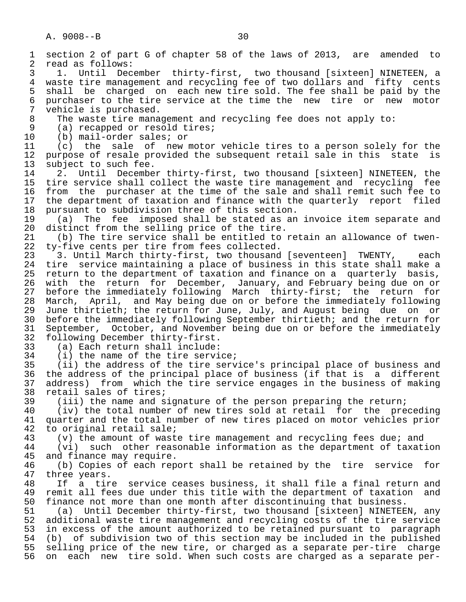A. 9008--B 30 1 section 2 of part G of chapter 58 of the laws of 2013, are amended to 2 read as follows:<br>3 1. Until Dec 3 1. Until December thirty-first, two thousand [sixteen] NINETEEN, a<br>4 waste tire management and recycling fee of two dollars and fifty cents 4 waste tire management and recycling fee of two dollars and fifty cents<br>5 shall be charged on each new tire sold. The fee shall be paid by the 5 shall be charged on each new tire sold. The fee shall be paid by the<br>6 purchaser to the tire service at the time the new tire or new motor 6 purchaser to the tire service at the time the new tire or new motor  $7$  vehicle is purchased. 7 vehicle is purchased.<br>8 The waste tire mana 8 The waste tire management and recycling fee does not apply to:<br>9 (a) recapped or resold tires; 9 (a) recapped or resold tires;<br>10 (b) mail-order sales; or 10 (b) mail-order sales; or<br>11 (c) the sale of new 11 (c) the sale of new motor vehicle tires to a person solely for the<br>12 purpose of resale provided the subsequent retail sale in this state is 12 purpose of resale provided the subsequent retail sale in this state is<br>13 subject to such fee. 13 subject to such fee.<br>14 2. Until Decembe 2. Until December thirty-first, two thousand [sixteen] NINETEEN, the 15 tire service shall collect the waste tire management and recycling fee<br>16 from the purchaser at the time of the sale and shall remit such fee to 16 from the purchaser at the time of the sale and shall remit such fee to<br>17 the department of taxation and finance with the quarterly report filed 17 the department of taxation and finance with the quarterly report filed<br>18 pursuant to subdivision three of this section. 18 pursuant to subdivision three of this section.<br>19 (a) The fee imposed shall be stated as an 19 (a) The fee imposed shall be stated as an invoice item separate and<br>20 distinct from the selling price of the tire. 20 distinct from the selling price of the tire.<br>21 (b) The tire service shall be entitled to

21 (b) The tire service shall be entitled to retain an allowance of twen-<br>22 ty-five cents per tire from fees collected. 22 ty-five cents per tire from fees collected.<br>23 3. Until March thirty-first, two thousand

 23 3. Until March thirty-first, two thousand [seventeen] TWENTY, each 24 tire service maintaining a place of business in this state shall make a<br>25 return to the department of taxation and finance on a quarterly basis. 25 return to the department of taxation and finance on a quarterly basis, 26 with the return for December, January, and February being due on or<br>27 before the immediately following March thirty-first; the return for 27 before the immediately following March thirty-first; the return for<br>28 March, April, and May being due on or before the immediately following 28 March, April, and May being due on or before the immediately following<br>29 June thirtieth; the return for June, July, and August being due on or 29 June thirtieth; the return for June, July, and August being due on or<br>30 before the immediately following September thirtieth; and the return for 30 before the immediately following September thirtieth; and the return for<br>31 September, October, and November being due on or before the immediately 31 September, October, and November being due on or before the immediately<br>32 following December thirty-first. 32 following December thirty-first.<br>33 (a) Each return shall include:

33 (a) Each return shall include:

34 (i) the name of the tire service;<br>35 (ii) the address of the tire serv

35 (ii) the address of the tire service's principal place of business and<br>36 the address of the principal place of business (if that is a different the address of the principal place of business (if that is a different 37 address) from which the tire service engages in the business of making<br>38 retail sales of tires; 38 retail sales of tires;<br>39 (iii) the name and s

39 (iii) the name and signature of the person preparing the return;<br>40 (iv) the total number of new tires sold at retail for the pre 40 (iv) the total number of new tires sold at retail for the preceding<br>41 quarter and the total number of new tires placed on motor vehicles prior 41 quarter and the total number of new tires placed on motor vehicles prior<br>42 to original retail sale; 42 to original retail sale;<br>43 (v) the amount of wast

43 (v) the amount of waste tire management and recycling fees due; and<br>44 (vi) such other reasonable information as the department of taxat

 44 (vi) such other reasonable information as the department of taxation 45 and finance may require.<br>46 (b) Copies of each rep

46 (b) Copies of each report shall be retained by the tire service for<br>47 three vears. 47 three years.<br>48 If a tir

48 If a tire service ceases business, it shall file a final return and<br>49 remit all fees due under this title with the department of taxation and 49 remit all fees due under this title with the department of taxation and<br>50 finance not more than one month after discontinuing that business. 50 finance not more than one month after discontinuing that business.<br>51 (a) Until December thirty-first, two thousand [sixteen] NINETEE

51 (a) Until December thirty-first, two thousand [sixteen] NINETEEN, any<br>52 additional waste tire management and recycling costs of the tire service 52 additional waste tire management and recycling costs of the tire service<br>53 in excess of the amount authorized to be retained pursuant to paragraph 53 in excess of the amount authorized to be retained pursuant to paragraph<br>54 (b) of subdivision two of this section may be included in the published 54 (b) of subdivision two of this section may be included in the published<br>55 selling price of the new tire, or charged as a separate per-tire charge 55 selling price of the new tire, or charged as a separate per-tire charge<br>56 on each new tire sold. When such costs are charged as a separate peron each new tire sold. When such costs are charged as a separate per-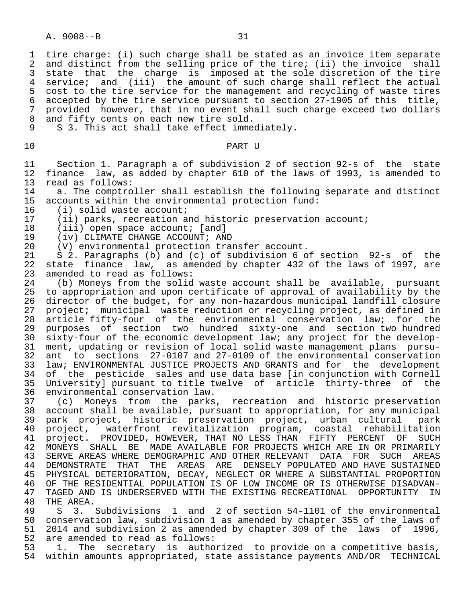1 tire charge: (i) such charge shall be stated as an invoice item separate<br>2 and distinct from the selling price of the tire; (ii) the invoice shall 2 and distinct from the selling price of the tire; (ii) the invoice shall<br>3 state that the charge is imposed at the sole discretion of the tire state that the charge is imposed at the sole discretion of the tire 4 service; and (iii) the amount of such charge shall reflect the actual<br>5 cost to the tire service for the management and recycling of waste tires 5 cost to the tire service for the management and recycling of waste tires<br>6 accepted by the tire service pursuant to section 27-1905 of this title. 6 accepted by the tire service pursuant to section 27-1905 of this title,<br>7 provided however, that in no event shall such charge exceed two dollars 7 provided however, that in no event shall such charge exceed two dollars<br>8 and fifty cents on each new tire sold. 8 and fifty cents on each new tire sold.<br>9 S 3. This act shall take effect imme

S 3. This act shall take effect immediately.

10 PART U

 11 Section 1. Paragraph a of subdivision 2 of section 92-s of the state 12 finance law, as added by chapter 610 of the laws of 1993, is amended to 13 read as follows: 13 read as follows:<br>14 a. The comptro

14 a. The comptroller shall establish the following separate and distinct<br>15 accounts within the environmental protection fund: 15 accounts within the environmental protection fund:<br>16 (i) solid waste account;

16 (i) solid waste account;<br>17 (ii) parks, recreation a

17 (ii) parks, recreation and historic preservation account;<br>18 (iii) open space account; [and]

18 (iii) open space account; [and]<br>19 (iv) CLIMATE CHANGE ACCOUNT; AN

19 (iv) CLIMATE CHANGE ACCOUNT; AND<br>20 (V) environmental protection trai

20 (V) environmental protection transfer account.<br>21 S 2. Paragraphs (b) and (c) of subdivision 6 o

 21 S 2. Paragraphs (b) and (c) of subdivision 6 of section 92-s of the 22 state finance law, as amended by chapter 432 of the laws of 1997, are<br>23 amended to read as follows: 23 amended to read as follows:<br>24 (b) Moneys from the solid

24 (b) Moneys from the solid waste account shall be available, pursuant<br>25 to appropriation and upon certificate of approval of availability by the 25 to appropriation and upon certificate of approval of availability by the<br>26 director of the budget, for any non-hazardous municipal landfill closure 26 director of the budget, for any non-hazardous municipal landfill closure<br>27 project; municipal waste reduction or recycling project, as defined in 27 project; municipal waste reduction or recycling project, as defined in<br>28 article fifty-four of the environmental conservation law; for the 28 article fifty-four of the environmental conservation law; for the<br>29 purposes of section two hundred sixty-one and section-two-hundred 29 purposes of section two hundred sixty-one and section two hundred<br>20 sixty-four of the economic development law; any project for the develop-30 sixty-four of the economic development law; any project for the develop-<br>31 ment, updating or revision of local solid waste management plans pursu- 31 ment, updating or revision of local solid waste management plans pursu- 32 ant to sections 27-0107 and 27-0109 of the environmental conservation<br>33 law; ENVIRONMENTAL JUSTICE PROJECTS AND GRANTS and for the development 33 law; ENVIRONMENTAL JUSTICE PROJECTS AND GRANTS and for the development<br>34 of the pesticide sales and use data base [in conjunction with Cornell 34 of the pesticide sales and use data base [in conjunction with Cornell 35 University] pursuant to title twelve of article thirty-three of the 36 environmental conservation law.<br>37 (c) Moneys from the parks

37 (c) Moneys from the parks, recreation and historic preservation<br>38 account shall be available, pursuant to appropriation, for any municipal 38 account shall be available, pursuant to appropriation, for any municipal<br>39 park project, historic preservation project, urban cultural park 39 park project, historic preservation project, urban cultural park 40 project, waterfront revitalization program, coastal rehabilitation 41 project. PROVIDED, HOWEVER, THAT NO LESS THAN FIFTY PERCENT OF SUCH 42 MONEYS SHALL BE MADE AVAILABLE FOR PROJECTS WHICH ARE IN OR PRIMARILY<br>43 SERVE AREAS WHERE DEMOGRAPHIC AND OTHER RELEVANT DATA FOR SUCH AREAS SERVE AREAS WHERE DEMOGRAPHIC AND OTHER RELEVANT DATA FOR SUCH AREAS 44 DEMONSTRATE THAT THE AREAS ARE DENSELY POPULATED AND HAVE SUSTAINED<br>45 PHYSICAL DETERIORATION, DECAY, NEGLECT OR WHERE A SUBSTANTIAL PROPORTION PHYSICAL DETERIORATION, DECAY, NEGLECT OR WHERE A SUBSTANTIAL PROPORTION 46 OF THE RESIDENTIAL POPULATION IS OF LOW INCOME OR IS OTHERWISE DISADVAN-<br>47 TAGED AND IS UNDERSERVED WITH THE EXISTING RECREATIONAL OPPORTUNITY IN 47 TAGED AND IS UNDERSERVED WITH THE EXISTING RECREATIONAL OPPORTUNITY IN 48 THE AREA. 48 THE AREA.<br>49 S 3.

49 S 3. Subdivisions 1 and 2 of section 54-1101 of the environmental<br>50 conservation law, subdivision 1 as amended by chapter 355 of the laws of 50 conservation law, subdivision 1 as amended by chapter 355 of the laws of 51 2014 and subdivision 2 as amended by chapter 309 of the laws of 1996,<br>52 are amended to read as follows: 52 are amended to read as follows:<br>53 1. The secretary is autho

53 1. The secretary is authorized to provide on a competitive basis,<br>54 within amounts appropriated, state assistance payments AND/OR TECHNICAL within amounts appropriated, state assistance payments AND/OR TECHNICAL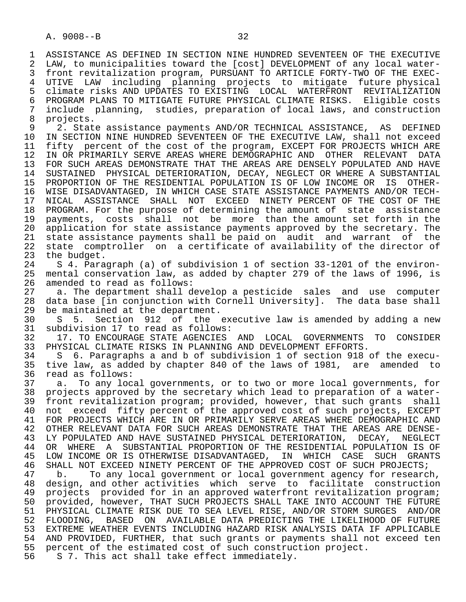1 ASSISTANCE AS DEFINED IN SECTION NINE HUNDRED SEVENTEEN OF THE EXECUTIVE<br>2 LAW, to municipalities toward the [cost] DEVELOPMENT of any local water-2 LAW, to municipalities toward the [cost] DEVELOPMENT of any local water-<br>3 front revitalization program, PURSUANT TO ARTICLE FORTY-TWO OF THE EXECfront revitalization program, PURSUANT TO ARTICLE FORTY-TWO OF THE EXEC- 4 UTIVE LAW including planning projects to mitigate future physical 5 climate risks AND UPDATES TO EXISTING LOCAL WATERFRONT REVITALIZATION<br>6 PROGRAM PLANS TO MITIGATE FUTURE PHYSICAL CLIMATE RISKS. Eligible costs 6 PROGRAM PLANS TO MITIGATE FUTURE PHYSICAL CLIMATE RISKS. Eligible costs<br>7 include planning, studies, preparation of local laws, and construction 7 include planning, studies, preparation of local laws, and construction

8 projects.<br>9 2. Stat 9 2. State assistance payments AND/OR TECHNICAL ASSISTANCE, AS DEFINED<br>10 IN SECTION NINE HUNDRED SEVENTEEN OF THE EXECUTIVE LAW, shall not exceed 10 IN SECTION NINE HUNDRED SEVENTEEN OF THE EXECUTIVE LAW, shall not exceed<br>11 fifty percent of the cost of the program, EXCEPT FOR PROJECTS WHICH ARE 11 fifty percent of the cost of the program, EXCEPT FOR PROJECTS WHICH ARE<br>12 IN OR PRIMARILY SERVE AREAS WHERE DEMOGRAPHIC AND OTHER RELEVANT DATA 12 IN OR PRIMARILY SERVE AREAS WHERE DEMOGRAPHIC AND OTHER RELEVANT DATA 13 FOR SUCH AREAS DEMONSTRATE THAT THE AREAS ARE DENSELY POPULATED AND HAVE<br>14 SUSTAINED PHYSICAL DETERIORATION, DECAY, NEGLECT OR WHERE A SUBSTANTIAL SUSTAINED PHYSICAL DETERIORATION, DECAY, NEGLECT OR WHERE A SUBSTANTIAL 15 PROPORTION OF THE RESIDENTIAL POPULATION IS OF LOW INCOME OR IS OTHER- 16 WISE DISADVANTAGED, IN WHICH CASE STATE ASSISTANCE PAYMENTS AND/OR TECH-<br>17 NICAL ASSISTANCE SHALL NOT EXCEED NINETY PERCENT OF THE COST OF THE 17 NICAL ASSISTANCE SHALL NOT EXCEED NINETY PERCENT OF THE COST OF THE<br>18 PROGRAM. For the purpose of determining the amount of state assistance 18 PROGRAM. For the purpose of determining the amount of state assistance<br>19 payments, costs shall not be more than the amount set forth in the 19 payments, costs shall not be more than the amount set forth in the<br>20 application for state assistance payments approved by the secretary. The 20 application for state assistance payments approved by the secretary. The<br>21 state assistance payments shall be paid on audit and warrant of the 21 state assistance payments shall be paid on audit and warrant of the<br>22 state comptroller on a certificate of availability of the director of 22 state comptroller on a certificate of availability of the director of 23 the budget. the budget.

 24 S 4. Paragraph (a) of subdivision 1 of section 33-1201 of the environ mental conservation law, as added by chapter 279 of the laws of 1996, is 26 amended to read as follows:<br>27 a. The department shall de

27 a. The department shall develop a pesticide sales and use computer<br>28 data base (in conjunction with Cornell University). The data base shall 28 data base [in conjunction with Cornell University]. The data base shall<br>29 be maintained at the department. 29 be maintained at the department.<br>30 S 5. Section 912 of the

30 S 5. Section 912 of the executive law is amended by adding a new<br>31 subdivision 17 to read as follows: 31 subdivision 17 to read as follows:<br>32 17. TO ENCOURAGE STATE AGENCIES

32 17. TO ENCOURAGE STATE AGENCIES AND LOCAL GOVERNMENTS TO CONSIDER<br>33 PHYSICAL CLIMATE RISKS IN PLANNING AND DEVELOPMENT EFFORTS. 33 PHYSICAL CLIMATE RISKS IN PLANNING AND DEVELOPMENT EFFORTS.<br>34 S 6. Paragraphs a and b of subdivision 1 of section 918

 34 S 6. Paragraphs a and b of subdivision 1 of section 918 of the execu- 35 tive law, as added by chapter 840 of the laws of 1981, are amended to 36 read as follows: read as follows:

 37 a. To any local governments, or to two or more local governments, for 38 projects approved by the secretary which lead to preparation of a water- 39 front revitalization program; provided, however, that such grants shall<br>40 not exceed fifty percent of the approved cost of such projects, EXCEPT 40 not exceed fifty percent of the approved cost of such projects, EXCEPT 41 FOR PROJECTS WHICH ARE IN OR PRIMARILY SERVE AREAS WHERE DEMOGRAPHIC AND<br>42 OTHER RELEVANT DATA FOR SUCH AREAS DEMONSTRATE THAT THE AREAS ARE DENSE-42 OTHER RELEVANT DATA FOR SUCH AREAS DEMONSTRATE THAT THE AREAS ARE DENSE-<br>43 LY POPULATED AND HAVE SUSTAINED PHYSICAL DETERIORATION, DECAY, NEGLECT 43 LY POPULATED AND HAVE SUSTAINED PHYSICAL DETERIORATION, DECAY, NEGLECT<br>44 OR WHERE A SUBSTANTIAL PROPORTION OF THE RESIDENTIAL POPULATION IS OF 44 OR WHERE A SUBSTANTIAL PROPORTION OF THE RESIDENTIAL POPULATION IS OF<br>45 LOW INCOME OR IS OTHERWISE DISADVANTAGED, IN WHICH CASE SUCH GRANTS LOW INCOME OR IS OTHERWISE DISADVANTAGED, IN WHICH CASE SUCH GRANTS 46 SHALL NOT EXCEED NINETY PERCENT OF THE APPROVED COST OF SUCH PROJECTS;<br>47 b. To any local government or local government agency for researc

b. To any local government or local government agency for research, 48 design, and other activities which serve to facilitate construction<br>49 projects provided for in an approved waterfront revitalization program; 49 projects provided for in an approved waterfront revitalization program;<br>50 provided, however, THAT SUCH PROJECTS SHALL TAKE INTO ACCOUNT THE FUTURE 50 provided, however, THAT SUCH PROJECTS SHALL TAKE INTO ACCOUNT THE FUTURE<br>51 PHYSICAL CLIMATE RISK DUE TO SEA LEVEL RISE, AND/OR STORM SURGES AND/OR 51 PHYSICAL CLIMATE RISK DUE TO SEA LEVEL RISE, AND/OR STORM SURGES AND/OR 52 FLOODING, BASED ON AVAILABLE DATA PREDICTING THE LIKELIHOOD OF FUTURE 53 EXTREME WEATHER EVENTS INCLUDING HAZARD RISK ANALYSIS DATA IF APPLICABLE<br>54 AND PROVIDED, FURTHER, that such grants or payments shall not exceed ten 54 AND PROVIDED, FURTHER, that such grants or payments shall not exceed ten<br>55 percent of the estimated cost of such construction project. 55 percent of the estimated cost of such construction project.<br>56 S 7. This act shall take effect immediately.

S 7. This act shall take effect immediately.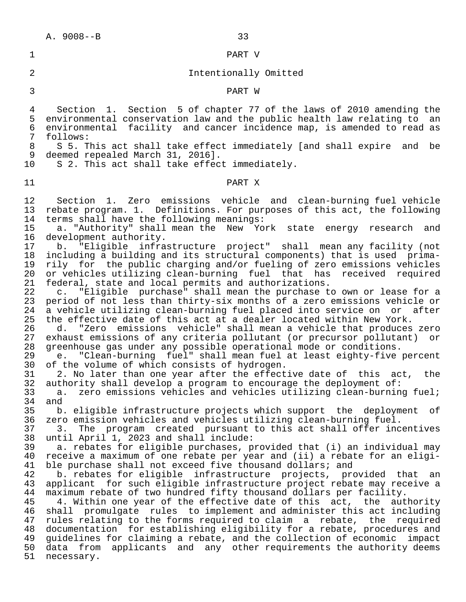### 1 PART V

# 2 Intentionally Omitted

## 3 PART W

 4 Section 1. Section 5 of chapter 77 of the laws of 2010 amending the 5 environmental conservation law and the public health law relating to an<br>6 environmental facility and cancer incidence map, is amended to read as 6 environmental facility and cancer incidence map, is amended to read as<br>7 follows: 7 follows:<br>8 S 5. T

8 S 5. This act shall take effect immediately [and shall expire and be<br>9 deemed repealed March 31, 2016]. 9 deemed repealed March 31, 2016].<br>10 S 2. This act shall take effect

S 2. This act shall take effect immediately.

# 11 PART X

12 Section 1. Zero emissions vehicle and clean-burning fuel vehicle<br>13 rebate program. 1. Definitions. For purposes of this act, the following 13 rebate program. 1. Definitions. For purposes of this act, the following<br>14 terms shall have the following meanings: 14 terms shall have the following meanings:<br>15 a. "Authority" shall mean the New Yo

15 a. "Authority" shall mean the New York state energy research and<br>16 development authority. 16 development authority.<br>17 b. "Eligible infra

17 b. "Eligible infrastructure project" shall mean any facility (not<br>18 including a building and its structural components) that is used primaincluding a building and its structural components) that is used prima-19 rily for the public charging and/or fueling of zero emissions vehicles<br>20 or vehicles utilizing clean-burning fuel that has received required 20 or vehicles utilizing clean-burning fuel that has received required<br>21 federal, state and local permits and authorizations.

21 federal, state and local permits and authorizations.<br>22 c. "Eligible purchase" shall mean the purchase t 22 c. "Eligible purchase" shall mean the purchase to own or lease for a<br>23 period of not less than thirty-six months of a zero emissions vehicle or 23 period of not less than thirty-six months of a zero emissions vehicle or<br>24 a vehicle utilizing clean-burning fuel placed into service on or after 24 a vehicle utilizing clean-burning fuel placed into service on or after<br>25 the effective date of this act at a dealer located within New York. 25 the effective date of this act at a dealer located within New York.<br>26 d. "Zero emissions vehicle" shall mean a vehicle that produces

26 d. "Zero emissions vehicle" shall mean a vehicle that produces zero<br>27 exhaust emissions of any criteria pollutant (or precursor pollutant) or 27 exhaust emissions of any criteria pollutant (or precursor pollutant) or<br>28 greenhouse gas under any possible operational mode or conditions. 28 greenhouse gas under any possible operational mode or conditions.<br>29 e. "Clean-burning fuel" shall mean fuel at least eighty-five

 29 e. "Clean-burning fuel" shall mean fuel at least eighty-five percent 30 of the volume of which consists of hydrogen.<br>31 2. No later than one vear after the effect

31 2. No later than one year after the effective date of this act, the<br>32 authority shall develop a program to encourage the deployment of: 32 authority shall develop a program to encourage the deployment of:<br>33 a. zero emissions vehicles and vehicles utilizing clean-burnin

 33 a. zero emissions vehicles and vehicles utilizing clean-burning fuel; 34 and<br>35 b.

35 b. eligible infrastructure projects which support the deployment of<br>36 zero emission vehicles and vehicles utilizing clean-burning fuel. 36 zero emission vehicles and vehicles utilizing clean-burning fuel.

37 3. The program created pursuant to this act shall offer incentives<br>38 until April 1, 2023 and shall include: 38 until April 1, 2023 and shall include:<br>39 a. rebates for eligible purchases, p

 39 a. rebates for eligible purchases, provided that (i) an individual may receive a maximum of one rebate per year and (ii) a rebate for an eligi-41 ble purchase shall not exceed five thousand dollars; and<br>42 b. rebates for eligible infrastructure projects, pro

42 b. rebates for eligible infrastructure projects, provided that an<br>43 applicant for such eligible infrastructure project rebate may receive a 43 applicant for such eligible infrastructure project rebate may receive a<br>44 maximum rebate of two hundred fifty thousand dollars per facility. 44 maximum rebate of two hundred fifty thousand dollars per facility.<br>45 4. Within one year of the effective date of this act, the aut

45 4. Within one year of the effective date of this act, the authority<br>46 shall promulgate rules to implement and administer this act including shall promulgate rules to implement and administer this act including 47 rules relating to the forms required to claim a rebate, the required<br>48 documentation for establishing eligibility for a rebate, procedures and 48 documentation for establishing eligibility for a rebate, procedures and<br>49 quidelines for claiming a rebate, and the collection of economic impact 49 guidelines for claiming a rebate, and the collection of economic impact<br>50 data from applicants and any other requirements the authority deems data from applicants and any other requirements the authority deems 51 necessary.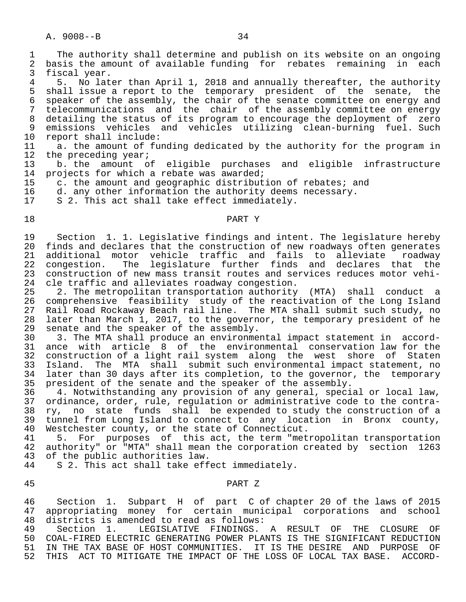1 The authority shall determine and publish on its website on an ongoing<br>2 basis the amount of available funding for rebates remaining in each 2 basis the amount of available funding for rebates remaining in each<br>3 fiscal vear. 3 fiscal year.<br>4 5 No lat

4 5. No later than April 1, 2018 and annually thereafter, the authority<br>5 shall issue a report to the temporary president of the senate, the 5 shall issue a report to the temporary president of the senate, the 6 speaker of the assembly, the chair of the senate committee on energy and 7 telecommunications and the chair of the assembly committee on energy 8 detailing the status of its program to encourage the deployment of zero<br>9 emissions vehicles and vehicles utilizing clean-burning fuel. Such 9 emissions vehicles and vehicles utilizing clean-burning fuel. Such<br>10 report shall include:

10 report shall include:<br>11 a. the amount of fu 11 a. the amount of funding dedicated by the authority for the program in<br>12 the preceding year; 12 the preceding year;<br>13 b. the amount of

13 b. the amount of eligible purchases and eligible infrastructure<br>14 projects for which a rebate was awarded; projects for which a rebate was awarded;

15 c. the amount and geographic distribution of rebates; and<br>16 d. any other information the authority deems necessary.

16 d. any other information the authority deems necessary.<br>17 S 2. This act shall take effect immediately.

S 2. This act shall take effect immediately.

# 18 PART Y

19 Section 1. 1. Legislative findings and intent. The legislature hereby<br>20 finds and declares that the construction of new roadways often generates 20 finds and declares that the construction of new roadways often generates<br>21 additional motor vehicle traffic and fails to alleviate roadway 21 additional motor vehicle traffic and fails to alleviate roadway<br>22 congestion. The legislature further finds and declares that the 22 congestion. The legislature further finds and declares that the<br>23 construction of new mass transit routes and services reduces motor vehi-23 construction of new mass transit routes and services reduces motor vehi-<br>24 cle traffic and alleviates roadway congestion. 24 cle traffic and alleviates roadway congestion.<br>25 2. The metropolitan transportation authority

25 2. The metropolitan transportation authority (MTA) shall conduct a<br>26 comprehensive feasibility study of the reactivation of the Long Island 26 comprehensive feasibility study of the reactivation of the Long Island<br>27 Rail Road Rockaway Beach rail line. The MTA shall submit such study, no 27 Rail Road Rockaway Beach rail line. The MTA shall submit such study, no<br>28 later than March 1, 2017, to the governor, the temporary president of he 28 later than March 1, 2017, to the governor, the temporary president of he<br>29 senate and the speaker of the assembly. 29 senate and the speaker of the assembly.<br>30 3. The MTA shall produce an environme

 30 3. The MTA shall produce an environmental impact statement in accord- 31 ance with article 8 of the environmental conservation law for the<br>32 construction of a light rail system along the west shore of Staten 32 construction of a light rail system along the west shore of Staten<br>33 Island. The MTA shall submit such environmental impact statement, no 33 Island. The MTA shall submit such environmental impact statement, no<br>34 later than 30 days after its completion, to the governor, the temporary later than 30 days after its completion, to the governor, the temporary 35 president of the senate and the speaker of the assembly.<br>36 4. Notwithstanding any provision of any general, speci

 36 4. Notwithstanding any provision of any general, special or local law, 37 ordinance, order, rule, regulation or administrative code to the contra-<br>38 ry, no state funds shall be expended to study the construction of a 38 ry, no state funds shall be expended to study the construction of a<br>39 tunnel from Long Island to connect to any location in Bronx county, 39 tunnel from Long Island to connect to any location in Bronx county,<br>40 Westchester county, or the state of Connecticut. 40 Westchester county, or the state of Connecticut.<br>41 5. For purposes of this act, the term "met

41 5. For purposes of this act, the term "metropolitan transportation<br>42 authority" or "MTA" shall mean the corporation created by section 1263 42 authority" or "MTA" shall mean the corporation created by section 1263<br>43 of the public authorities law. of the public authorities law.

44 S 2. This act shall take effect immediately.

# 45 PART Z

46 Section 1. Subpart H of part C of chapter 20 of the laws of 2015<br>47 appropriating money for certain municipal corporations and school appropriating money for certain municipal corporations and school 48 districts is amended to read as follows:<br>49 Section 1. LEGISLATIVE FINDINGS.

49 Section 1. LEGISLATIVE FINDINGS. A RESULT OF THE CLOSURE OF<br>50 COAL-FIRED ELECTRIC GENERATING POWER PLANTS IS THE SIGNIFICANT REDUCTION 50 COAL-FIRED ELECTRIC GENERATING POWER PLANTS IS THE SIGNIFICANT REDUCTION<br>51 IN THE TAX BASE OF HOST COMMUNITIES. IT IS THE DESIRE AND PURPOSE OF 51 IN THE TAX BASE OF HOST COMMUNITIES. IT IS THE DESIRE AND PURPOSE OF<br>52 THIS ACT TO MITIGATE THE IMPACT OF THE LOSS OF LOCAL TAX BASE. ACCORD-THIS ACT TO MITIGATE THE IMPACT OF THE LOSS OF LOCAL TAX BASE. ACCORD-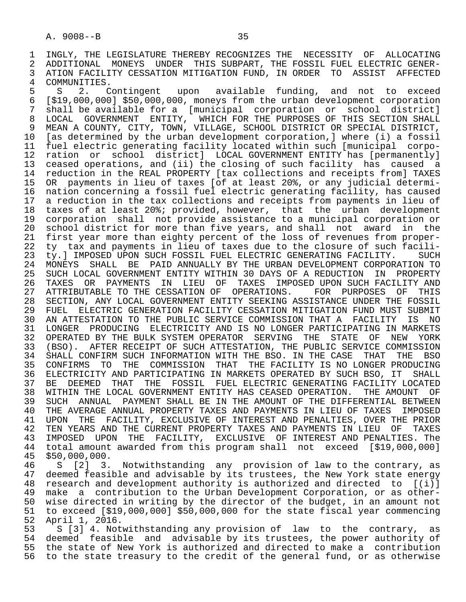1 INGLY, THE LEGISLATURE THEREBY RECOGNIZES THE NECESSITY OF ALLOCATING<br>2 ADDITIONAL MONEYS UNDER THIS SUBPART, THE FOSSIL FUEL ELECTRIC GENER-2 ADDITIONAL MONEYS UNDER THIS SUBPART, THE FOSSIL FUEL ELECTRIC GENER-<br>3 ATION FACILITY CESSATION MITIGATION FUND, IN ORDER TO ASSIST AFFECTED 3 ATION FACILITY CESSATION MITIGATION FUND, IN ORDER TO ASSIST AFFECTED 4 COMMUNITIES.

4 COMMUNITIES.<br>5 S 2. C 5 S 2. Contingent upon available funding, and not to exceed<br>6 [\$19.000.000] \$50.000.000, moneys from the urban-development corporation 6 [\$19,000,000] \$50,000,000, moneys from the urban development corporation 7 shall be available for a [municipal corporation or school district] 8 LOCAL GOVERNMENT ENTITY, WHICH FOR THE PURPOSES OF THIS SECTION SHALL<br>9 MEAN A COUNTY, CITY, TOWN, VILLAGE, SCHOOL DISTRICT OR SPECIAL DISTRICT, 9 MEAN A COUNTY, CITY, TOWN, VILLAGE, SCHOOL DISTRICT OR SPECIAL DISTRICT,<br>10 [as determined by the urban development corporation, I where (i) a fossil 10 [as determined by the urban development corporation,] where (i) a fossil 11 fuel electric generating facility located within such [municipal corpo-<br>12 ration or school district] LOCAL GOVERNMENT ENTITY has [permanently] 12 ration or school district] LOCAL GOVERNMENT ENTITY has [permanently]<br>13 ceased operations, and (ii) the closing of such facility has caused a 13 ceased operations, and (ii) the closing of such facility has caused a<br>14 reduction in the REAL PROPERTY [tax collections and receipts from] TAXES 14 reduction in the REAL PROPERTY [tax collections and receipts from] TAXES 15 OR payments in lieu of taxes [of at least 20%, or any judicial determi- 16 nation concerning a fossil fuel electric generating facility, has caused<br>17 a reduction in the tax collections and receipts from payments in lieu of 17 a reduction in the tax collections and receipts from payments in lieu of<br>18 taxes of at least 20%; provided, however, that the urban development 18 taxes of at least 20%; provided, however, that the urban development 19 corporation shall not provide assistance to a municipal corporation or<br>20 school district for more than five vears, and shall not award in the 20 school district for more than five years, and shall not award in the<br>21 first year more than eighty percent of the loss of revenues from proper-21 first year more than eighty percent of the loss of revenues from proper-<br>22 ty tax and payments in lieu of taxes due to the closure of such facili-22 ty tax and payments in lieu of taxes due to the closure of such facili-<br>23 ty.] IMPOSED UPON SUCH FOSSIL FUEL ELECTRIC GENERATING FACILITY. SUCH ty.] IMPOSED UPON SUCH FOSSIL FUEL ELECTRIC GENERATING FACILITY. SUCH 24 MONEYS SHALL BE PAID ANNUALLY BY THE URBAN DEVELOPMENT CORPORATION TO<br>25 SUCH LOCAL GOVERNMENT ENTITY WITHIN 30 DAYS OF A REDUCTION IN PROPERTY 25 SUCH LOCAL GOVERNMENT ENTITY WITHIN 30 DAYS OF A REDUCTION IN PROPERTY 26 TAXES OR PAYMENTS IN LIEU OF TAXES IMPOSED— UPON SUCH FACILITY AND 27 ATTRIBUTABLE TO THE CESSATION OF OPERATIONS. FOR PURPOSES OF THIS 27 ATTRIBUTABLE TO THE CESSATION OF OPERATIONS. FOR PURPOSES OF THIS<br>28 SECTION, ANY LOCAL GOVERNMENT ENTITY SEEKING ASSISTANCE UNDER THE FOSSIL 28 SECTION, ANY LOCAL GOVERNMENT ENTITY SEEKING ASSISTANCE UNDER THE FOSSIL<br>29 FUEL ELECTRIC GENERATION FACILITY CESSATION MITIGATION FUND MUST SUBMIT 29 FUEL ELECTRIC GENERATION FACILITY CESSATION MITIGATION FUND MUST SUBMIT<br>20 AN ATTESTATION TO THE PUBLIC SERVICE COMMISSION THAT A FACILITY IS NO 30 AN ATTESTATION TO THE PUBLIC SERVICE COMMISSION THAT A FACILITY IS NO<br>31 LONGER PRODUCING ELECTRICITY AND IS NO LONGER PARTICIPATING IN MARKETS 31 LONGER PRODUCING ELECTRICITY AND IS NO LONGER PARTICIPATING IN MARKETS<br>32 OPERATED BY THE BULK SYSTEM OPERATOR SERVING THE STATE OF NEW YORK 32 OPERATED BY THE BULK SYSTEM OPERATOR SERVING THE STATE OF<br>33 (BSO), AFTER RECEIPT OF SUCH ATTESTATION, THE PUBLIC SERVICE 33 (BSO). AFTER RECEIPT OF SUCH ATTESTATION, THE PUBLIC SERVICE COMMISSION<br>34 SHALL CONFIRM SUCH INFORMATION WITH THE BSO. IN THE CASE THAT THE BSO 34 SHALL CONFIRM SUCH INFORMATION WITH THE BSO. IN THE CASE THAT THE BSO<br>35 CONFIRMS TO THE COMMISSION THAT THE FACILITY IS NO LONGER PRODUCING 35 CONFIRMS TO THE COMMISSION THAT THE FACILITY IS NO LONGER PRODUCING<br>36 ELECTRICITY AND PARTICIPATING IN MARKETS OPERATED BY SUCH BSO, IT SHALL 36 ELECTRICITY AND PARTICIPATING IN MARKETS OPERATED BY SUCH BSO, IT SHALL 37 BE DEEMED THAT THE FOSSIL FUEL ELECTRIC GENERATING FACILITY LOCATED<br>38 WITHIN THE LOCAL GOVERNMENT ENTITY HAS CEASED OPERATION. THE AMOUNT OF 38 WITHIN THE LOCAL GOVERNMENT ENTITY HAS CEASED OPERATION. THE AMOUNT OF<br>39 SUCH ANNUAL PAYMENT SHALL BE IN THE AMOUNT OF THE DIFFERENTIAL BETWEEN 39 SUCH ANNUAL PAYMENT SHALL BE IN THE AMOUNT OF THE DIFFERENTIAL BETWEEN<br>40 THE AVERAGE ANNUAL PROPERTY TAXES AND PAYMENTS IN LIEU OF TAXES IMPOSED 40 THE AVERAGE ANNUAL PROPERTY TAXES AND PAYMENTS IN LIEU OF TAXES IMPOSED<br>41 UPON THE FACILITY, EXCLUSIVE OF INTEREST AND PENALTIES, OVER THE PRIOR 41 UPON THE FACILITY, EXCLUSIVE OF INTEREST AND PENALTIES, OVER THE PRIOR<br>42 TEN YEARS AND THE CURRENT PROPERTY TAXES AND PAYMENTS IN LIEU OF TAXES 42 TEN YEARS AND THE CURRENT PROPERTY TAXES AND PAYMENTS IN LIEU OF TAXES<br>43 IMPOSED UPON THE FACILITY, EXCLUSIVE OF INTEREST AND PENALTIES. The 43 IMPOSED UPON THE FACILITY, EXCLUSIVE OF INTEREST AND PENALTIES. The<br>44 total amount awarded from this program shall not exceed [\$19.000.000] 44 total amount awarded from this program shall not exceed [\$19,000,000] \$50,000,000.

46 S [2] 3. Notwithstanding any provision of law to the contrary, as<br>47 deemed feasible and advisable by its trustees, the New York state energy 47 deemed feasible and advisable by its trustees, the New York state energy<br>48 research and development authority is authorized and directed to [(i)] 48 research and development authority is authorized and directed to [(i)]<br>49 make a contribution to the Urban Development Corporation, or as other-49 make a contribution to the Urban Development Corporation, or as other-<br>50 wise directed in writing by the director of the budget, in an amount not 50 wise directed in writing by the director of the budget, in an amount not<br>51 to exceed [\$19,000,000] \$50,000,000 for the state fiscal year commencing 51 to exceed [\$19,000,000] \$50,000,000 for the state fiscal year commencing 52 April 1, 2016.

53 S [3] 4. Notwithstanding any provision of law to the contrary, as<br>54 deemed feasible and advisable by its trustees, the power authority of 54 deemed feasible and advisable by its trustees, the power authority of<br>55 the state of New York is authorized and directed to make a contribution 55 the state of New York is authorized and directed to make a contribution<br>56 to the state treasury to the credit of the general fund, or as otherwise 56 to the state treasury to the credit of the general fund, or as otherwise